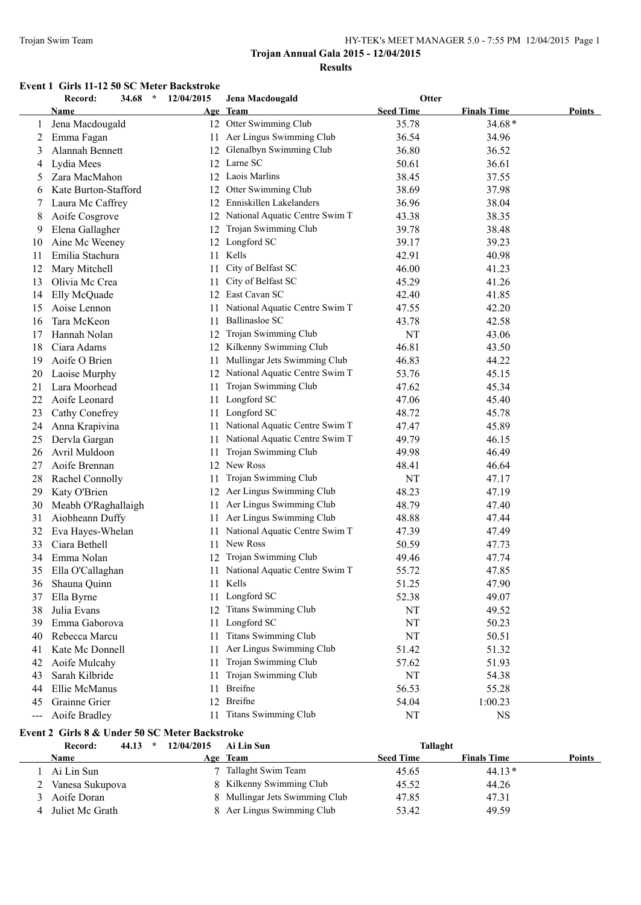#### Trojan Swim Team HY-TEK's MEET MANAGER 5.0 - 7:55 PM 12/04/2015 Page 1

# **Trojan Annual Gala 2015 - 12/04/2015 Results**

#### **Event 1 Girls 11-12 50 SC Meter Backstroke**

|       | Record:<br>34.68                               | 12/04/2015<br>$\star$   | Jena Macdougald                   | Otter            |                    |               |
|-------|------------------------------------------------|-------------------------|-----------------------------------|------------------|--------------------|---------------|
|       | Name                                           |                         | Age Team                          | <b>Seed Time</b> | <b>Finals Time</b> | <b>Points</b> |
| 1     | Jena Macdougald                                |                         | 12 Otter Swimming Club            | 35.78            | $34.68*$           |               |
| 2     | Emma Fagan                                     |                         | 11 Aer Lingus Swimming Club       | 36.54            | 34.96              |               |
| 3     | Alannah Bennett                                | 12                      | Glenalbyn Swimming Club           | 36.80            | 36.52              |               |
| 4     | Lydia Mees                                     |                         | 12 Larne SC                       | 50.61            | 36.61              |               |
| 5     | Zara MacMahon                                  | 12                      | Laois Marlins                     | 38.45            | 37.55              |               |
| 6     | Kate Burton-Stafford                           | 12                      | Otter Swimming Club               | 38.69            | 37.98              |               |
| 7     | Laura Mc Caffrey                               | 12                      | Enniskillen Lakelanders           | 36.96            | 38.04              |               |
| 8     | Aoife Cosgrove                                 | 12                      | National Aquatic Centre Swim T    | 43.38            | 38.35              |               |
| 9     | Elena Gallagher                                | 12                      | Trojan Swimming Club              | 39.78            | 38.48              |               |
| 10    | Aine Mc Weeney                                 |                         | 12 Longford SC                    | 39.17            | 39.23              |               |
| 11    | Emilia Stachura                                | 11                      | Kells                             | 42.91            | 40.98              |               |
| 12    | Mary Mitchell                                  | 11                      | City of Belfast SC                | 46.00            | 41.23              |               |
| 13    | Olivia Mc Crea                                 | 11                      | City of Belfast SC                | 45.29            | 41.26              |               |
| 14    | Elly McQuade                                   |                         | 12 East Cavan SC                  | 42.40            | 41.85              |               |
| 15    | Aoise Lennon                                   | 11                      | National Aquatic Centre Swim T    | 47.55            | 42.20              |               |
| 16    | Tara McKeon                                    | 11                      | <b>Ballinasloe SC</b>             | 43.78            | 42.58              |               |
| 17    | Hannah Nolan                                   | 12                      | Trojan Swimming Club              | <b>NT</b>        | 43.06              |               |
| 18    | Ciara Adams                                    | 12                      | Kilkenny Swimming Club            | 46.81            | 43.50              |               |
| 19    | Aoife O Brien                                  | 11                      | Mullingar Jets Swimming Club      | 46.83            | 44.22              |               |
| 20    | Laoise Murphy                                  |                         | 12 National Aquatic Centre Swim T | 53.76            | 45.15              |               |
| 21    | Lara Moorhead                                  | 11                      | Trojan Swimming Club              | 47.62            | 45.34              |               |
| 22    | Aoife Leonard                                  |                         | 11 Longford SC                    | 47.06            | 45.40              |               |
| 23    | Cathy Conefrey                                 |                         | 11 Longford SC                    | 48.72            | 45.78              |               |
| 24    | Anna Krapivina                                 |                         | 11 National Aquatic Centre Swim T | 47.47            | 45.89              |               |
| 25    | Dervla Gargan                                  |                         | 11 National Aquatic Centre Swim T | 49.79            | 46.15              |               |
| 26    | Avril Muldoon                                  | 11                      | Trojan Swimming Club              | 49.98            | 46.49              |               |
| 27    | Aoife Brennan                                  |                         | 12 New Ross                       | 48.41            | 46.64              |               |
| 28    | Rachel Connolly                                | 11                      | Trojan Swimming Club              | NT               | 47.17              |               |
| 29    | Katy O'Brien                                   |                         | 12 Aer Lingus Swimming Club       | 48.23            | 47.19              |               |
| 30    | Meabh O'Raghallaigh                            | 11                      | Aer Lingus Swimming Club          | 48.79            | 47.40              |               |
| 31    | Aiobheann Duffy                                | 11                      | Aer Lingus Swimming Club          | 48.88            | 47.44              |               |
| 32    | Eva Hayes-Whelan                               | 11                      | National Aquatic Centre Swim T    | 47.39            | 47.49              |               |
| 33    | Ciara Bethell                                  | 11                      | New Ross                          | 50.59            | 47.73              |               |
| 34    | Emma Nolan                                     | 12                      | Trojan Swimming Club              | 49.46            | 47.74              |               |
| 35    | Ella O'Callaghan                               |                         | 11 National Aquatic Centre Swim T | 55.72            | 47.85              |               |
|       | 36 Shauna Quinn                                |                         | 11 Kells                          | 51.25            | 47.90              |               |
| 37    | Ella Byrne                                     |                         | 11 Longford SC                    | 52.38            | 49.07              |               |
| 38    | Julia Evans                                    |                         | 12 Titans Swimming Club           | NT               | 49.52              |               |
| 39    | Emma Gaborova                                  |                         | 11 Longford SC                    | NT               | 50.23              |               |
| 40    | Rebecca Marcu                                  | 11                      | <b>Titans Swimming Club</b>       | NT               | 50.51              |               |
| 41    | Kate Mc Donnell                                | 11                      | Aer Lingus Swimming Club          | 51.42            | 51.32              |               |
| 42    | Aoife Mulcahy                                  | 11                      | Trojan Swimming Club              | 57.62            | 51.93              |               |
| 43    | Sarah Kilbride                                 | 11                      | Trojan Swimming Club              | NT               | 54.38              |               |
| 44    | Ellie McManus                                  | 11                      | Breifne                           | 56.53            | 55.28              |               |
| 45    | Grainne Grier                                  | 12                      | Breifne                           | 54.04            | 1:00.23            |               |
| $---$ | Aoife Bradley                                  | 11                      | <b>Titans Swimming Club</b>       | NT               | <b>NS</b>          |               |
|       |                                                |                         |                                   |                  |                    |               |
|       | Event 2 Girls 8 & Under 50 SC Meter Backstroke |                         |                                   |                  |                    |               |
|       | Record:                                        | $44.13$ *<br>12/04/2015 | Ai Lin Sun                        | Tallaght         |                    |               |

| <b>Name</b>       |  | Age Team                       | <b>Seed Time</b> | <b>Finals Time</b> | Points |
|-------------------|--|--------------------------------|------------------|--------------------|--------|
| Ai Lin Sun        |  | 7 Tallaght Swim Team           | 45.65            | $44.13*$           |        |
| Vanesa Sukupova   |  | 8 Kilkenny Swimming Club       | 45.52            | 44.26              |        |
| 3 Aoife Doran     |  | 8 Mullingar Jets Swimming Club | 47.85            | 47.31              |        |
| 4 Juliet Mc Grath |  | 8 Aer Lingus Swimming Club     | 53.42            | 49.59              |        |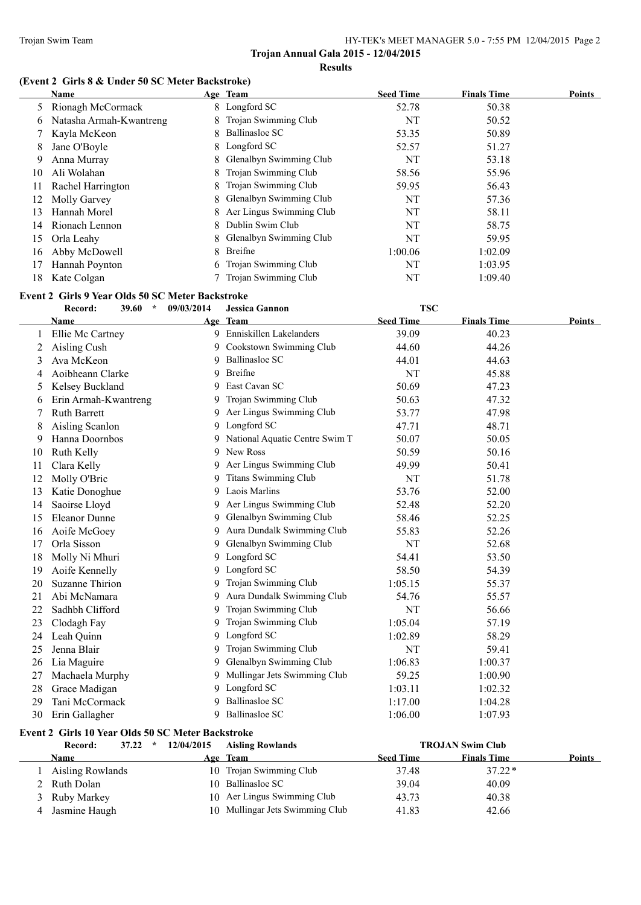#### **(Event 2 Girls 8 & Under 50 SC Meter Backstroke)**

|              | Name                    |    | Age Team                   | <b>Seed Time</b> | <b>Finals Time</b> | <b>Points</b> |
|--------------|-------------------------|----|----------------------------|------------------|--------------------|---------------|
| 5            | Rionagh McCormack       |    | 8 Longford SC              | 52.78            | 50.38              |               |
| <sub>0</sub> | Natasha Armah-Kwantreng |    | 8 Trojan Swimming Club     | NT               | 50.52              |               |
|              | Kayla McKeon            | 8. | Ballinasloe SC             | 53.35            | 50.89              |               |
| 8            | Jane O'Boyle            |    | 8 Longford SC              | 52.57            | 51.27              |               |
| 9            | Anna Murray             |    | 8 Glenalbyn Swimming Club  | NT               | 53.18              |               |
| 10           | Ali Wolahan             |    | 8 Trojan Swimming Club     | 58.56            | 55.96              |               |
| 11           | Rachel Harrington       |    | 8 Trojan Swimming Club     | 59.95            | 56.43              |               |
| 12           | Molly Garvey            |    | 8 Glenalbyn Swimming Club  | NT               | 57.36              |               |
| 13           | Hannah Morel            |    | 8 Aer Lingus Swimming Club | NT               | 58.11              |               |
| 14           | Rionach Lennon          |    | 8 Dublin Swim Club         | NT               | 58.75              |               |
| 15           | Orla Leahy              |    | 8 Glenalbyn Swimming Club  | NT               | 59.95              |               |
| 16           | Abby McDowell           | 8  | Breifne                    | 1:00.06          | 1:02.09            |               |
| 17           | Hannah Poynton          |    | 6 Trojan Swimming Club     | NT               | 1:03.95            |               |
| 18           | Kate Colgan             |    | 7 Trojan Swimming Club     | NT               | 1:09.40            |               |

# **Event 2 Girls 9 Year Olds 50 SC Meter Backstroke**<br> **Because 20 60**  $*$  00/03/2014 **Legion**

|    | Record:                                           | <b>39.60</b><br>$\star$ | 09/03/2014 | <b>Jessica Gannon</b>          | <b>TSC</b>       |                         |        |
|----|---------------------------------------------------|-------------------------|------------|--------------------------------|------------------|-------------------------|--------|
|    | Name                                              |                         |            | Age Team                       | <b>Seed Time</b> | <b>Finals Time</b>      | Points |
|    | Ellie Mc Cartney                                  |                         |            | 9 Enniskillen Lakelanders      | 39.09            | 40.23                   |        |
| 2  | Aisling Cush                                      |                         |            | Cookstown Swimming Club        | 44.60            | 44.26                   |        |
| 3  | Ava McKeon                                        |                         | 9          | <b>Ballinasloe SC</b>          | 44.01            | 44.63                   |        |
| 4  | Aoibheann Clarke                                  |                         | 9          | <b>Breifne</b>                 | NT               | 45.88                   |        |
| 5  | Kelsey Buckland                                   |                         | 9          | East Cavan SC                  | 50.69            | 47.23                   |        |
| 6  | Erin Armah-Kwantreng                              |                         |            | Trojan Swimming Club           | 50.63            | 47.32                   |        |
| 7  | <b>Ruth Barrett</b>                               |                         |            | Aer Lingus Swimming Club       | 53.77            | 47.98                   |        |
| 8  | Aisling Scanlon                                   |                         | 9          | Longford SC                    | 47.71            | 48.71                   |        |
| 9  | Hanna Doornbos                                    |                         |            | National Aquatic Centre Swim T | 50.07            | 50.05                   |        |
| 10 | Ruth Kelly                                        |                         | 9          | New Ross                       | 50.59            | 50.16                   |        |
| 11 | Clara Kelly                                       |                         | 9          | Aer Lingus Swimming Club       | 49.99            | 50.41                   |        |
| 12 | Molly O'Bric                                      |                         |            | <b>Titans Swimming Club</b>    | NT               | 51.78                   |        |
| 13 | Katie Donoghue                                    |                         | 9          | Laois Marlins                  | 53.76            | 52.00                   |        |
| 14 | Saoirse Lloyd                                     |                         | 9          | Aer Lingus Swimming Club       | 52.48            | 52.20                   |        |
| 15 | Eleanor Dunne                                     |                         | 9          | Glenalbyn Swimming Club        | 58.46            | 52.25                   |        |
| 16 | Aoife McGoey                                      |                         | 9          | Aura Dundalk Swimming Club     | 55.83            | 52.26                   |        |
| 17 | Orla Sisson                                       |                         | 9          | Glenalbyn Swimming Club        | NT               | 52.68                   |        |
| 18 | Molly Ni Mhuri                                    |                         | 9          | Longford SC                    | 54.41            | 53.50                   |        |
| 19 | Aoife Kennelly                                    |                         | 9          | Longford SC                    | 58.50            | 54.39                   |        |
| 20 | <b>Suzanne Thirion</b>                            |                         | 9          | Trojan Swimming Club           | 1:05.15          | 55.37                   |        |
| 21 | Abi McNamara                                      |                         | 9          | Aura Dundalk Swimming Club     | 54.76            | 55.57                   |        |
| 22 | Sadhbh Clifford                                   |                         | 9          | Trojan Swimming Club           | NT               | 56.66                   |        |
| 23 | Clodagh Fay                                       |                         | 9          | Trojan Swimming Club           | 1:05.04          | 57.19                   |        |
| 24 | Leah Quinn                                        |                         | 9          | Longford SC                    | 1:02.89          | 58.29                   |        |
| 25 | Jenna Blair                                       |                         | 9          | Trojan Swimming Club           | NT               | 59.41                   |        |
| 26 | Lia Maguire                                       |                         | 9          | Glenalbyn Swimming Club        | 1:06.83          | 1:00.37                 |        |
| 27 | Machaela Murphy                                   |                         | 9          | Mullingar Jets Swimming Club   | 59.25            | 1:00.90                 |        |
| 28 | Grace Madigan                                     |                         | 9          | Longford SC                    | 1:03.11          | 1:02.32                 |        |
| 29 | Tani McCormack                                    |                         |            | <b>Ballinasloe SC</b>          | 1:17.00          | 1:04.28                 |        |
| 30 | Erin Gallagher                                    |                         |            | 9 Ballinasloe SC               | 1:06.00          | 1:07.93                 |        |
|    | Event 2 Girls 10 Year Olds 50 SC Meter Backstroke |                         |            |                                |                  |                         |        |
|    | Record:                                           | $\star$<br>37.22        | 12/04/2015 | <b>Aisling Rowlands</b>        |                  | <b>TROJAN Swim Club</b> |        |
|    | Name                                              |                         |            | Age Team                       | <b>Seed Time</b> | <b>Finals Time</b>      | Points |
| 1  | <b>Aisling Rowlands</b>                           |                         |            | 10 Trojan Swimming Club        | 37.48            | $37.22*$                |        |
| 2  | Ruth Dolan                                        |                         |            | 10 Ballinasloe SC              | 39.04            | 40.09                   |        |

 Ruby Markey 10 Aer Lingus Swimming Club 43.73 40.38 4 Jasmine Haugh 10 Mullingar Jets Swimming Club 41.83 42.66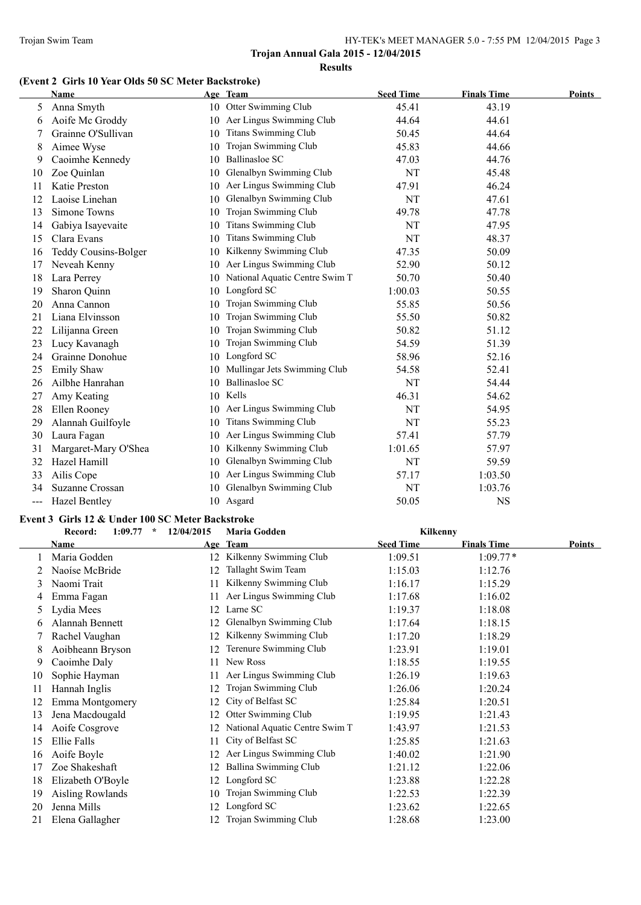# **(Event 2 Girls 10 Year Olds 50 SC Meter Backstroke)**

|     | <b>Name</b>          |    | Age Team                       | <b>Seed Time</b> | <b>Finals Time</b> | Points |
|-----|----------------------|----|--------------------------------|------------------|--------------------|--------|
| 5   | Anna Smyth           |    | 10 Otter Swimming Club         | 45.41            | 43.19              |        |
| 6   | Aoife Mc Groddy      | 10 | Aer Lingus Swimming Club       | 44.64            | 44.61              |        |
|     | Grainne O'Sullivan   | 10 | <b>Titans Swimming Club</b>    | 50.45            | 44.64              |        |
| 8   | Aimee Wyse           | 10 | Trojan Swimming Club           | 45.83            | 44.66              |        |
| 9   | Caoimhe Kennedy      | 10 | Ballinasloe SC                 | 47.03            | 44.76              |        |
| 10  | Zoe Quinlan          | 10 | Glenalbyn Swimming Club        | NT               | 45.48              |        |
| 11  | Katie Preston        | 10 | Aer Lingus Swimming Club       | 47.91            | 46.24              |        |
| 12  | Laoise Linehan       | 10 | Glenalbyn Swimming Club        | NT               | 47.61              |        |
| 13  | Simone Towns         | 10 | Trojan Swimming Club           | 49.78            | 47.78              |        |
| 14  | Gabiya Isayevaite    | 10 | <b>Titans Swimming Club</b>    | NT               | 47.95              |        |
| 15  | Clara Evans          | 10 | <b>Titans Swimming Club</b>    | NT               | 48.37              |        |
| 16  | Teddy Cousins-Bolger | 10 | Kilkenny Swimming Club         | 47.35            | 50.09              |        |
| 17  | Neveah Kenny         | 10 | Aer Lingus Swimming Club       | 52.90            | 50.12              |        |
| 18  | Lara Perrey          | 10 | National Aquatic Centre Swim T | 50.70            | 50.40              |        |
| 19  | Sharon Quinn         | 10 | Longford SC                    | 1:00.03          | 50.55              |        |
| 20  | Anna Cannon          | 10 | Trojan Swimming Club           | 55.85            | 50.56              |        |
| 21  | Liana Elvinsson      | 10 | Trojan Swimming Club           | 55.50            | 50.82              |        |
| 22  | Lilijanna Green      | 10 | Trojan Swimming Club           | 50.82            | 51.12              |        |
| 23  | Lucy Kavanagh        | 10 | Trojan Swimming Club           | 54.59            | 51.39              |        |
| 24  | Grainne Donohue      | 10 | Longford SC                    | 58.96            | 52.16              |        |
| 25  | Emily Shaw           | 10 | Mullingar Jets Swimming Club   | 54.58            | 52.41              |        |
| 26  | Ailbhe Hanrahan      | 10 | <b>Ballinasloe SC</b>          | NT               | 54.44              |        |
| 27  | Amy Keating          | 10 | Kells                          | 46.31            | 54.62              |        |
| 28  | Ellen Rooney         | 10 | Aer Lingus Swimming Club       | NT               | 54.95              |        |
| 29  | Alannah Guilfoyle    | 10 | <b>Titans Swimming Club</b>    | NT               | 55.23              |        |
| 30  | Laura Fagan          | 10 | Aer Lingus Swimming Club       | 57.41            | 57.79              |        |
| 31  | Margaret-Mary O'Shea | 10 | Kilkenny Swimming Club         | 1:01.65          | 57.97              |        |
| 32  | Hazel Hamill         | 10 | Glenalbyn Swimming Club        | NT               | 59.59              |        |
| 33  | Ailis Cope           | 10 | Aer Lingus Swimming Club       | 57.17            | 1:03.50            |        |
| 34  | Suzanne Crossan      | 10 | Glenalbyn Swimming Club        | NT               | 1:03.76            |        |
| --- | <b>Hazel Bentley</b> |    | 10 Asgard                      | 50.05            | <b>NS</b>          |        |

#### **Event 3 Girls 12 & Under 100 SC Meter Backstroke**

|    | Record:<br>1:09.77<br>$\star$ | 12/04/2015 | <b>Maria Godden</b>            | Kilkenny         |                    |        |
|----|-------------------------------|------------|--------------------------------|------------------|--------------------|--------|
|    | <b>Name</b>                   | Age        | Team                           | <b>Seed Time</b> | <b>Finals Time</b> | Points |
|    | Maria Godden                  |            | 12 Kilkenny Swimming Club      | 1:09.51          | $1:09.77*$         |        |
|    | Naoíse McBride                | 12         | Tallaght Swim Team             | 1:15.03          | 1:12.76            |        |
| 3  | Naomi Trait                   | 11         | Kilkenny Swimming Club         | 1:16.17          | 1:15.29            |        |
| 4  | Emma Fagan                    | 11         | Aer Lingus Swimming Club       | 1:17.68          | 1:16.02            |        |
| 5. | Lydia Mees                    | 12         | Larne SC                       | 1:19.37          | 1:18.08            |        |
| 6  | Alannah Bennett               | 12         | Glenalbyn Swimming Club        | 1:17.64          | 1:18.15            |        |
|    | Rachel Vaughan                | 12         | Kilkenny Swimming Club         | 1:17.20          | 1:18.29            |        |
| 8  | Aoibheann Bryson              | 12         | Terenure Swimming Club         | 1:23.91          | 1:19.01            |        |
| 9  | Caoimhe Daly                  | 11         | New Ross                       | 1:18.55          | 1:19.55            |        |
| 10 | Sophie Hayman                 | 11         | Aer Lingus Swimming Club       | 1:26.19          | 1:19.63            |        |
| 11 | Hannah Inglis                 | 12         | Trojan Swimming Club           | 1:26.06          | 1:20.24            |        |
| 12 | Emma Montgomery               | 12         | City of Belfast SC             | 1:25.84          | 1:20.51            |        |
| 13 | Jena Macdougald               | 12         | Otter Swimming Club            | 1:19.95          | 1:21.43            |        |
| 14 | Aoife Cosgrove                |            | National Aquatic Centre Swim T | 1:43.97          | 1:21.53            |        |
| 15 | Ellie Falls                   | 11         | City of Belfast SC             | 1:25.85          | 1:21.63            |        |
| 16 | Aoife Boyle                   | 12         | Aer Lingus Swimming Club       | 1:40.02          | 1:21.90            |        |
| 17 | Zoe Shakeshaft                | 12         | Ballina Swimming Club          | 1:21.12          | 1:22.06            |        |
| 18 | Elizabeth O'Boyle             | 12         | Longford SC                    | 1:23.88          | 1:22.28            |        |
| 19 | <b>Aisling Rowlands</b>       | 10         | Trojan Swimming Club           | 1:22.53          | 1:22.39            |        |
| 20 | Jenna Mills                   | 12         | Longford SC                    | 1:23.62          | 1:22.65            |        |
| 21 | Elena Gallagher               | 12         | Trojan Swimming Club           | 1:28.68          | 1:23.00            |        |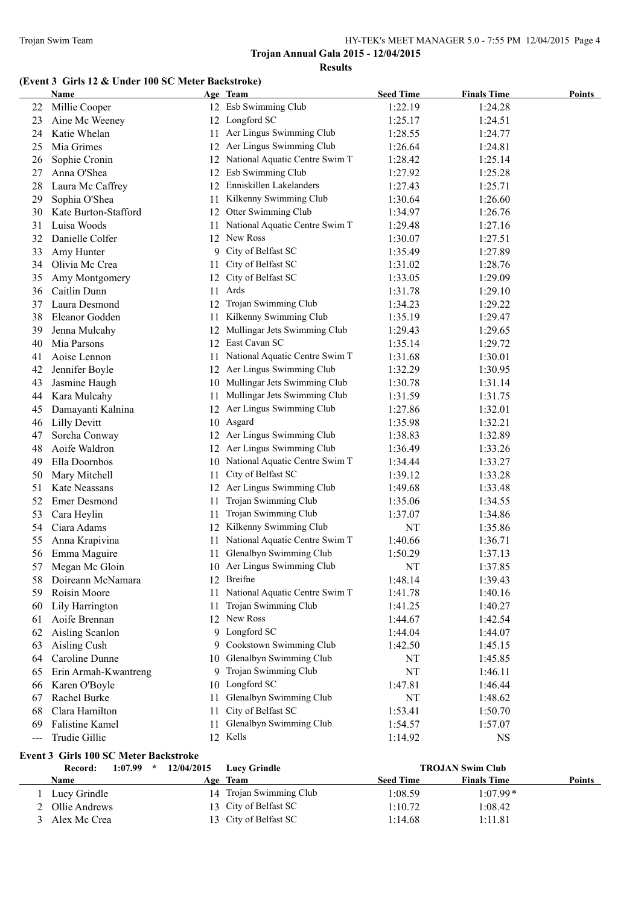# **(Event 3 Girls 12 & Under 100 SC Meter Backstroke)**

|     | <b>Name</b>          |     | Age Team                          | <b>Seed Time</b> | <b>Finals Time</b> | <b>Points</b> |
|-----|----------------------|-----|-----------------------------------|------------------|--------------------|---------------|
| 22  | Millie Cooper        |     | 12 Esb Swimming Club              | 1:22.19          | 1:24.28            |               |
| 23  | Aine Mc Weeney       |     | 12 Longford SC                    | 1:25.17          | 1:24.51            |               |
| 24  | Katie Whelan         |     | 11 Aer Lingus Swimming Club       | 1:28.55          | 1:24.77            |               |
| 25  | Mia Grimes           |     | 12 Aer Lingus Swimming Club       | 1:26.64          | 1:24.81            |               |
| 26  | Sophie Cronin        |     | 12 National Aquatic Centre Swim T | 1:28.42          | 1:25.14            |               |
| 27  | Anna O'Shea          |     | 12 Esb Swimming Club              | 1:27.92          | 1:25.28            |               |
| 28  | Laura Mc Caffrey     |     | 12 Enniskillen Lakelanders        | 1:27.43          | 1:25.71            |               |
| 29  | Sophia O'Shea        | 11  | Kilkenny Swimming Club            | 1:30.64          | 1:26.60            |               |
| 30  | Kate Burton-Stafford | 12  | Otter Swimming Club               | 1:34.97          | 1:26.76            |               |
| 31  | Luisa Woods          | 11  | National Aquatic Centre Swim T    | 1:29.48          | 1:27.16            |               |
| 32  | Danielle Colfer      | 12  | New Ross                          | 1:30.07          | 1:27.51            |               |
| 33  | Amy Hunter           | 9   | City of Belfast SC                | 1:35.49          | 1:27.89            |               |
| 34  | Olivia Mc Crea       | 11  | City of Belfast SC                | 1:31.02          | 1:28.76            |               |
| 35  | Amy Montgomery       | 12  | City of Belfast SC                | 1:33.05          | 1:29.09            |               |
| 36  | Caitlin Dunn         | 11  | Ards                              | 1:31.78          | 1:29.10            |               |
| 37  | Laura Desmond        | 12  | Trojan Swimming Club              | 1:34.23          | 1:29.22            |               |
| 38  | Eleanor Godden       | 11. | Kilkenny Swimming Club            | 1:35.19          | 1:29.47            |               |
| 39  | Jenna Mulcahy        | 12  | Mullingar Jets Swimming Club      | 1:29.43          | 1:29.65            |               |
| 40  | Mia Parsons          |     | 12 East Cavan SC                  | 1:35.14          | 1:29.72            |               |
| 41  | Aoise Lennon         | 11  | National Aquatic Centre Swim T    | 1:31.68          | 1:30.01            |               |
| 42  | Jennifer Boyle       |     | 12 Aer Lingus Swimming Club       | 1:32.29          | 1:30.95            |               |
| 43  | Jasmine Haugh        |     | 10 Mullingar Jets Swimming Club   | 1:30.78          | 1:31.14            |               |
| 44  | Kara Mulcahy         | 11  | Mullingar Jets Swimming Club      | 1:31.59          | 1:31.75            |               |
| 45  | Damayanti Kalnina    |     | 12 Aer Lingus Swimming Club       | 1:27.86          | 1:32.01            |               |
| 46  | <b>Lilly Devitt</b>  |     | 10 Asgard                         | 1:35.98          | 1:32.21            |               |
| 47  | Sorcha Conway        |     | 12 Aer Lingus Swimming Club       | 1:38.83          | 1:32.89            |               |
| 48  | Aoife Waldron        |     | 12 Aer Lingus Swimming Club       | 1:36.49          | 1:33.26            |               |
| 49  | Ella Doornbos        |     | 10 National Aquatic Centre Swim T | 1:34.44          | 1:33.27            |               |
| 50  | Mary Mitchell        | 11  | City of Belfast SC                | 1:39.12          | 1:33.28            |               |
| 51  | Kate Neassans        |     | 12 Aer Lingus Swimming Club       | 1:49.68          | 1:33.48            |               |
| 52  | <b>Emer Desmond</b>  | 11  | Trojan Swimming Club              | 1:35.06          | 1:34.55            |               |
| 53  | Cara Heylin          | 11  | Trojan Swimming Club              | 1:37.07          | 1:34.86            |               |
| 54  | Ciara Adams          | 12  | Kilkenny Swimming Club            | NT               | 1:35.86            |               |
| 55  | Anna Krapivina       | 11  | National Aquatic Centre Swim T    | 1:40.66          | 1:36.71            |               |
| 56  | Emma Maguire         | 11  | Glenalbyn Swimming Club           | 1:50.29          | 1:37.13            |               |
| 57  | Megan Mc Gloin       |     | 10 Aer Lingus Swimming Club       | NT               | 1:37.85            |               |
| 58  | Doireann McNamara    |     | 12 Breifne                        | 1:48.14          | 1:39.43            |               |
| 59  | Roisin Moore         | 11  | National Aquatic Centre Swim T    | 1:41.78          | 1:40.16            |               |
| 60  | Lily Harrington      | 11  | Trojan Swimming Club              | 1:41.25          | 1:40.27            |               |
| 61  | Aoife Brennan        |     | 12 New Ross                       | 1:44.67          | 1:42.54            |               |
| 62  | Aisling Scanlon      |     | 9 Longford SC                     | 1:44.04          | 1:44.07            |               |
| 63  | Aisling Cush         | 9.  | Cookstown Swimming Club           | 1:42.50          | 1:45.15            |               |
| 64  | Caroline Dunne       | 10  | Glenalbyn Swimming Club           | NT               | 1:45.85            |               |
| 65  | Erin Armah-Kwantreng | 9.  | Trojan Swimming Club              | NT               | 1:46.11            |               |
| 66  | Karen O'Boyle        |     | 10 Longford SC                    | 1:47.81          | 1:46.44            |               |
| 67  | Rachel Burke         | 11  | Glenalbyn Swimming Club           | NT               | 1:48.62            |               |
| 68  | Clara Hamilton       | 11  | City of Belfast SC                | 1:53.41          | 1:50.70            |               |
| 69  | Falistine Kamel      | 11  | Glenalbyn Swimming Club           | 1:54.57          | 1:57.07            |               |
| --- | Trudie Gillic        |     | 12 Kells                          | 1:14.92          | <b>NS</b>          |               |

| <b>Event 3 Girls 100 SC Meter Backstroke</b> |  |  |                                           |
|----------------------------------------------|--|--|-------------------------------------------|
|                                              |  |  | Record: 1:07.99 * 12/04/2015 Lucy Grindle |
|                                              |  |  |                                           |

| 1:07.99<br>Record:<br>$\star$ | 12/04/2015 | <b>Lucy Grindle</b>     |                  | <b>TROJAN Swim Club</b> |               |
|-------------------------------|------------|-------------------------|------------------|-------------------------|---------------|
| Name                          |            | Age Team                | <b>Seed Time</b> | <b>Finals Time</b>      | <b>Points</b> |
| Lucy Grindle                  |            | 14 Trojan Swimming Club | 1:08.59          | $1:07.99*$              |               |
| Ollie Andrews                 |            | 13 City of Belfast SC   | 1:10.72          | 1:08.42                 |               |
| Alex Mc Crea                  |            | 13 City of Belfast SC   | 1:14.68          | 1:11.81                 |               |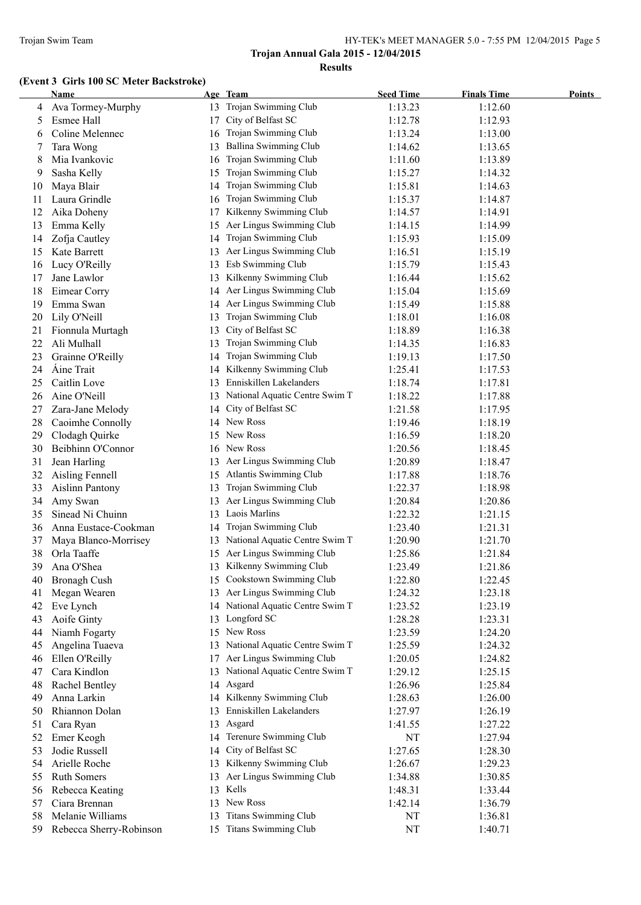#### Trojan Swim Team HY-TEK's MEET MANAGER 5.0 - 7:55 PM 12/04/2015 Page 5

# **Trojan Annual Gala 2015 - 12/04/2015 Results**

# **(Event 3 Girls 100 SC Meter Backstroke)**

|    | Name                    |    | Age Team                          | <b>Seed Time</b> | <b>Finals Time</b> | <b>Points</b> |
|----|-------------------------|----|-----------------------------------|------------------|--------------------|---------------|
|    | Ava Tormey-Murphy       |    | 13 Trojan Swimming Club           | 1:13.23          | 1:12.60            |               |
| 5  | Esmee Hall              | 17 | City of Belfast SC                | 1:12.78          | 1:12.93            |               |
| 6  | Coline Melennec         | 16 | Trojan Swimming Club              | 1:13.24          | 1:13.00            |               |
| 7  | Tara Wong               |    | <b>Ballina Swimming Club</b>      | 1:14.62          | 1:13.65            |               |
| 8  | Mia Ivankovic           | 16 | Trojan Swimming Club              | 1:11.60          | 1:13.89            |               |
| 9  | Sasha Kelly             | 15 | Trojan Swimming Club              | 1:15.27          | 1:14.32            |               |
| 10 | Maya Blair              | 14 | Trojan Swimming Club              | 1:15.81          | 1:14.63            |               |
| 11 | Laura Grindle           | 16 | Trojan Swimming Club              | 1:15.37          | 1:14.87            |               |
| 12 | Aika Doheny             | 17 | Kilkenny Swimming Club            | 1:14.57          | 1:14.91            |               |
| 13 | Emma Kelly              | 15 | Aer Lingus Swimming Club          | 1:14.15          | 1:14.99            |               |
| 14 | Zofja Cautley           | 14 | Trojan Swimming Club              | 1:15.93          | 1:15.09            |               |
| 15 | Kate Barrett            |    | 13 Aer Lingus Swimming Club       | 1:16.51          | 1:15.19            |               |
| 16 | Lucy O'Reilly           |    | 13 Esb Swimming Club              | 1:15.79          | 1:15.43            |               |
| 17 | Jane Lawlor             | 13 | Kilkenny Swimming Club            | 1:16.44          | 1:15.62            |               |
| 18 | Eimear Corry            |    | 14 Aer Lingus Swimming Club       | 1:15.04          | 1:15.69            |               |
| 19 | Emma Swan               |    | 14 Aer Lingus Swimming Club       | 1:15.49          | 1:15.88            |               |
| 20 | Lily O'Neill            | 13 | Trojan Swimming Club              | 1:18.01          | 1:16.08            |               |
| 21 | Fionnula Murtagh        | 13 | City of Belfast SC                | 1:18.89          | 1:16.38            |               |
| 22 | Ali Mulhall             | 13 | Trojan Swimming Club              | 1:14.35          | 1:16.83            |               |
| 23 | Grainne O'Reilly        | 14 | Trojan Swimming Club              | 1:19.13          | 1:17.50            |               |
| 24 | Aine Trait              | 14 | Kilkenny Swimming Club            | 1:25.41          | 1:17.53            |               |
| 25 | Caitlin Love            | 13 | Enniskillen Lakelanders           | 1:18.74          | 1:17.81            |               |
| 26 | Aine O'Neill            | 13 | National Aquatic Centre Swim T    | 1:18.22          | 1:17.88            |               |
| 27 | Zara-Jane Melody        | 14 | City of Belfast SC                | 1:21.58          | 1:17.95            |               |
| 28 | Caoimhe Connolly        | 14 | New Ross                          | 1:19.46          | 1:18.19            |               |
| 29 | Clodagh Quirke          | 15 | New Ross                          | 1:16.59          | 1:18.20            |               |
| 30 | Beibhinn O'Connor       | 16 | New Ross                          | 1:20.56          | 1:18.45            |               |
| 31 | Jean Harling            | 13 | Aer Lingus Swimming Club          | 1:20.89          | 1:18.47            |               |
| 32 | Aisling Fennell         | 15 | Atlantis Swimming Club            | 1:17.88          | 1:18.76            |               |
| 33 | <b>Aislinn Pantony</b>  | 13 | Trojan Swimming Club              | 1:22.37          | 1:18.98            |               |
| 34 | Amy Swan                | 13 | Aer Lingus Swimming Club          | 1:20.84          | 1:20.86            |               |
| 35 | Sinead Ni Chuinn        | 13 | Laois Marlins                     | 1:22.32          | 1:21.15            |               |
| 36 | Anna Eustace-Cookman    | 14 | Trojan Swimming Club              | 1:23.40          | 1:21.31            |               |
| 37 | Maya Blanco-Morrisey    | 13 | National Aquatic Centre Swim T    | 1:20.90          | 1:21.70            |               |
| 38 | Orla Taaffe             |    | 15 Aer Lingus Swimming Club       | 1:25.86          | 1:21.84            |               |
| 39 | Ana O'Shea              |    | 13 Kilkenny Swimming Club         | 1:23.49          | 1:21.86            |               |
| 40 | Bronagh Cush            |    | 15 Cookstown Swimming Club        | 1:22.80          | 1:22.45            |               |
| 41 | Megan Wearen            |    | 13 Aer Lingus Swimming Club       | 1:24.32          | 1:23.18            |               |
| 42 | Eve Lynch               |    | 14 National Aquatic Centre Swim T | 1:23.52          | 1:23.19            |               |
| 43 | Aoife Ginty             | 13 | Longford SC                       | 1:28.28          | 1:23.31            |               |
| 44 | Niamh Fogarty           |    | 15 New Ross                       | 1:23.59          | 1:24.20            |               |
| 45 | Angelina Tuaeva         | 13 | National Aquatic Centre Swim T    | 1:25.59          | 1:24.32            |               |
| 46 | Ellen O'Reilly          | 17 | Aer Lingus Swimming Club          | 1:20.05          | 1:24.82            |               |
| 47 | Cara Kindlon            | 13 | National Aquatic Centre Swim T    | 1:29.12          | 1:25.15            |               |
| 48 | Rachel Bentley          | 14 | Asgard                            | 1:26.96          | 1:25.84            |               |
| 49 | Anna Larkin             |    | 14 Kilkenny Swimming Club         | 1:28.63          | 1:26.00            |               |
| 50 | Rhiannon Dolan          | 13 | Enniskillen Lakelanders           | 1:27.97          | 1:26.19            |               |
| 51 | Cara Ryan               | 13 | Asgard                            | 1:41.55          | 1:27.22            |               |
| 52 | Emer Keogh              | 14 | Terenure Swimming Club            | NT               | 1:27.94            |               |
| 53 | Jodie Russell           | 14 | City of Belfast SC                | 1:27.65          | 1:28.30            |               |
| 54 | Arielle Roche           | 13 | Kilkenny Swimming Club            | 1:26.67          | 1:29.23            |               |
| 55 | Ruth Somers             | 13 | Aer Lingus Swimming Club          | 1:34.88          | 1:30.85            |               |
| 56 | Rebecca Keating         | 13 | Kells                             | 1:48.31          | 1:33.44            |               |
| 57 | Ciara Brennan           | 13 | New Ross                          | 1:42.14          | 1:36.79            |               |
| 58 | Melanie Williams        | 13 | Titans Swimming Club              | NT               | 1:36.81            |               |
| 59 | Rebecca Sherry-Robinson |    | 15 Titans Swimming Club           | NT               | 1:40.71            |               |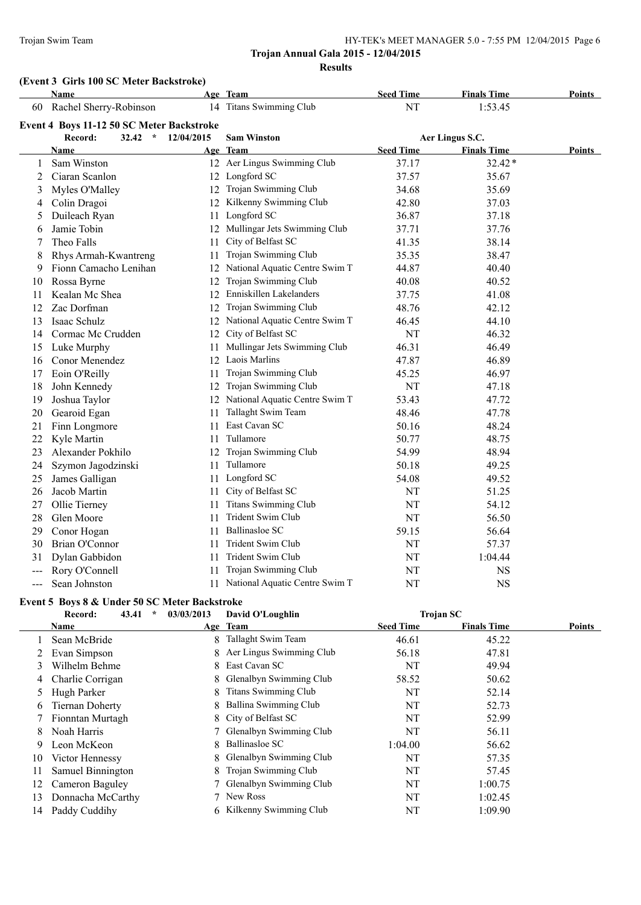#### Trojan Swim Team HY-TEK's MEET MANAGER 5.0 - 7:55 PM 12/04/2015 Page 6

# **Trojan Annual Gala 2015 - 12/04/2015 Results**

# **(Event 3 Girls 100 SC Meter Backstroke)**

|                     | Name                                      |            | Age Team                          | <b>Seed Time</b> | <b>Finals Time</b> | Points |
|---------------------|-------------------------------------------|------------|-----------------------------------|------------------|--------------------|--------|
| 60                  | Rachel Sherry-Robinson                    |            | 14 Titans Swimming Club           | NT               | 1:53.45            |        |
|                     | Event 4 Boys 11-12 50 SC Meter Backstroke |            |                                   |                  |                    |        |
|                     | Record:<br>32.42<br>$\star$               | 12/04/2015 | <b>Sam Winston</b>                |                  | Aer Lingus S.C.    |        |
|                     | <b>Name</b>                               |            | Age Team                          | <b>Seed Time</b> | <b>Finals Time</b> | Points |
| 1                   | Sam Winston                               |            | 12 Aer Lingus Swimming Club       | 37.17            | 32.42*             |        |
| 2                   | Ciaran Scanlon                            |            | 12 Longford SC                    | 37.57            | 35.67              |        |
| 3                   | Myles O'Malley                            |            | 12 Trojan Swimming Club           | 34.68            | 35.69              |        |
| 4                   | Colin Dragoi                              |            | 12 Kilkenny Swimming Club         | 42.80            | 37.03              |        |
| 5                   | Duileach Ryan                             | 11         | Longford SC                       | 36.87            | 37.18              |        |
| 6                   | Jamie Tobin                               |            | 12 Mullingar Jets Swimming Club   | 37.71            | 37.76              |        |
| 7                   | Theo Falls                                | 11         | City of Belfast SC                | 41.35            | 38.14              |        |
| 8                   | Rhys Armah-Kwantreng                      | 11         | Trojan Swimming Club              | 35.35            | 38.47              |        |
| 9                   | Fionn Camacho Lenihan                     |            | 12 National Aquatic Centre Swim T | 44.87            | 40.40              |        |
| 10                  | Rossa Byrne                               | 12         | Trojan Swimming Club              | 40.08            | 40.52              |        |
| 11                  | Kealan Mc Shea                            |            | 12 Enniskillen Lakelanders        | 37.75            | 41.08              |        |
| 12                  | Zac Dorfman                               |            | 12 Trojan Swimming Club           | 48.76            | 42.12              |        |
| 13                  | Isaac Schulz                              |            | 12 National Aquatic Centre Swim T | 46.45            | 44.10              |        |
| 14                  | Cormac Mc Crudden                         |            | 12 City of Belfast SC             | NT               | 46.32              |        |
| 15                  | Luke Murphy                               | 11         | Mullingar Jets Swimming Club      | 46.31            | 46.49              |        |
| 16                  | Conor Menendez                            |            | 12 Laois Marlins                  | 47.87            | 46.89              |        |
| 17                  | Eoin O'Reilly                             | 11         | Trojan Swimming Club              | 45.25            | 46.97              |        |
| 18                  | John Kennedy                              | 12         | Trojan Swimming Club              | NT               | 47.18              |        |
| 19                  | Joshua Taylor                             |            | 12 National Aquatic Centre Swim T | 53.43            | 47.72              |        |
| 20                  | Gearoid Egan                              | 11         | Tallaght Swim Team                | 48.46            | 47.78              |        |
| 21                  | Finn Longmore                             | 11         | East Cavan SC                     | 50.16            | 48.24              |        |
| 22                  | Kyle Martin                               | 11         | Tullamore                         | 50.77            | 48.75              |        |
| 23                  | Alexander Pokhilo                         |            | 12 Trojan Swimming Club           | 54.99            | 48.94              |        |
| 24                  | Szymon Jagodzinski                        | 11         | Tullamore                         | 50.18            | 49.25              |        |
| 25                  | James Galligan                            | 11         | Longford SC                       | 54.08            | 49.52              |        |
| 26                  | Jacob Martin                              | 11         | City of Belfast SC                | NT               | 51.25              |        |
| 27                  | Ollie Tierney                             | 11         | <b>Titans Swimming Club</b>       | NT               | 54.12              |        |
| 28                  | Glen Moore                                | 11         | Trident Swim Club                 | NT               | 56.50              |        |
| 29                  | Conor Hogan                               | 11         | <b>Ballinasloe SC</b>             | 59.15            | 56.64              |        |
| 30                  | Brian O'Connor                            | 11         | Trident Swim Club                 | NT               | 57.37              |        |
| 31                  | Dylan Gabbidon                            | 11         | Trident Swim Club                 | NT               | 1:04.44            |        |
| $---$               | Rory O'Connell                            | 11         | Trojan Swimming Club              | NT               | <b>NS</b>          |        |
| $\qquad \qquad - -$ | Sean Johnston                             |            | 11 National Aquatic Centre Swim T | NT               | <b>NS</b>          |        |

#### **Event 5 Boys 8 & Under 50 SC Meter Backstroke**

|    | 43.41<br>$\star$<br>Record: | 03/03/2013 | David O'Loughlin            | <b>Trojan SC</b> |                    |        |
|----|-----------------------------|------------|-----------------------------|------------------|--------------------|--------|
|    | Name                        |            | Age Team                    | <b>Seed Time</b> | <b>Finals Time</b> | Points |
|    | Sean McBride                | 8.         | Tallaght Swim Team          | 46.61            | 45.22              |        |
|    | Evan Simpson                |            | 8 Aer Lingus Swimming Club  | 56.18            | 47.81              |        |
| 3  | Wilhelm Behme               |            | 8 East Cavan SC             | NT               | 49.94              |        |
| 4  | Charlie Corrigan            | 8.         | Glenalbyn Swimming Club     | 58.52            | 50.62              |        |
| 5  | Hugh Parker                 | 8          | <b>Titans Swimming Club</b> | NT               | 52.14              |        |
| 6  | <b>Tiernan Doherty</b>      | 8.         | Ballina Swimming Club       | NT               | 52.73              |        |
|    | Fionntan Murtagh            |            | 8 City of Belfast SC        | NT               | 52.99              |        |
| 8  | Noah Harris                 |            | 7 Glenalbyn Swimming Club   | NT               | 56.11              |        |
| 9  | Leon McKeon                 | 8          | Ballinasloe SC              | 1:04.00          | 56.62              |        |
| 10 | Victor Hennessy             |            | 8 Glenalbyn Swimming Club   | NT               | 57.35              |        |
| 11 | Samuel Binnington           | 8          | Trojan Swimming Club        | NT               | 57.45              |        |
| 12 | Cameron Baguley             |            | 7 Glenalbyn Swimming Club   | NT               | 1:00.75            |        |
| 13 | Donnacha McCarthy           |            | New Ross                    | NT               | 1:02.45            |        |
| 14 | Paddy Cuddihy               |            | 6 Kilkenny Swimming Club    | NT               | 1:09.90            |        |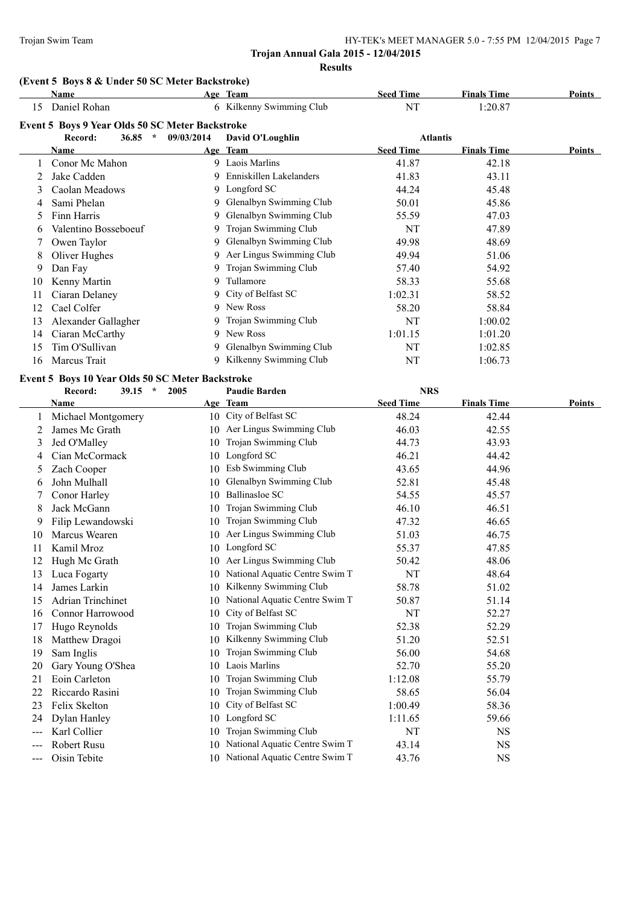# **(Event 5 Boys 8 & Under 50 SC Meter Backstroke)**

|    | Name                                            |            | Age Team                  | <b>Seed Time</b> | <b>Finals Time</b> | <b>Points</b> |
|----|-------------------------------------------------|------------|---------------------------|------------------|--------------------|---------------|
| 15 | Daniel Rohan                                    |            | 6 Kilkenny Swimming Club  | NT               | 1:20.87            |               |
|    | Event 5 Boys 9 Year Olds 50 SC Meter Backstroke |            |                           |                  |                    |               |
|    | 36.85<br>Record:<br>$\ast$                      | 09/03/2014 | David O'Loughlin          | <b>Atlantis</b>  |                    |               |
|    | Name                                            |            | Age Team                  | <b>Seed Time</b> | <b>Finals Time</b> | <b>Points</b> |
|    | Conor Mc Mahon                                  |            | 9 Laois Marlins           | 41.87            | 42.18              |               |
|    | Jake Cadden                                     |            | 9 Enniskillen Lakelanders | 41.83            | 43.11              |               |
| 3  | Caolan Meadows                                  | 9          | Longford SC               | 44.24            | 45.48              |               |
|    | Sami Phelan                                     | 9          | Glenalbyn Swimming Club   | 50.01            | 45.86              |               |
| 5  | Finn Harris                                     |            | Glenalbyn Swimming Club   | 55.59            | 47.03              |               |
| 6  | Valentino Bosseboeuf                            | 9          | Trojan Swimming Club      | NT               | 47.89              |               |
|    | Owen Taylor                                     | 9.         | Glenalbyn Swimming Club   | 49.98            | 48.69              |               |
| 8  | Oliver Hughes                                   | 9          | Aer Lingus Swimming Club  | 49.94            | 51.06              |               |
| 9  | Dan Fay                                         | 9          | Trojan Swimming Club      | 57.40            | 54.92              |               |
| 10 | Kenny Martin                                    | 9          | Tullamore                 | 58.33            | 55.68              |               |
| 11 | Ciaran Delaney                                  |            | 9 City of Belfast SC      | 1:02.31          | 58.52              |               |
| 12 | Cael Colfer                                     | 9          | New Ross                  | 58.20            | 58.84              |               |
| 13 | Alexander Gallagher                             | 9          | Trojan Swimming Club      | NT               | 1:00.02            |               |
| 14 | Ciaran McCarthy                                 | 9          | New Ross                  | 1:01.15          | 1:01.20            |               |
| 15 | Tim O'Sullivan                                  | 9          | Glenalbyn Swimming Club   | NT               | 1:02.85            |               |
| 16 | Marcus Trait                                    | 9          | Kilkenny Swimming Club    | NT               | 1:06.73            |               |

#### **Event 5 Boys 10 Year Olds 50 SC Meter Backstroke**

|       | $\star$<br>Record:<br>39.15<br>2005 | <b>Paudie Barden</b>                 | <b>NRS</b>                             |               |
|-------|-------------------------------------|--------------------------------------|----------------------------------------|---------------|
|       | Name                                | Age Team                             | <b>Seed Time</b><br><b>Finals Time</b> | <b>Points</b> |
|       | Michael Montgomery                  | 10 City of Belfast SC                | 48.24<br>42.44                         |               |
| 2     | James Mc Grath                      | Aer Lingus Swimming Club<br>10       | 46.03<br>42.55                         |               |
| 3     | Jed O'Malley                        | Trojan Swimming Club<br>10           | 44.73<br>43.93                         |               |
| 4     | Cian McCormack                      | Longford SC<br>10                    | 46.21<br>44.42                         |               |
| 5     | Zach Cooper                         | Esb Swimming Club<br>10              | 43.65<br>44.96                         |               |
| 6     | John Mulhall                        | Glenalbyn Swimming Club<br>10        | 52.81<br>45.48                         |               |
|       | Conor Harley                        | <b>Ballinasloe SC</b><br>10          | 54.55<br>45.57                         |               |
| 8     | Jack McGann                         | Trojan Swimming Club<br>10           | 46.10<br>46.51                         |               |
| 9     | Filip Lewandowski                   | Trojan Swimming Club<br>10           | 47.32<br>46.65                         |               |
| 10    | Marcus Wearen                       | Aer Lingus Swimming Club<br>10       | 51.03<br>46.75                         |               |
| 11    | Kamil Mroz                          | Longford SC<br>10                    | 55.37<br>47.85                         |               |
| 12    | Hugh Mc Grath                       | Aer Lingus Swimming Club<br>10       | 48.06<br>50.42                         |               |
| 13    | Luca Fogarty                        | National Aquatic Centre Swim T<br>10 | NT<br>48.64                            |               |
| 14    | James Larkin                        | Kilkenny Swimming Club<br>10         | 58.78<br>51.02                         |               |
| 15    | <b>Adrian Trinchinet</b>            | National Aquatic Centre Swim T<br>10 | 50.87<br>51.14                         |               |
| 16    | <b>Connor Harrowood</b>             | City of Belfast SC<br>10             | NT<br>52.27                            |               |
| 17    | Hugo Reynolds                       | Trojan Swimming Club<br>10           | 52.38<br>52.29                         |               |
| 18    | Matthew Dragoi                      | Kilkenny Swimming Club<br>10         | 52.51<br>51.20                         |               |
| 19    | Sam Inglis                          | Trojan Swimming Club<br>10           | 56.00<br>54.68                         |               |
| 20    | Gary Young O'Shea                   | Laois Marlins<br>10                  | 52.70<br>55.20                         |               |
| 21    | Eoin Carleton                       | Trojan Swimming Club<br>10           | 1:12.08<br>55.79                       |               |
| 22    | Riccardo Rasini                     | Trojan Swimming Club<br>10           | 58.65<br>56.04                         |               |
| 23    | Felix Skelton                       | City of Belfast SC<br>10             | 1:00.49<br>58.36                       |               |
| 24    | Dylan Hanley                        | Longford SC<br>10                    | 1:11.65<br>59.66                       |               |
|       | Karl Collier                        | Trojan Swimming Club<br>10           | NT<br><b>NS</b>                        |               |
| ---   | Robert Rusu                         | National Aquatic Centre Swim T<br>10 | <b>NS</b><br>43.14                     |               |
| $---$ | Oisin Tebite                        | 10 National Aquatic Centre Swim T    | 43.76<br><b>NS</b>                     |               |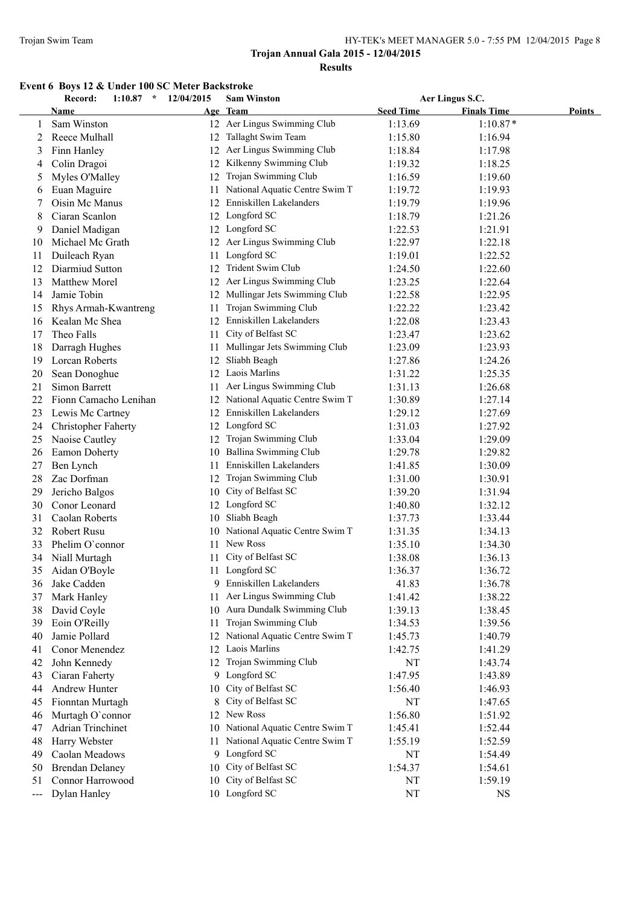# **Event 6 Boys 12 & Under 100 SC Meter Backstroke**

|                     | Record:<br>1:10.87<br>$\star$ | 12/04/2015 | <b>Sam Winston</b>                |                  | Aer Lingus S.C.    |               |
|---------------------|-------------------------------|------------|-----------------------------------|------------------|--------------------|---------------|
|                     | Name                          |            | Age Team                          | <b>Seed Time</b> | <b>Finals Time</b> | <b>Points</b> |
| 1                   | Sam Winston                   |            | 12 Aer Lingus Swimming Club       | 1:13.69          | $1:10.87*$         |               |
| 2                   | Reece Mulhall                 | 12         | Tallaght Swim Team                | 1:15.80          | 1:16.94            |               |
| 3                   | Finn Hanley                   |            | 12 Aer Lingus Swimming Club       | 1:18.84          | 1:17.98            |               |
| 4                   | Colin Dragoi                  | 12         | Kilkenny Swimming Club            | 1:19.32          | 1:18.25            |               |
| 5                   | Myles O'Malley                | 12         | Trojan Swimming Club              | 1:16.59          | 1:19.60            |               |
| 6                   | Euan Maguire                  | 11         | National Aquatic Centre Swim T    | 1:19.72          | 1:19.93            |               |
| 7                   | Oisin Mc Manus                |            | 12 Enniskillen Lakelanders        | 1:19.79          | 1:19.96            |               |
| 8                   | Ciaran Scanlon                |            | 12 Longford SC                    | 1:18.79          | 1:21.26            |               |
| 9                   | Daniel Madigan                |            | 12 Longford SC                    | 1:22.53          | 1:21.91            |               |
| 10                  | Michael Mc Grath              |            | 12 Aer Lingus Swimming Club       | 1:22.97          | 1:22.18            |               |
| 11                  | Duileach Ryan                 | 11         | Longford SC                       | 1:19.01          | 1:22.52            |               |
| 12                  | Diarmiud Sutton               | 12         | Trident Swim Club                 | 1:24.50          | 1:22.60            |               |
| 13                  | Matthew Morel                 | 12         | Aer Lingus Swimming Club          | 1:23.25          | 1:22.64            |               |
| 14                  | Jamie Tobin                   | 12         | Mullingar Jets Swimming Club      | 1:22.58          | 1:22.95            |               |
| 15                  | Rhys Armah-Kwantreng          | 11         | Trojan Swimming Club              | 1:22.22          | 1:23.42            |               |
| 16                  | Kealan Mc Shea                | 12         | Enniskillen Lakelanders           | 1:22.08          | 1:23.43            |               |
| 17                  | Theo Falls                    | 11         | City of Belfast SC                | 1:23.47          | 1:23.62            |               |
| 18                  | Darragh Hughes                | 11         | Mullingar Jets Swimming Club      | 1:23.09          | 1:23.93            |               |
| 19                  | Lorcan Roberts                | 12         | Sliabh Beagh                      | 1:27.86          | 1:24.26            |               |
| 20                  | Sean Donoghue                 | 12         | Laois Marlins                     | 1:31.22          | 1:25.35            |               |
| 21                  | Simon Barrett                 | 11         | Aer Lingus Swimming Club          | 1:31.13          | 1:26.68            |               |
| 22                  | Fionn Camacho Lenihan         |            | 12 National Aquatic Centre Swim T | 1:30.89          | 1:27.14            |               |
| 23                  | Lewis Mc Cartney              |            | 12 Enniskillen Lakelanders        | 1:29.12          | 1:27.69            |               |
|                     |                               |            | 12 Longford SC                    | 1:31.03          | 1:27.92            |               |
| 24                  | <b>Christopher Faherty</b>    |            | 12 Trojan Swimming Club           |                  |                    |               |
| 25                  | Naoise Cautley                |            | 10 Ballina Swimming Club          | 1:33.04          | 1:29.09            |               |
| 26                  | <b>Eamon Doherty</b>          |            | Enniskillen Lakelanders           | 1:29.78          | 1:29.82            |               |
| 27                  | Ben Lynch                     | 11         |                                   | 1:41.85          | 1:30.09            |               |
| 28                  | Zac Dorfman                   | 12         | Trojan Swimming Club              | 1:31.00          | 1:30.91            |               |
| 29                  | Jericho Balgos                | 10         | City of Belfast SC                | 1:39.20          | 1:31.94            |               |
| 30                  | Conor Leonard                 |            | 12 Longford SC                    | 1:40.80          | 1:32.12            |               |
| 31                  | Caolan Roberts                | 10         | Sliabh Beagh                      | 1:37.73          | 1:33.44            |               |
| 32                  | Robert Rusu                   | 10         | National Aquatic Centre Swim T    | 1:31.35          | 1:34.13            |               |
| 33                  | Phelim O'connor               | 11         | New Ross                          | 1:35.10          | 1:34.30            |               |
| 34                  | Niall Murtagh                 | 11         | City of Belfast SC                | 1:38.08          | 1:36.13            |               |
| 35                  | Aidan O'Boyle                 |            | 11 Longford SC                    | 1:36.37          | 1:36.72            |               |
| 36                  | Jake Cadden                   |            | 9 Enniskillen Lakelanders         | 41.83            | 1:36.78            |               |
| 37                  | Mark Hanley                   | 11         | Aer Lingus Swimming Club          | 1:41.42          | 1:38.22            |               |
| 38                  | David Coyle                   | 10         | Aura Dundalk Swimming Club        | 1:39.13          | 1:38.45            |               |
| 39                  | Eoin O'Reilly                 | 11         | Trojan Swimming Club              | 1:34.53          | 1:39.56            |               |
| 40                  | Jamie Pollard                 | 12         | National Aquatic Centre Swim T    | 1:45.73          | 1:40.79            |               |
| 41                  | Conor Menendez                | 12         | Laois Marlins                     | 1:42.75          | 1:41.29            |               |
| 42                  | John Kennedy                  | 12         | Trojan Swimming Club              | NT               | 1:43.74            |               |
| 43                  | Ciaran Faherty                |            | 9 Longford SC                     | 1:47.95          | 1:43.89            |               |
| 44                  | Andrew Hunter                 | 10         | City of Belfast SC                | 1:56.40          | 1:46.93            |               |
| 45                  | Fionntan Murtagh              | 8          | City of Belfast SC                | NT               | 1:47.65            |               |
| 46                  | Murtagh O'connor              | 12         | New Ross                          | 1:56.80          | 1:51.92            |               |
| 47                  | <b>Adrian Trinchinet</b>      | 10         | National Aquatic Centre Swim T    | 1:45.41          | 1:52.44            |               |
| 48                  | Harry Webster                 | 11         | National Aquatic Centre Swim T    | 1:55.19          | 1:52.59            |               |
| 49                  | Caolan Meadows                |            | 9 Longford SC                     | NT               | 1:54.49            |               |
| 50                  | <b>Brendan Delaney</b>        | 10         | City of Belfast SC                | 1:54.37          | 1:54.61            |               |
| 51                  | Connor Harrowood              | 10         | City of Belfast SC                | NT               | 1:59.19            |               |
| $\qquad \qquad - -$ | Dylan Hanley                  |            | 10 Longford SC                    | NT               | <b>NS</b>          |               |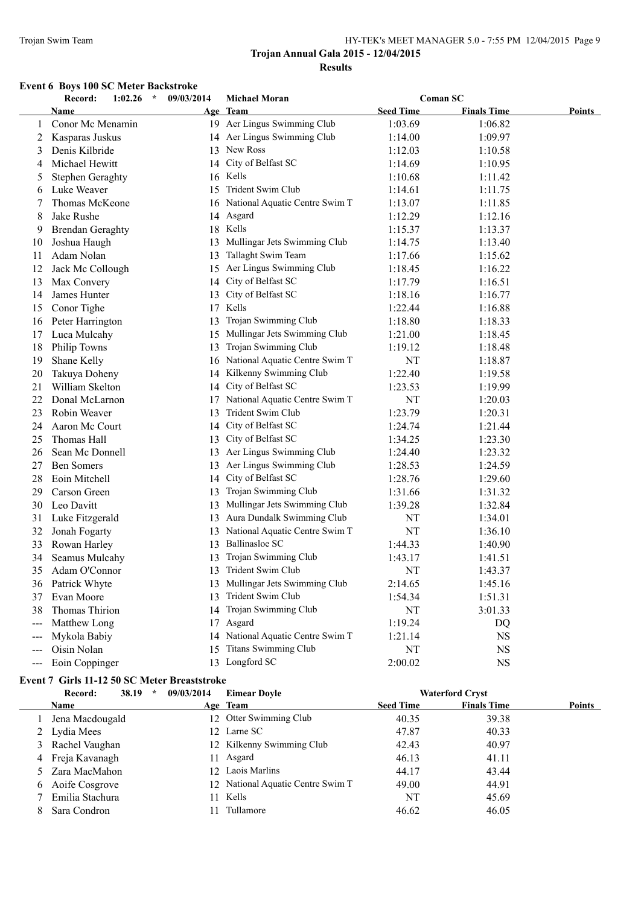#### Trojan Swim Team HY-TEK's MEET MANAGER 5.0 - 7:55 PM 12/04/2015 Page 9

# **Trojan Annual Gala 2015 - 12/04/2015 Results**

# **Event 6 Boys 100 SC Meter Backstroke**

|                            | Record:<br>1:02.26<br>$\star$ | 09/03/2014 | <b>Michael Moran</b>              |                  | <b>Coman SC</b>    |        |
|----------------------------|-------------------------------|------------|-----------------------------------|------------------|--------------------|--------|
|                            | Name                          |            | Age Team                          | <b>Seed Time</b> | <b>Finals Time</b> | Points |
|                            | Conor Mc Menamin              |            | 19 Aer Lingus Swimming Club       | 1:03.69          | 1:06.82            |        |
| 2                          | Kasparas Juskus               |            | 14 Aer Lingus Swimming Club       | 1:14.00          | 1:09.97            |        |
| 3                          | Denis Kilbride                |            | 13 New Ross                       | 1:12.03          | 1:10.58            |        |
| 4                          | Michael Hewitt                | 14         | City of Belfast SC                | 1:14.69          | 1:10.95            |        |
| 5                          | <b>Stephen Geraghty</b>       |            | 16 Kells                          | 1:10.68          | 1:11.42            |        |
| 6                          | Luke Weaver                   | 15         | Trident Swim Club                 | 1:14.61          | 1:11.75            |        |
| 7                          | Thomas McKeone                | 16         | National Aquatic Centre Swim T    | 1:13.07          | 1:11.85            |        |
| 8                          | Jake Rushe                    | 14         | Asgard                            | 1:12.29          | 1:12.16            |        |
| 9                          | <b>Brendan Geraghty</b>       |            | 18 Kells                          | 1:15.37          | 1:13.37            |        |
| 10                         | Joshua Haugh                  | 13         | Mullingar Jets Swimming Club      | 1:14.75          | 1:13.40            |        |
| 11                         | Adam Nolan                    | 13         | Tallaght Swim Team                | 1:17.66          | 1:15.62            |        |
| 12                         | Jack Mc Collough              |            | 15 Aer Lingus Swimming Club       | 1:18.45          | 1:16.22            |        |
| 13                         | Max Convery                   | 14         | City of Belfast SC                | 1:17.79          | 1:16.51            |        |
| 14                         | James Hunter                  | 13         | City of Belfast SC                | 1:18.16          | 1:16.77            |        |
| 15                         | Conor Tighe                   | 17         | Kells                             | 1:22.44          | 1:16.88            |        |
| 16                         | Peter Harrington              | 13         | Trojan Swimming Club              | 1:18.80          | 1:18.33            |        |
| 17                         | Luca Mulcahy                  |            | Mullingar Jets Swimming Club      | 1:21.00          | 1:18.45            |        |
| 18                         | Philip Towns                  | 13         | Trojan Swimming Club              | 1:19.12          | 1:18.48            |        |
| 19                         | Shane Kelly                   |            | National Aquatic Centre Swim T    | NT               | 1:18.87            |        |
| 20                         | Takuya Doheny                 |            | 14 Kilkenny Swimming Club         | 1:22.40          | 1:19.58            |        |
| 21                         | William Skelton               | 14         | City of Belfast SC                | 1:23.53          | 1:19.99            |        |
| 22                         | Donal McLarnon                |            | 17 National Aquatic Centre Swim T | NT               | 1:20.03            |        |
| 23                         | Robin Weaver                  | 13         | Trident Swim Club                 | 1:23.79          | 1:20.31            |        |
| 24                         | Aaron Mc Court                | 14         | City of Belfast SC                | 1:24.74          | 1:21.44            |        |
| 25                         | Thomas Hall                   |            | 13 City of Belfast SC             | 1:34.25          | 1:23.30            |        |
| 26                         | Sean Mc Donnell               |            | 13 Aer Lingus Swimming Club       | 1:24.40          | 1:23.32            |        |
| 27                         | <b>Ben Somers</b>             | 13         | Aer Lingus Swimming Club          | 1:28.53          | 1:24.59            |        |
| 28                         | Eoin Mitchell                 |            | 14 City of Belfast SC             | 1:28.76          | 1:29.60            |        |
| 29                         | Carson Green                  | 13         | Trojan Swimming Club              | 1:31.66          | 1:31.32            |        |
| 30                         | Leo Davitt                    | 13         | Mullingar Jets Swimming Club      | 1:39.28          | 1:32.84            |        |
| 31                         | Luke Fitzgerald               |            | 13 Aura Dundalk Swimming Club     | NT               | 1:34.01            |        |
| 32                         | Jonah Fogarty                 | 13         | National Aquatic Centre Swim T    | NT               | 1:36.10            |        |
| 33                         | Rowan Harley                  |            | 13 Ballinasloe SC                 | 1:44.33          | 1:40.90            |        |
| 34                         | Seamus Mulcahy                | 13         | Trojan Swimming Club              | 1:43.17          | 1:41.51            |        |
| 35                         | Adam O'Connor                 | 13         | Trident Swim Club                 | NT               | 1:43.37            |        |
| 36                         | Patrick Whyte                 |            | 13 Mullingar Jets Swimming Club   | 2:14.65          | 1:45.16            |        |
| 37                         | Evan Moore                    |            | 13 Trident Swim Club              | 1:54.34          | 1:51.31            |        |
| 38                         | Thomas Thirion                | 14         | Trojan Swimming Club              | NT               | 3:01.33            |        |
| $\qquad \qquad - \qquad -$ | Matthew Long                  | 17         | Asgard                            | 1:19.24          | DQ                 |        |
| $---$                      | Mykola Babiy                  | 14         | National Aquatic Centre Swim T    | 1:21.14          | <b>NS</b>          |        |
| $---$                      | Oisin Nolan                   | 15         | Titans Swimming Club              | NT               | <b>NS</b>          |        |
| $---$                      | Eoin Coppinger                |            | 13 Longford SC                    | 2:00.02          | $_{\rm NS}$        |        |

#### **Event 7 Girls 11-12 50 SC Meter Breaststroke**

|   | 38.19<br>Record: | 09/03/2014<br>$\star$ | <b>Eimear Doyle</b>               |                  | <b>Waterford Cryst</b> |               |
|---|------------------|-----------------------|-----------------------------------|------------------|------------------------|---------------|
|   | <b>Name</b>      |                       | Age Team                          | <b>Seed Time</b> | <b>Finals Time</b>     | <b>Points</b> |
|   | Jena Macdougald  |                       | 12 Otter Swimming Club            | 40.35            | 39.38                  |               |
| 2 | Lydia Mees       |                       | 12 Larne SC                       | 47.87            | 40.33                  |               |
| 3 | Rachel Vaughan   |                       | 12 Kilkenny Swimming Club         | 42.43            | 40.97                  |               |
|   | 4 Freja Kavanagh |                       | 11 Asgard                         | 46.13            | 41.11                  |               |
|   | 5 Zara MacMahon  |                       | 12 Laois Marlins                  | 44.17            | 43.44                  |               |
| 6 | Aoife Cosgrove   |                       | 12 National Aquatic Centre Swim T | 49.00            | 44.91                  |               |
|   | Emilia Stachura  |                       | 11 Kells                          | NT               | 45.69                  |               |
|   | Sara Condron     |                       | Tullamore                         | 46.62            | 46.05                  |               |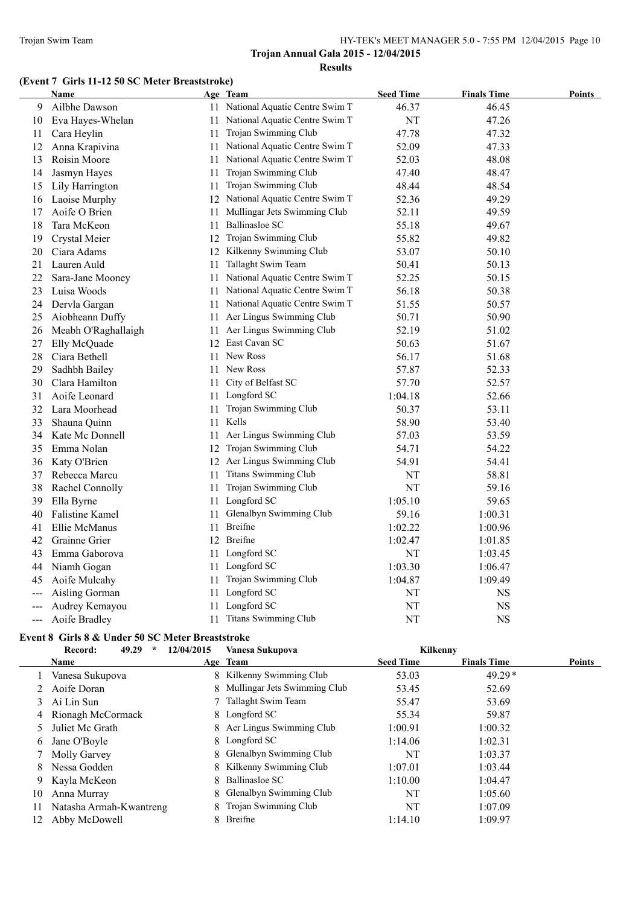# **(Event 7 Girls 11-12 50 SC Meter Breaststroke)**

| <b>Name</b>         |    | Age Team                       | <b>Seed Time</b>                                                                                                                                                                                                                                                                                                                                                                                                                                                                                                                                                          | <b>Finals Time</b> | <b>Points</b> |
|---------------------|----|--------------------------------|---------------------------------------------------------------------------------------------------------------------------------------------------------------------------------------------------------------------------------------------------------------------------------------------------------------------------------------------------------------------------------------------------------------------------------------------------------------------------------------------------------------------------------------------------------------------------|--------------------|---------------|
| Ailbhe Dawson       |    |                                | 46.37                                                                                                                                                                                                                                                                                                                                                                                                                                                                                                                                                                     | 46.45              |               |
| Eva Hayes-Whelan    |    |                                | NT                                                                                                                                                                                                                                                                                                                                                                                                                                                                                                                                                                        | 47.26              |               |
| Cara Heylin         |    | Trojan Swimming Club           | 47.78                                                                                                                                                                                                                                                                                                                                                                                                                                                                                                                                                                     | 47.32              |               |
| Anna Krapivina      |    |                                | 52.09                                                                                                                                                                                                                                                                                                                                                                                                                                                                                                                                                                     | 47.33              |               |
| Roisin Moore        | 11 | National Aquatic Centre Swim T | 52.03                                                                                                                                                                                                                                                                                                                                                                                                                                                                                                                                                                     | 48.08              |               |
| Jasmyn Hayes        | 11 | Trojan Swimming Club           | 47.40                                                                                                                                                                                                                                                                                                                                                                                                                                                                                                                                                                     | 48.47              |               |
| Lily Harrington     |    |                                | 48.44                                                                                                                                                                                                                                                                                                                                                                                                                                                                                                                                                                     | 48.54              |               |
| Laoise Murphy       |    |                                | 52.36                                                                                                                                                                                                                                                                                                                                                                                                                                                                                                                                                                     | 49.29              |               |
| Aoife O Brien       | 11 | Mullingar Jets Swimming Club   | 52.11                                                                                                                                                                                                                                                                                                                                                                                                                                                                                                                                                                     | 49.59              |               |
| Tara McKeon         | 11 | <b>Ballinasloe SC</b>          | 55.18                                                                                                                                                                                                                                                                                                                                                                                                                                                                                                                                                                     | 49.67              |               |
| Crystal Meier       |    |                                | 55.82                                                                                                                                                                                                                                                                                                                                                                                                                                                                                                                                                                     | 49.82              |               |
| Ciara Adams         |    |                                | 53.07                                                                                                                                                                                                                                                                                                                                                                                                                                                                                                                                                                     | 50.10              |               |
| Lauren Auld         |    |                                | 50.41                                                                                                                                                                                                                                                                                                                                                                                                                                                                                                                                                                     | 50.13              |               |
| Sara-Jane Mooney    |    | National Aquatic Centre Swim T | 52.25                                                                                                                                                                                                                                                                                                                                                                                                                                                                                                                                                                     | 50.15              |               |
| Luisa Woods         |    |                                | 56.18                                                                                                                                                                                                                                                                                                                                                                                                                                                                                                                                                                     | 50.38              |               |
| Dervla Gargan       |    | National Aquatic Centre Swim T | 51.55                                                                                                                                                                                                                                                                                                                                                                                                                                                                                                                                                                     | 50.57              |               |
| Aiobheann Duffy     | 11 | Aer Lingus Swimming Club       | 50.71                                                                                                                                                                                                                                                                                                                                                                                                                                                                                                                                                                     | 50.90              |               |
| Meabh O'Raghallaigh |    |                                | 52.19                                                                                                                                                                                                                                                                                                                                                                                                                                                                                                                                                                     | 51.02              |               |
| Elly McQuade        |    |                                | 50.63                                                                                                                                                                                                                                                                                                                                                                                                                                                                                                                                                                     | 51.67              |               |
| Ciara Bethell       | 11 | New Ross                       | 56.17                                                                                                                                                                                                                                                                                                                                                                                                                                                                                                                                                                     | 51.68              |               |
| Sadhbh Bailey       | 11 | New Ross                       | 57.87                                                                                                                                                                                                                                                                                                                                                                                                                                                                                                                                                                     | 52.33              |               |
| Clara Hamilton      | 11 | City of Belfast SC             | 57.70                                                                                                                                                                                                                                                                                                                                                                                                                                                                                                                                                                     | 52.57              |               |
| Aoife Leonard       | 11 | Longford SC                    | 1:04.18                                                                                                                                                                                                                                                                                                                                                                                                                                                                                                                                                                   | 52.66              |               |
| Lara Moorhead       | 11 | Trojan Swimming Club           | 50.37                                                                                                                                                                                                                                                                                                                                                                                                                                                                                                                                                                     | 53.11              |               |
| Shauna Quinn        |    | Kells                          | 58.90                                                                                                                                                                                                                                                                                                                                                                                                                                                                                                                                                                     | 53.40              |               |
| Kate Mc Donnell     | 11 | Aer Lingus Swimming Club       | 57.03                                                                                                                                                                                                                                                                                                                                                                                                                                                                                                                                                                     | 53.59              |               |
| Emma Nolan          |    |                                | 54.71                                                                                                                                                                                                                                                                                                                                                                                                                                                                                                                                                                     | 54.22              |               |
| Katy O'Brien        |    |                                | 54.91                                                                                                                                                                                                                                                                                                                                                                                                                                                                                                                                                                     | 54.41              |               |
| Rebecca Marcu       | 11 | <b>Titans Swimming Club</b>    | NT                                                                                                                                                                                                                                                                                                                                                                                                                                                                                                                                                                        | 58.81              |               |
| Rachel Connolly     |    |                                | NT                                                                                                                                                                                                                                                                                                                                                                                                                                                                                                                                                                        | 59.16              |               |
| Ella Byrne          |    | Longford SC                    | 1:05.10                                                                                                                                                                                                                                                                                                                                                                                                                                                                                                                                                                   | 59.65              |               |
| Falistine Kamel     | 11 | Glenalbyn Swimming Club        | 59.16                                                                                                                                                                                                                                                                                                                                                                                                                                                                                                                                                                     | 1:00.31            |               |
| Ellie McManus       | 11 | Breifne                        | 1:02.22                                                                                                                                                                                                                                                                                                                                                                                                                                                                                                                                                                   | 1:00.96            |               |
| Grainne Grier       |    |                                | 1:02.47                                                                                                                                                                                                                                                                                                                                                                                                                                                                                                                                                                   | 1:01.85            |               |
| Emma Gaborova       |    | Longford SC                    | NT                                                                                                                                                                                                                                                                                                                                                                                                                                                                                                                                                                        | 1:03.45            |               |
| Niamh Gogan         |    |                                | 1:03.30                                                                                                                                                                                                                                                                                                                                                                                                                                                                                                                                                                   | 1:06.47            |               |
| Aoife Mulcahy       |    |                                | 1:04.87                                                                                                                                                                                                                                                                                                                                                                                                                                                                                                                                                                   | 1:09.49            |               |
| Aisling Gorman      | 11 | Longford SC                    | NT                                                                                                                                                                                                                                                                                                                                                                                                                                                                                                                                                                        | <b>NS</b>          |               |
| Audrey Kemayou      |    | Longford SC                    | NT                                                                                                                                                                                                                                                                                                                                                                                                                                                                                                                                                                        | <b>NS</b>          |               |
| Aoife Bradley       |    |                                | NT                                                                                                                                                                                                                                                                                                                                                                                                                                                                                                                                                                        | <b>NS</b>          |               |
|                     |    |                                | 11 National Aquatic Centre Swim T<br>11 National Aquatic Centre Swim T<br>11<br>11 National Aquatic Centre Swim T<br>11 Trojan Swimming Club<br>12 National Aquatic Centre Swim T<br>12 Trojan Swimming Club<br>12 Kilkenny Swimming Club<br>11 Tallaght Swim Team<br>11<br>11 National Aquatic Centre Swim T<br>11<br>11 Aer Lingus Swimming Club<br>12 East Cavan SC<br>11<br>12 Trojan Swimming Club<br>12 Aer Lingus Swimming Club<br>11 Trojan Swimming Club<br>11<br>12 Breifne<br>11<br>11 Longford SC<br>11 Trojan Swimming Club<br>11<br>11 Titans Swimming Club |                    |               |

#### **Event 8 Girls 8 & Under 50 SC Meter Breaststroke**

|               | 49.29<br>$\star$<br>Record: | 12/04/2015 | Vanesa Sukupova                | Kilkenny         |                    |               |
|---------------|-----------------------------|------------|--------------------------------|------------------|--------------------|---------------|
|               | <b>Name</b>                 |            | Age Team                       | <b>Seed Time</b> | <b>Finals Time</b> | <b>Points</b> |
|               | Vanesa Sukupova             |            | 8 Kilkenny Swimming Club       | 53.03            | $49.29*$           |               |
|               | Aoife Doran                 |            | 8 Mullingar Jets Swimming Club | 53.45            | 52.69              |               |
| 3             | Ai Lin Sun                  |            | Tallaght Swim Team             | 55.47            | 53.69              |               |
| 4             | Rionagh McCormack           |            | 8 Longford SC                  | 55.34            | 59.87              |               |
| $\mathcal{D}$ | Juliet Mc Grath             |            | 8 Aer Lingus Swimming Club     | 1:00.91          | 1:00.32            |               |
| O             | Jane O'Boyle                |            | 8 Longford SC                  | 1:14.06          | 1:02.31            |               |
|               | Molly Garvey                |            | 8 Glenalbyn Swimming Club      | NT               | 1:03.37            |               |
| 8             | Nessa Godden                |            | 8 Kilkenny Swimming Club       | 1:07.01          | 1:03.44            |               |
| 9.            | Kayla McKeon                | 8.         | Ballinasloe SC                 | 1:10.00          | 1:04.47            |               |
| 10            | Anna Murray                 |            | 8 Glenalbyn Swimming Club      | NT               | 1:05.60            |               |
| 11            | Natasha Armah-Kwantreng     | 8.         | Trojan Swimming Club           | NT               | 1:07.09            |               |
| 12            | Abby McDowell               |            | Breifne                        | 1:14.10          | 1:09.97            |               |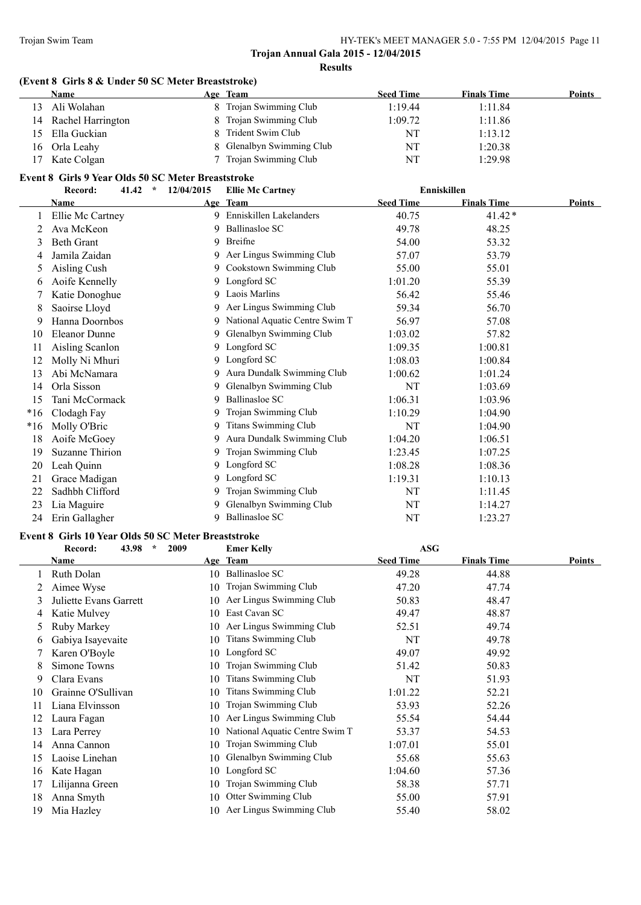#### **(Event 8 Girls 8 & Under 50 SC Meter Breaststroke)**

|              | <b>Name</b>       | Age Team |                           | <b>Seed Time</b> | <b>Finals Time</b> | <b>Points</b> |
|--------------|-------------------|----------|---------------------------|------------------|--------------------|---------------|
| $\mathbf{R}$ | Ali Wolahan       |          | 8 Trojan Swimming Club    | 1:19.44          | 1:11.84            |               |
| 14           | Rachel Harrington |          | 8 Trojan Swimming Club    | 1:09.72          | 1:11.86            |               |
| 15           | Ella Guckian      |          | 8 Trident Swim Club       | NT               | 1:13.12            |               |
| 16           | Orla Leahy        |          | 8 Glenalbyn Swimming Club | NT               | 1:20.38            |               |
| 17           | Kate Colgan       |          | 7 Trojan Swimming Club    | NT               | 1:29.98            |               |

#### **Event 8 Girls 9 Year Olds 50 SC Meter Breaststroke**

|       | Record:<br>41.42<br>$\star$ | 12/04/2015 | <b>Ellie Mc Cartney</b>        |                  | Enniskillen        |               |
|-------|-----------------------------|------------|--------------------------------|------------------|--------------------|---------------|
|       | Name                        |            | Age Team                       | <b>Seed Time</b> | <b>Finals Time</b> | <b>Points</b> |
|       | Ellie Mc Cartney            | 9          | Enniskillen Lakelanders        | 40.75            | $41.42*$           |               |
|       | Ava McKeon                  | 9          | Ballinasloe SC                 | 49.78            | 48.25              |               |
| 3     | <b>Beth Grant</b>           | 9          | Breifne                        | 54.00            | 53.32              |               |
| 4     | Jamila Zaidan               |            | 9 Aer Lingus Swimming Club     | 57.07            | 53.79              |               |
| 5     | Aisling Cush                | 9          | Cookstown Swimming Club        | 55.00            | 55.01              |               |
| 6     | Aoife Kennelly              | 9          | Longford SC                    | 1:01.20          | 55.39              |               |
|       | Katie Donoghue              | 9          | Laois Marlins                  | 56.42            | 55.46              |               |
| 8     | Saoirse Lloyd               | 9          | Aer Lingus Swimming Club       | 59.34            | 56.70              |               |
| 9     | Hanna Doornbos              | 9          | National Aquatic Centre Swim T | 56.97            | 57.08              |               |
| 10    | <b>Eleanor Dunne</b>        | 9          | Glenalbyn Swimming Club        | 1:03.02          | 57.82              |               |
| 11    | Aisling Scanlon             | 9          | Longford SC                    | 1:09.35          | 1:00.81            |               |
| 12    | Molly Ni Mhuri              | 9          | Longford SC                    | 1:08.03          | 1:00.84            |               |
| 13    | Abi McNamara                | 9          | Aura Dundalk Swimming Club     | 1:00.62          | 1:01.24            |               |
| 14    | Orla Sisson                 | 9          | Glenalbyn Swimming Club        | NT               | 1:03.69            |               |
| 15    | Tani McCormack              | 9          | <b>Ballinasloe SC</b>          | 1:06.31          | 1:03.96            |               |
| $*16$ | Clodagh Fay                 | 9          | Trojan Swimming Club           | 1:10.29          | 1:04.90            |               |
| $*16$ | Molly O'Bric                | 9          | Titans Swimming Club           | NT               | 1:04.90            |               |
| 18    | Aoife McGoey                | 9          | Aura Dundalk Swimming Club     | 1:04.20          | 1:06.51            |               |
| 19    | <b>Suzanne Thirion</b>      | 9          | Trojan Swimming Club           | 1:23.45          | 1:07.25            |               |
| 20    | Leah Quinn                  | 9          | Longford SC                    | 1:08.28          | 1:08.36            |               |
| 21    | Grace Madigan               | 9          | Longford SC                    | 1:19.31          | 1:10.13            |               |
| 22    | Sadhbh Clifford             | 9          | Trojan Swimming Club           | NT               | 1:11.45            |               |
| 23    | Lia Maguire                 | 9          | Glenalbyn Swimming Club        | NT               | 1:14.27            |               |
| 24    | Erin Gallagher              | 9          | <b>Ballinasloe SC</b>          | NT               | 1:23.27            |               |

#### **Event 8 Girls 10 Year Olds 50 SC Meter Breaststroke**

|    | 43.98<br>$\star$<br>Record:<br>2009 |    | <b>Emer Kelly</b>              | <b>ASG</b>       |                    |        |
|----|-------------------------------------|----|--------------------------------|------------------|--------------------|--------|
|    | Name                                |    | Age Team                       | <b>Seed Time</b> | <b>Finals Time</b> | Points |
|    | Ruth Dolan                          | 10 | <b>Ballinasloe SC</b>          | 49.28            | 44.88              |        |
|    | Aimee Wyse                          | 10 | Trojan Swimming Club           | 47.20            | 47.74              |        |
| 3  | Juliette Evans Garrett              | 10 | Aer Lingus Swimming Club       | 50.83            | 48.47              |        |
| 4  | Katie Mulvey                        | 10 | East Cavan SC                  | 49.47            | 48.87              |        |
| 5. | Ruby Markey                         | 10 | Aer Lingus Swimming Club       | 52.51            | 49.74              |        |
| O  | Gabiya Isayevaite                   | 10 | <b>Titans Swimming Club</b>    | NT               | 49.78              |        |
|    | Karen O'Boyle                       | 10 | Longford SC                    | 49.07            | 49.92              |        |
| 8  | Simone Towns                        | 10 | Trojan Swimming Club           | 51.42            | 50.83              |        |
| 9  | Clara Evans                         | 10 | <b>Titans Swimming Club</b>    | NT               | 51.93              |        |
| 10 | Grainne O'Sullivan                  | 10 | <b>Titans Swimming Club</b>    | 1:01.22          | 52.21              |        |
| 11 | Liana Elvinsson                     | 10 | Trojan Swimming Club           | 53.93            | 52.26              |        |
| 12 | Laura Fagan                         | 10 | Aer Lingus Swimming Club       | 55.54            | 54.44              |        |
| 13 | Lara Perrey                         | 10 | National Aquatic Centre Swim T | 53.37            | 54.53              |        |
| 14 | Anna Cannon                         | 10 | Trojan Swimming Club           | 1:07.01          | 55.01              |        |
| 15 | Laoise Linehan                      | 10 | Glenalbyn Swimming Club        | 55.68            | 55.63              |        |
| 16 | Kate Hagan                          | 10 | Longford SC                    | 1:04.60          | 57.36              |        |
| 17 | Lilijanna Green                     | 10 | Trojan Swimming Club           | 58.38            | 57.71              |        |
| 18 | Anna Smyth                          | 10 | Otter Swimming Club            | 55.00            | 57.91              |        |
| 19 | Mia Hazley                          |    | 10 Aer Lingus Swimming Club    | 55.40            | 58.02              |        |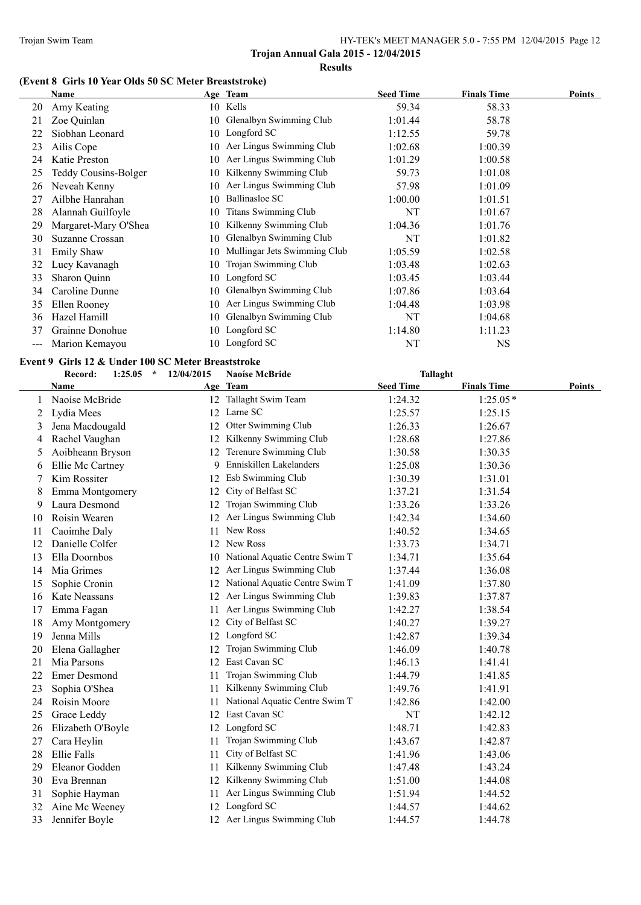# **(Event 8 Girls 10 Year Olds 50 SC Meter Breaststroke)**

|     | <b>Name</b>                 |     | Age Team                     | <b>Seed Time</b> | <b>Finals Time</b> | <b>Points</b> |
|-----|-----------------------------|-----|------------------------------|------------------|--------------------|---------------|
| 20  | Amy Keating                 |     | 10 Kells                     | 59.34            | 58.33              |               |
| 21  | Zoe Quinlan                 | 10- | Glenalbyn Swimming Club      | 1:01.44          | 58.78              |               |
| 22  | Siobhan Leonard             | 10  | Longford SC                  | 1:12.55          | 59.78              |               |
| 23  | Ailis Cope                  | 10  | Aer Lingus Swimming Club     | 1:02.68          | 1:00.39            |               |
| 24  | Katie Preston               | 10. | Aer Lingus Swimming Club     | 1:01.29          | 1:00.58            |               |
| 25  | <b>Teddy Cousins-Bolger</b> | 10. | Kilkenny Swimming Club       | 59.73            | 1:01.08            |               |
| 26  | Neveah Kenny                | 10. | Aer Lingus Swimming Club     | 57.98            | 1:01.09            |               |
| 27  | Ailbhe Hanrahan             | 10  | Ballinasloe SC               | 1:00.00          | 1:01.51            |               |
| 28  | Alannah Guilfoyle           | 10  | <b>Titans Swimming Club</b>  | NT               | 1:01.67            |               |
| 29  | Margaret-Mary O'Shea        | 10  | Kilkenny Swimming Club       | 1:04.36          | 1:01.76            |               |
| 30  | Suzanne Crossan             | 10  | Glenalbyn Swimming Club      | NT               | 1:01.82            |               |
| 31  | <b>Emily Shaw</b>           | 10  | Mullingar Jets Swimming Club | 1:05.59          | 1:02.58            |               |
| 32  | Lucy Kavanagh               | 10  | Trojan Swimming Club         | 1:03.48          | 1:02.63            |               |
| 33  | Sharon Quinn                | 10  | Longford SC                  | 1:03.45          | 1:03.44            |               |
| 34  | Caroline Dunne              | 10  | Glenalbyn Swimming Club      | 1:07.86          | 1:03.64            |               |
| 35  | Ellen Rooney                | 10. | Aer Lingus Swimming Club     | 1:04.48          | 1:03.98            |               |
| 36  | Hazel Hamill                | 10. | Glenalbyn Swimming Club      | NT               | 1:04.68            |               |
| 37  | Grainne Donohue             |     | 10 Longford SC               | 1:14.80          | 1:11.23            |               |
| --- | Marion Kemayou              |     | 10 Longford SC               | NT               | <b>NS</b>          |               |

#### **Event 9 Girls 12 & Under 100 SC Meter Breaststroke**

|    | Record:<br>1:25.05  | 12/04/2015<br>$\star$ | Naoíse McBride                    | <b>Tallaght</b>  |                    |        |
|----|---------------------|-----------------------|-----------------------------------|------------------|--------------------|--------|
|    | Name                |                       | Age Team                          | <b>Seed Time</b> | <b>Finals Time</b> | Points |
|    | Naoíse McBride      |                       | 12 Tallaght Swim Team             | 1:24.32          | $1:25.05*$         |        |
| 2  | Lydia Mees          |                       | 12 Larne SC                       | 1:25.57          | 1:25.15            |        |
| 3  | Jena Macdougald     | 12                    | Otter Swimming Club               | 1:26.33          | 1:26.67            |        |
| 4  | Rachel Vaughan      |                       | 12 Kilkenny Swimming Club         | 1:28.68          | 1:27.86            |        |
| 5  | Aoibheann Bryson    |                       | 12 Terenure Swimming Club         | 1:30.58          | 1:30.35            |        |
| 6  | Ellie Mc Cartney    |                       | 9 Enniskillen Lakelanders         | 1:25.08          | 1:30.36            |        |
| 7  | Kim Rossiter        |                       | 12 Esb Swimming Club              | 1:30.39          | 1:31.01            |        |
| 8  | Emma Montgomery     | 12                    | City of Belfast SC                | 1:37.21          | 1:31.54            |        |
| 9  | Laura Desmond       | 12                    | Trojan Swimming Club              | 1:33.26          | 1:33.26            |        |
| 10 | Roisin Wearen       |                       | Aer Lingus Swimming Club          | 1:42.34          | 1:34.60            |        |
| 11 | Caoimhe Daly        | 11                    | New Ross                          | 1:40.52          | 1:34.65            |        |
| 12 | Danielle Colfer     |                       | 12 New Ross                       | 1:33.73          | 1:34.71            |        |
| 13 | Ella Doornbos       | 10                    | National Aquatic Centre Swim T    | 1:34.71          | 1:35.64            |        |
| 14 | Mia Grimes          | 12                    | Aer Lingus Swimming Club          | 1:37.44          | 1:36.08            |        |
| 15 | Sophie Cronin       |                       | 12 National Aquatic Centre Swim T | 1:41.09          | 1:37.80            |        |
| 16 | Kate Neassans       | 12                    | Aer Lingus Swimming Club          | 1:39.83          | 1:37.87            |        |
| 17 | Emma Fagan          | 11                    | Aer Lingus Swimming Club          | 1:42.27          | 1:38.54            |        |
| 18 | Amy Montgomery      | 12                    | City of Belfast SC                | 1:40.27          | 1:39.27            |        |
| 19 | Jenna Mills         |                       | 12 Longford SC                    | 1:42.87          | 1:39.34            |        |
| 20 | Elena Gallagher     | 12                    | Trojan Swimming Club              | 1:46.09          | 1:40.78            |        |
| 21 | Mia Parsons         |                       | 12 East Cavan SC                  | 1:46.13          | 1:41.41            |        |
| 22 | <b>Emer Desmond</b> | 11                    | Trojan Swimming Club              | 1:44.79          | 1:41.85            |        |
| 23 | Sophia O'Shea       | 11                    | Kilkenny Swimming Club            | 1:49.76          | 1:41.91            |        |
| 24 | Roisin Moore        | 11                    | National Aquatic Centre Swim T    | 1:42.86          | 1:42.00            |        |
| 25 | Grace Leddy         |                       | 12 East Cavan SC                  | NT               | 1:42.12            |        |
| 26 | Elizabeth O'Boyle   |                       | 12 Longford SC                    | 1:48.71          | 1:42.83            |        |
| 27 | Cara Heylin         | 11                    | Trojan Swimming Club              | 1:43.67          | 1:42.87            |        |
| 28 | <b>Ellie Falls</b>  | 11                    | City of Belfast SC                | 1:41.96          | 1:43.06            |        |
| 29 | Eleanor Godden      | 11                    | Kilkenny Swimming Club            | 1:47.48          | 1:43.24            |        |
| 30 | Eva Brennan         | 12                    | Kilkenny Swimming Club            | 1:51.00          | 1:44.08            |        |
| 31 | Sophie Hayman       | 11                    | Aer Lingus Swimming Club          | 1:51.94          | 1:44.52            |        |
| 32 | Aine Mc Weeney      |                       | 12 Longford SC                    | 1:44.57          | 1:44.62            |        |
| 33 | Jennifer Boyle      |                       | 12 Aer Lingus Swimming Club       | 1:44.57          | 1:44.78            |        |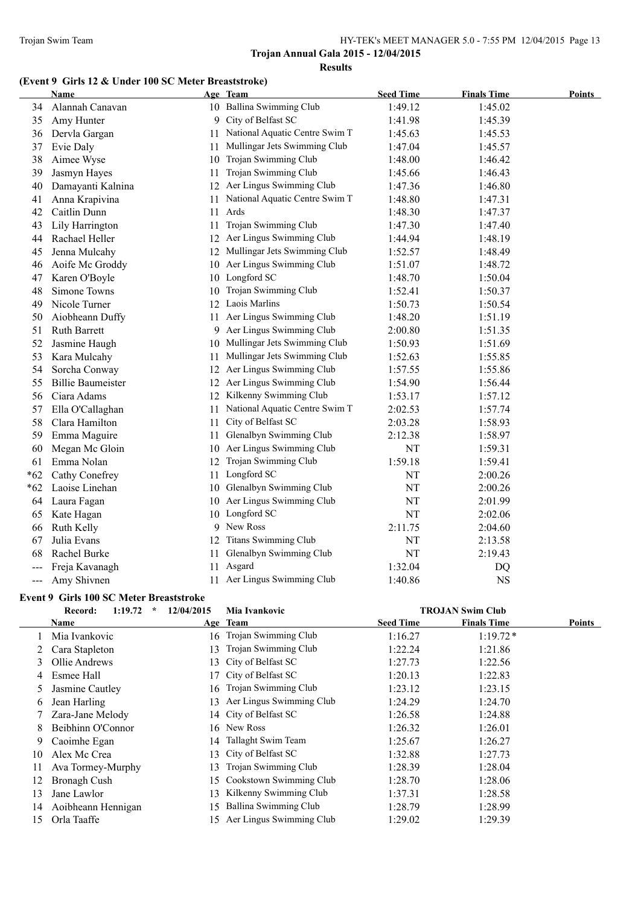# **(Event 9 Girls 12 & Under 100 SC Meter Breaststroke)**

|       | Name                     |    | Age Team                        | <b>Seed Time</b> | <b>Finals Time</b> | <b>Points</b> |
|-------|--------------------------|----|---------------------------------|------------------|--------------------|---------------|
| 34    | Alannah Canavan          |    | 10 Ballina Swimming Club        | 1:49.12          | 1:45.02            |               |
| 35    | Amy Hunter               |    | 9 City of Belfast SC            | 1:41.98          | 1:45.39            |               |
| 36    | Dervla Gargan            | 11 | National Aquatic Centre Swim T  | 1:45.63          | 1:45.53            |               |
| 37    | Evie Daly                | 11 | Mullingar Jets Swimming Club    | 1:47.04          | 1:45.57            |               |
| 38    | Aimee Wyse               | 10 | Trojan Swimming Club            | 1:48.00          | 1:46.42            |               |
| 39    | Jasmyn Hayes             | 11 | Trojan Swimming Club            | 1:45.66          | 1:46.43            |               |
| 40    | Damayanti Kalnina        |    | 12 Aer Lingus Swimming Club     | 1:47.36          | 1:46.80            |               |
| 41    | Anna Krapivina           | 11 | National Aquatic Centre Swim T  | 1:48.80          | 1:47.31            |               |
| 42    | Caitlin Dunn             | 11 | Ards                            | 1:48.30          | 1:47.37            |               |
| 43    | Lily Harrington          | 11 | Trojan Swimming Club            | 1:47.30          | 1:47.40            |               |
| 44    | Rachael Heller           |    | 12 Aer Lingus Swimming Club     | 1:44.94          | 1:48.19            |               |
| 45    | Jenna Mulcahy            |    | 12 Mullingar Jets Swimming Club | 1:52.57          | 1:48.49            |               |
| 46    | Aoife Mc Groddy          |    | 10 Aer Lingus Swimming Club     | 1:51.07          | 1:48.72            |               |
| 47    | Karen O'Boyle            |    | 10 Longford SC                  | 1:48.70          | 1:50.04            |               |
| 48    | Simone Towns             |    | 10 Trojan Swimming Club         | 1:52.41          | 1:50.37            |               |
| 49    | Nicole Turner            |    | 12 Laois Marlins                | 1:50.73          | 1:50.54            |               |
| 50    | Aiobheann Duffy          |    | 11 Aer Lingus Swimming Club     | 1:48.20          | 1:51.19            |               |
| 51    | <b>Ruth Barrett</b>      |    | 9 Aer Lingus Swimming Club      | 2:00.80          | 1:51.35            |               |
| 52    | Jasmine Haugh            |    | 10 Mullingar Jets Swimming Club | 1:50.93          | 1:51.69            |               |
| 53    | Kara Mulcahy             | 11 | Mullingar Jets Swimming Club    | 1:52.63          | 1:55.85            |               |
| 54    | Sorcha Conway            |    | 12 Aer Lingus Swimming Club     | 1:57.55          | 1:55.86            |               |
| 55    | <b>Billie Baumeister</b> |    | 12 Aer Lingus Swimming Club     | 1:54.90          | 1:56.44            |               |
| 56    | Ciara Adams              |    | 12 Kilkenny Swimming Club       | 1:53.17          | 1:57.12            |               |
| 57    | Ella O'Callaghan         | 11 | National Aquatic Centre Swim T  | 2:02.53          | 1:57.74            |               |
| 58    | Clara Hamilton           | 11 | City of Belfast SC              | 2:03.28          | 1:58.93            |               |
| 59    | Emma Maguire             |    | 11 Glenalbyn Swimming Club      | 2:12.38          | 1:58.97            |               |
| 60    | Megan Mc Gloin           |    | 10 Aer Lingus Swimming Club     | NT               | 1:59.31            |               |
| 61    | Emma Nolan               |    | 12 Trojan Swimming Club         | 1:59.18          | 1:59.41            |               |
| $*62$ | Cathy Conefrey           |    | 11 Longford SC                  | NT               | 2:00.26            |               |
| $*62$ | Laoise Linehan           |    | 10 Glenalbyn Swimming Club      | NT               | 2:00.26            |               |
| 64    | Laura Fagan              |    | 10 Aer Lingus Swimming Club     | NT               | 2:01.99            |               |
| 65    | Kate Hagan               |    | 10 Longford SC                  | NT               | 2:02.06            |               |
| 66    | Ruth Kelly               | 9  | New Ross                        | 2:11.75          | 2:04.60            |               |
| 67    | Julia Evans              |    | 12 Titans Swimming Club         | NT               | 2:13.58            |               |
| 68    | Rachel Burke             |    | 11 Glenalbyn Swimming Club      | NT               | 2:19.43            |               |
|       | Freja Kavanagh           |    | 11 Asgard                       | 1:32.04          | DQ                 |               |
| ---   | Amy Shivnen              |    | 11 Aer Lingus Swimming Club     | 1:40.86          | <b>NS</b>          |               |

# **Event 9 Girls 100 SC Meter Breaststroke**

|    | 1:19.72<br>Record:<br>÷ | 12/04/2015 | Mia Ivankovic            |                  | <b>TROJAN Swim Club</b> |        |
|----|-------------------------|------------|--------------------------|------------------|-------------------------|--------|
|    | Name                    |            | Age Team                 | <b>Seed Time</b> | <b>Finals Time</b>      | Points |
|    | Mia Ivankovic           | 16.        | Trojan Swimming Club     | 1:16.27          | $1:19.72*$              |        |
|    | Cara Stapleton          | 13.        | Trojan Swimming Club     | 1:22.24          | 1:21.86                 |        |
| 3  | Ollie Andrews           |            | 13 City of Belfast SC    | 1:27.73          | 1:22.56                 |        |
| 4  | Esmee Hall              | 17         | City of Belfast SC       | 1:20.13          | 1:22.83                 |        |
| 5  | Jasmine Cautley         | 16.        | Trojan Swimming Club     | 1:23.12          | 1:23.15                 |        |
| 6  | Jean Harling            | 13.        | Aer Lingus Swimming Club | 1:24.29          | 1:24.70                 |        |
|    | Zara-Jane Melody        |            | 14 City of Belfast SC    | 1:26.58          | 1:24.88                 |        |
| 8  | Beibhinn O'Connor       |            | 16 New Ross              | 1:26.32          | 1:26.01                 |        |
| 9  | Caoimhe Egan            | 14         | Tallaght Swim Team       | 1:25.67          | 1:26.27                 |        |
| 10 | Alex Mc Crea            | 13.        | City of Belfast SC       | 1:32.88          | 1:27.73                 |        |
| 11 | Ava Tormey-Murphy       | 13.        | Trojan Swimming Club     | 1:28.39          | 1:28.04                 |        |
| 12 | Bronagh Cush            | 15         | Cookstown Swimming Club  | 1:28.70          | 1:28.06                 |        |
| 13 | Jane Lawlor             | 13         | Kilkenny Swimming Club   | 1:37.31          | 1:28.58                 |        |
| 14 | Aoibheann Hennigan      | 15.        | Ballina Swimming Club    | 1:28.79          | 1:28.99                 |        |
| 15 | Orla Taaffe             | 15         | Aer Lingus Swimming Club | 1:29.02          | 1:29.39                 |        |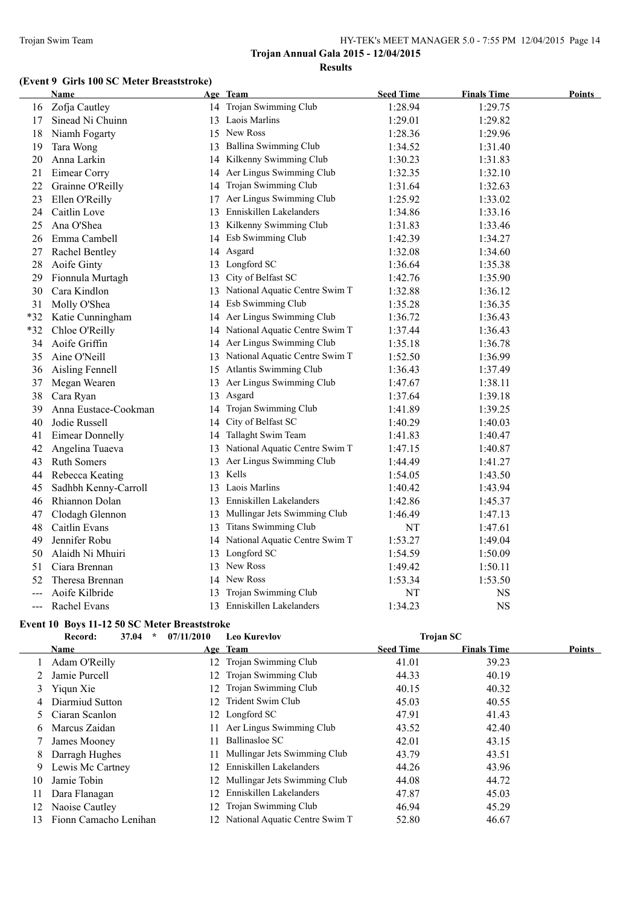#### **(Event 9 Girls 100 SC Meter Breaststroke)**

|                     | Name                   |    | Age Team                          | <b>Seed Time</b> | <b>Finals Time</b> | <b>Points</b> |
|---------------------|------------------------|----|-----------------------------------|------------------|--------------------|---------------|
| 16                  | Zofja Cautley          |    | 14 Trojan Swimming Club           | 1:28.94          | 1:29.75            |               |
| 17                  | Sinead Ni Chuinn       |    | 13 Laois Marlins                  | 1:29.01          | 1:29.82            |               |
| 18                  | Niamh Fogarty          |    | 15 New Ross                       | 1:28.36          | 1:29.96            |               |
| 19                  | Tara Wong              |    | 13 Ballina Swimming Club          | 1:34.52          | 1:31.40            |               |
| 20                  | Anna Larkin            |    | 14 Kilkenny Swimming Club         | 1:30.23          | 1:31.83            |               |
| 21                  | Eimear Corry           | 14 | Aer Lingus Swimming Club          | 1:32.35          | 1:32.10            |               |
| 22                  | Grainne O'Reilly       | 14 | Trojan Swimming Club              | 1:31.64          | 1:32.63            |               |
| 23                  | Ellen O'Reilly         | 17 | Aer Lingus Swimming Club          | 1:25.92          | 1:33.02            |               |
| 24                  | Caitlin Love           |    | 13 Enniskillen Lakelanders        | 1:34.86          | 1:33.16            |               |
| 25                  | Ana O'Shea             |    | 13 Kilkenny Swimming Club         | 1:31.83          | 1:33.46            |               |
| 26                  | Emma Cambell           |    | 14 Esb Swimming Club              | 1:42.39          | 1:34.27            |               |
| 27                  | Rachel Bentley         | 14 | Asgard                            | 1:32.08          | 1:34.60            |               |
| 28                  | Aoife Ginty            |    | 13 Longford SC                    | 1:36.64          | 1:35.38            |               |
| 29                  | Fionnula Murtagh       |    | 13 City of Belfast SC             | 1:42.76          | 1:35.90            |               |
| 30                  | Cara Kindlon           |    | 13 National Aquatic Centre Swim T | 1:32.88          | 1:36.12            |               |
| 31                  | Molly O'Shea           |    | 14 Esb Swimming Club              | 1:35.28          | 1:36.35            |               |
| *32                 | Katie Cunningham       |    | 14 Aer Lingus Swimming Club       | 1:36.72          | 1:36.43            |               |
| $*32$               | Chloe O'Reilly         |    | 14 National Aquatic Centre Swim T | 1:37.44          | 1:36.43            |               |
| 34                  | Aoife Griffin          |    | 14 Aer Lingus Swimming Club       | 1:35.18          | 1:36.78            |               |
| 35                  | Aine O'Neill           |    | 13 National Aquatic Centre Swim T | 1:52.50          | 1:36.99            |               |
| 36                  | Aisling Fennell        | 15 | Atlantis Swimming Club            | 1:36.43          | 1:37.49            |               |
| 37                  | Megan Wearen           |    | 13 Aer Lingus Swimming Club       | 1:47.67          | 1:38.11            |               |
| 38                  | Cara Ryan              | 13 | Asgard                            | 1:37.64          | 1:39.18            |               |
| 39                  | Anna Eustace-Cookman   | 14 | Trojan Swimming Club              | 1:41.89          | 1:39.25            |               |
| 40                  | Jodie Russell          | 14 | City of Belfast SC                | 1:40.29          | 1:40.03            |               |
| 41                  | <b>Eimear Donnelly</b> |    | 14 Tallaght Swim Team             | 1:41.83          | 1:40.47            |               |
| 42                  | Angelina Tuaeva        |    | 13 National Aquatic Centre Swim T | 1:47.15          | 1:40.87            |               |
| 43                  | <b>Ruth Somers</b>     | 13 | Aer Lingus Swimming Club          | 1:44.49          | 1:41.27            |               |
| 44                  | Rebecca Keating        |    | 13 Kells                          | 1:54.05          | 1:43.50            |               |
| 45                  | Sadhbh Kenny-Carroll   |    | 13 Laois Marlins                  | 1:40.42          | 1:43.94            |               |
| 46                  | Rhiannon Dolan         |    | 13 Enniskillen Lakelanders        | 1:42.86          | 1:45.37            |               |
| 47                  | Clodagh Glennon        | 13 | Mullingar Jets Swimming Club      | 1:46.49          | 1:47.13            |               |
| 48                  | Caitlin Evans          | 13 | <b>Titans Swimming Club</b>       | NT               | 1:47.61            |               |
| 49                  | Jennifer Robu          |    | 14 National Aquatic Centre Swim T | 1:53.27          | 1:49.04            |               |
| 50                  | Alaidh Ni Mhuiri       |    | 13 Longford SC                    | 1:54.59          | 1:50.09            |               |
| 51                  | Ciara Brennan          |    | 13 New Ross                       | 1:49.42          | 1:50.11            |               |
| 52                  | Theresa Brennan        | 14 | New Ross                          | 1:53.34          | 1:53.50            |               |
|                     | Aoife Kilbride         |    | Trojan Swimming Club              | NT               | NS                 |               |
| $\qquad \qquad - -$ | Rachel Evans           |    | 13 Enniskillen Lakelanders        | 1:34.23          | <b>NS</b>          |               |

#### **Event 10 Boys 11-12 50 SC Meter Breaststroke**

|    | 37.04<br>$\star$<br>Record: | 07/11/2010      | <b>Leo Kurevlov</b>               |                  | <b>Trojan SC</b>   |        |
|----|-----------------------------|-----------------|-----------------------------------|------------------|--------------------|--------|
|    | Name                        |                 | Age Team                          | <b>Seed Time</b> | <b>Finals Time</b> | Points |
|    | Adam O'Reilly               |                 | 12 Trojan Swimming Club           | 41.01            | 39.23              |        |
|    | Jamie Purcell               | 12.             | Trojan Swimming Club              | 44.33            | 40.19              |        |
| 3  | Yiqun Xie                   | 12.             | Trojan Swimming Club              | 40.15            | 40.32              |        |
| 4  | Diarmiud Sutton             | 12 <sub>1</sub> | Trident Swim Club                 | 45.03            | 40.55              |        |
|    | Ciaran Scanlon              | 12.             | Longford SC                       | 47.91            | 41.43              |        |
| 6. | Marcus Zaidan               | 11.             | Aer Lingus Swimming Club          | 43.52            | 42.40              |        |
|    | James Mooney                | 11              | Ballinasloe SC                    | 42.01            | 43.15              |        |
| 8  | Darragh Hughes              | 11.             | Mullingar Jets Swimming Club      | 43.79            | 43.51              |        |
| 9  | Lewis Mc Cartney            | 12.             | Enniskillen Lakelanders           | 44.26            | 43.96              |        |
| 10 | Jamie Tobin                 |                 | 12 Mullingar Jets Swimming Club   | 44.08            | 44.72              |        |
| 11 | Dara Flanagan               | 12.             | Enniskillen Lakelanders           | 47.87            | 45.03              |        |
| 12 | Naoise Cautley              |                 | 12 Trojan Swimming Club           | 46.94            | 45.29              |        |
| 13 | Fionn Camacho Lenihan       |                 | 12 National Aquatic Centre Swim T | 52.80            | 46.67              |        |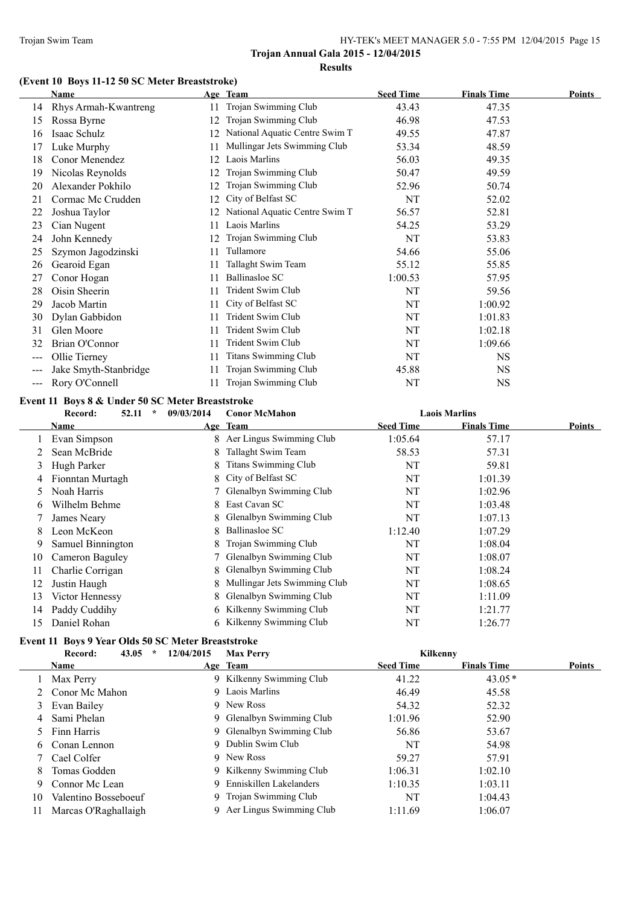# **(Event 10 Boys 11-12 50 SC Meter Breaststroke)**

|       | <b>Name</b>           |    | Age Team                       | <b>Seed Time</b> | <b>Finals Time</b> | Points |
|-------|-----------------------|----|--------------------------------|------------------|--------------------|--------|
| 14    | Rhys Armah-Kwantreng  | 11 | Trojan Swimming Club           | 43.43            | 47.35              |        |
| 15    | Rossa Byrne           | 12 | Trojan Swimming Club           | 46.98            | 47.53              |        |
| 16    | Isaac Schulz          |    | National Aquatic Centre Swim T | 49.55            | 47.87              |        |
| 17    | Luke Murphy           | 11 | Mullingar Jets Swimming Club   | 53.34            | 48.59              |        |
| 18    | Conor Menendez        | 12 | Laois Marlins                  | 56.03            | 49.35              |        |
| 19    | Nicolas Reynolds      |    | Trojan Swimming Club           | 50.47            | 49.59              |        |
| 20    | Alexander Pokhilo     |    | Trojan Swimming Club           | 52.96            | 50.74              |        |
| 21    | Cormac Mc Crudden     | 12 | City of Belfast SC             | NT               | 52.02              |        |
| 22    | Joshua Taylor         | 12 | National Aquatic Centre Swim T | 56.57            | 52.81              |        |
| 23    | Cian Nugent           | 11 | Laois Marlins                  | 54.25            | 53.29              |        |
| 24    | John Kennedy          | 12 | Trojan Swimming Club           | NT               | 53.83              |        |
| 25    | Szymon Jagodzinski    | 11 | Tullamore                      | 54.66            | 55.06              |        |
| 26    | Gearoid Egan          | 11 | Tallaght Swim Team             | 55.12            | 55.85              |        |
| 27    | Conor Hogan           | 11 | <b>Ballinasloe SC</b>          | 1:00.53          | 57.95              |        |
| 28    | Oisin Sheerin         |    | Trident Swim Club              | NT               | 59.56              |        |
| 29    | Jacob Martin          | 11 | City of Belfast SC             | NT               | 1:00.92            |        |
| 30    | Dylan Gabbidon        | 11 | Trident Swim Club              | NT               | 1:01.83            |        |
| 31    | Glen Moore            | 11 | Trident Swim Club              | NT               | 1:02.18            |        |
| 32    | Brian O'Connor        | 11 | Trident Swim Club              | NT               | 1:09.66            |        |
| $---$ | Ollie Tierney         | 11 | <b>Titans Swimming Club</b>    | NT               | <b>NS</b>          |        |
| ---   | Jake Smyth-Stanbridge | 11 | Trojan Swimming Club           | 45.88            | <b>NS</b>          |        |
| ---   | Rory O'Connell        | 11 | Trojan Swimming Club           | NT               | <b>NS</b>          |        |

#### **Event 11 Boys 8 & Under 50 SC Meter Breaststroke**

|    | 52.11<br>Record:  | $\star$<br>09/03/2014 | <b>Conor McMahon</b>         |                  | <b>Laois Marlins</b> |        |
|----|-------------------|-----------------------|------------------------------|------------------|----------------------|--------|
|    | Name              |                       | Age Team                     | <b>Seed Time</b> | <b>Finals Time</b>   | Points |
|    | Evan Simpson      |                       | 8 Aer Lingus Swimming Club   | 1:05.64          | 57.17                |        |
|    | Sean McBride      | 8                     | Tallaght Swim Team           | 58.53            | 57.31                |        |
| 3  | Hugh Parker       | 8                     | <b>Titans Swimming Club</b>  | NT               | 59.81                |        |
| 4  | Fionntan Murtagh  |                       | 8 City of Belfast SC         | NT               | 1:01.39              |        |
| 5. | Noah Harris       |                       | Glenalbyn Swimming Club      | NT               | 1:02.96              |        |
| 6  | Wilhelm Behme     | 8.                    | East Cavan SC                | NT               | 1:03.48              |        |
|    | James Neary       | 8                     | Glenalbyn Swimming Club      | NT               | 1:07.13              |        |
| 8  | Leon McKeon       | 8                     | Ballinasloe SC               | 1:12.40          | 1:07.29              |        |
| 9  | Samuel Binnington | 8.                    | Trojan Swimming Club         | NT               | 1:08.04              |        |
| 10 | Cameron Baguley   |                       | Glenalbyn Swimming Club      | NT               | 1:08.07              |        |
| 11 | Charlie Corrigan  | 8.                    | Glenalbyn Swimming Club      | NT               | 1:08.24              |        |
| 12 | Justin Haugh      | 8.                    | Mullingar Jets Swimming Club | NT               | 1:08.65              |        |
| 13 | Victor Hennessy   | 8.                    | Glenalbyn Swimming Club      | NT               | 1:11.09              |        |
| 14 | Paddy Cuddihy     | 6                     | Kilkenny Swimming Club       | NT               | 1:21.77              |        |
| 15 | Daniel Rohan      |                       | 6 Kilkenny Swimming Club     | NT               | 1:26.77              |        |

# **Event 11 Boys 9 Year Olds 50 SC Meter Breaststroke**

|    | 43.05<br>Record:<br>$\star$ | 12/04/2015 | <b>Max Perry</b>           | Kilkenny         |                    |        |
|----|-----------------------------|------------|----------------------------|------------------|--------------------|--------|
|    | Name                        |            | Age Team                   | <b>Seed Time</b> | <b>Finals Time</b> | Points |
|    | Max Perry                   |            | 9 Kilkenny Swimming Club   | 41.22            | $43.05*$           |        |
|    | 2 Conor Mc Mahon            |            | 9 Laois Marlins            | 46.49            | 45.58              |        |
|    | 3 Evan Bailey               |            | 9 New Ross                 | 54.32            | 52.32              |        |
| 4  | Sami Phelan                 |            | 9 Glenalbyn Swimming Club  | 1:01.96          | 52.90              |        |
|    | 5 Finn Harris               |            | 9 Glenalbyn Swimming Club  | 56.86            | 53.67              |        |
| 6. | Conan Lennon                |            | 9 Dublin Swim Club         | NT               | 54.98              |        |
|    | Cael Colfer                 |            | 9 New Ross                 | 59.27            | 57.91              |        |
| 8  | Tomas Godden                |            | 9 Kilkenny Swimming Club   | 1:06.31          | 1:02.10            |        |
| 9  | Connor Mc Lean              |            | 9 Enniskillen Lakelanders  | 1:10.35          | 1:03.11            |        |
| 10 | Valentino Bosseboeuf        |            | 9 Trojan Swimming Club     | NT               | 1:04.43            |        |
| 11 | Marcas O'Raghallaigh        |            | 9 Aer Lingus Swimming Club | 1:11.69          | 1:06.07            |        |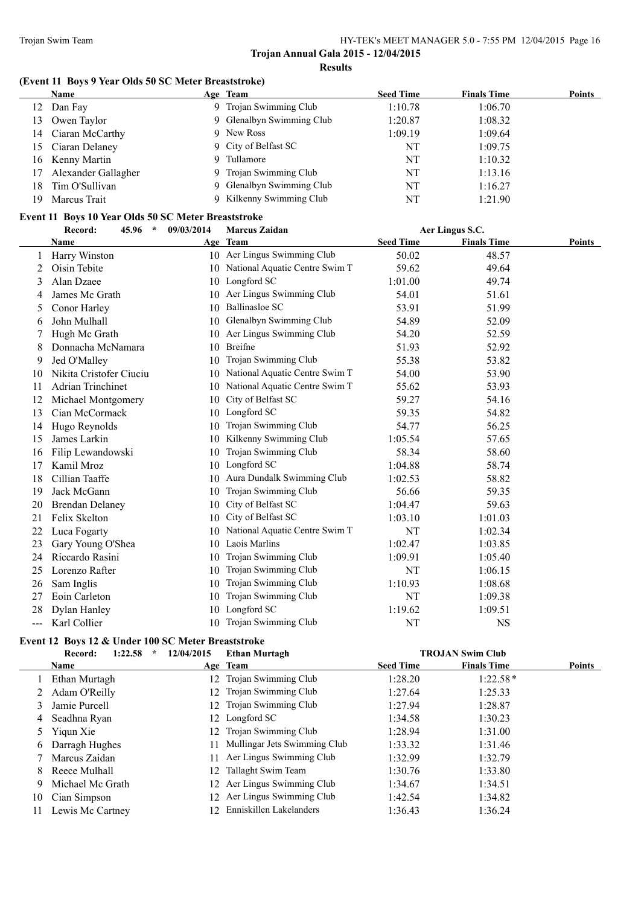#### **(Event 11 Boys 9 Year Olds 50 SC Meter Breaststroke)**

|     | <b>Name</b>         | Age Team                  | <b>Seed Time</b> | <b>Finals Time</b> | Points |
|-----|---------------------|---------------------------|------------------|--------------------|--------|
| 12  | Dan Fay             | 9 Trojan Swimming Club    | 1:10.78          | 1:06.70            |        |
| 13  | Owen Taylor         | 9 Glenalbyn Swimming Club | 1:20.87          | 1:08.32            |        |
|     | 14 Ciaran McCarthy  | 9 New Ross                | 1:09.19          | 1:09.64            |        |
|     | 15 Ciaran Delaney   | 9 City of Belfast SC      | NT               | 1:09.75            |        |
|     | 16 Kenny Martin     | 9 Tullamore               | NT               | 1:10.32            |        |
| 17  | Alexander Gallagher | 9 Trojan Swimming Club    | NT               | 1:13.16            |        |
| 18. | Tim O'Sullivan      | 9 Glenalbyn Swimming Club | NT               | 1:16.27            |        |
| 19  | Marcus Trait        | Kilkenny Swimming Club    | NT               | 1:21.90            |        |

# **Event 11 Boys 10 Year Olds 50 SC Meter Breaststroke**

|     | Record:<br>45.96<br>$\star$<br>09/03/2014 |    | <b>Marcus Zaidan</b>              | Aer Lingus S.C.  |                    |        |
|-----|-------------------------------------------|----|-----------------------------------|------------------|--------------------|--------|
|     | Name                                      |    | Age Team                          | <b>Seed Time</b> | <b>Finals Time</b> | Points |
| 1   | Harry Winston                             |    | 10 Aer Lingus Swimming Club       | 50.02            | 48.57              |        |
| 2   | Oisin Tebite                              |    | 10 National Aquatic Centre Swim T | 59.62            | 49.64              |        |
| 3   | Alan Dzaee                                | 10 | Longford SC                       | 1:01.00          | 49.74              |        |
| 4   | James Mc Grath                            | 10 | Aer Lingus Swimming Club          | 54.01            | 51.61              |        |
| 5   | Conor Harley                              | 10 | <b>Ballinasloe SC</b>             | 53.91            | 51.99              |        |
| 6   | John Mulhall                              | 10 | Glenalbyn Swimming Club           | 54.89            | 52.09              |        |
| 7   | Hugh Mc Grath                             | 10 | Aer Lingus Swimming Club          | 54.20            | 52.59              |        |
| 8   | Donnacha McNamara                         | 10 | <b>Breifne</b>                    | 51.93            | 52.92              |        |
| 9   | Jed O'Malley                              |    | 10 Trojan Swimming Club           | 55.38            | 53.82              |        |
| 10  | Nikita Cristofer Ciuciu                   | 10 | National Aquatic Centre Swim T    | 54.00            | 53.90              |        |
| 11  | <b>Adrian Trinchinet</b>                  | 10 | National Aquatic Centre Swim T    | 55.62            | 53.93              |        |
| 12  | Michael Montgomery                        | 10 | City of Belfast SC                | 59.27            | 54.16              |        |
| 13  | Cian McCormack                            |    | 10 Longford SC                    | 59.35            | 54.82              |        |
| 14  | Hugo Reynolds                             | 10 | Trojan Swimming Club              | 54.77            | 56.25              |        |
| 15  | James Larkin                              | 10 | Kilkenny Swimming Club            | 1:05.54          | 57.65              |        |
| 16  | Filip Lewandowski                         | 10 | Trojan Swimming Club              | 58.34            | 58.60              |        |
| 17  | Kamil Mroz                                | 10 | Longford SC                       | 1:04.88          | 58.74              |        |
| 18  | Cillian Taaffe                            |    | 10 Aura Dundalk Swimming Club     | 1:02.53          | 58.82              |        |
| 19  | Jack McGann                               | 10 | Trojan Swimming Club              | 56.66            | 59.35              |        |
| 20  | <b>Brendan Delaney</b>                    | 10 | City of Belfast SC                | 1:04.47          | 59.63              |        |
| 21  | Felix Skelton                             | 10 | City of Belfast SC                | 1:03.10          | 1:01.03            |        |
| 22  | Luca Fogarty                              | 10 | National Aquatic Centre Swim T    | NT               | 1:02.34            |        |
| 23  | Gary Young O'Shea                         | 10 | Laois Marlins                     | 1:02.47          | 1:03.85            |        |
| 24  | Riccardo Rasini                           | 10 | Trojan Swimming Club              | 1:09.91          | 1:05.40            |        |
| 25  | Lorenzo Rafter                            | 10 | Trojan Swimming Club              | NT               | 1:06.15            |        |
| 26  | Sam Inglis                                | 10 | Trojan Swimming Club              | 1:10.93          | 1:08.68            |        |
| 27  | Eoin Carleton                             | 10 | Trojan Swimming Club              | NT               | 1:09.38            |        |
| 28  | Dylan Hanley                              | 10 | Longford SC                       | 1:19.62          | 1:09.51            |        |
| --- | Karl Collier                              |    | 10 Trojan Swimming Club           | <b>NT</b>        | <b>NS</b>          |        |

# **Event 12 Boys 12 & Under 100 SC Meter Breaststroke**

|                | 1:22.58<br>Record:<br>÷ | 12/04/2015 | <b>Ethan Murtagh</b>            |                  | <b>TROJAN Swim Club</b> |               |
|----------------|-------------------------|------------|---------------------------------|------------------|-------------------------|---------------|
|                | <b>Name</b>             |            | Age Team                        | <b>Seed Time</b> | <b>Finals Time</b>      | <b>Points</b> |
|                | Ethan Murtagh           |            | 12 Trojan Swimming Club         | 1:28.20          | $1:22.58*$              |               |
|                | Adam O'Reilly           |            | 12 Trojan Swimming Club         | 1:27.64          | 1:25.33                 |               |
| 3              | Jamie Purcell           |            | 12 Trojan Swimming Club         | 1:27.94          | 1:28.87                 |               |
| 4              | Seadhna Ryan            |            | 12 Longford SC                  | 1:34.58          | 1:30.23                 |               |
| 5 <sup>5</sup> | Yiqun Xie               |            | 12 Trojan Swimming Club         | 1:28.94          | 1:31.00                 |               |
| 6              | Darragh Hughes          |            | 11 Mullingar Jets Swimming Club | 1:33.32          | 1:31.46                 |               |
|                | Marcus Zaidan           |            | 11 Aer Lingus Swimming Club     | 1:32.99          | 1:32.79                 |               |
| 8              | Reece Mulhall           | 12         | Tallaght Swim Team              | 1:30.76          | 1:33.80                 |               |
| 9.             | Michael Mc Grath        |            | 12 Aer Lingus Swimming Club     | 1:34.67          | 1:34.51                 |               |
| 10             | Cian Simpson            |            | 12 Aer Lingus Swimming Club     | 1:42.54          | 1:34.82                 |               |
| 11             | Lewis Mc Cartney        | $12 -$     | Enniskillen Lakelanders         | 1:36.43          | 1:36.24                 |               |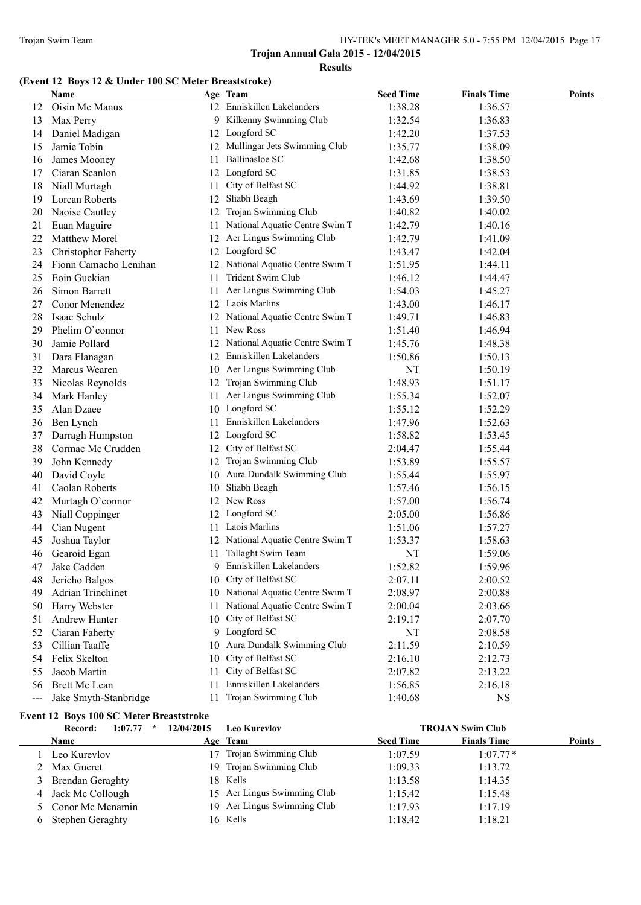# **(Event 12 Boys 12 & Under 100 SC Meter Breaststroke)**

|     | <b>Name</b>                |     | Age Team                          | <b>Seed Time</b> | <b>Finals Time</b> | Points |
|-----|----------------------------|-----|-----------------------------------|------------------|--------------------|--------|
| 12  | Oisin Mc Manus             |     | 12 Enniskillen Lakelanders        | 1:38.28          | 1:36.57            |        |
| 13  | Max Perry                  |     | 9 Kilkenny Swimming Club          | 1:32.54          | 1:36.83            |        |
| 14  | Daniel Madigan             |     | 12 Longford SC                    | 1:42.20          | 1:37.53            |        |
| 15  | Jamie Tobin                |     | 12 Mullingar Jets Swimming Club   | 1:35.77          | 1:38.09            |        |
| 16  | James Mooney               | 11  | <b>Ballinasloe SC</b>             | 1:42.68          | 1:38.50            |        |
| 17  | Ciaran Scanlon             |     | 12 Longford SC                    | 1:31.85          | 1:38.53            |        |
| 18  | Niall Murtagh              | 11  | City of Belfast SC                | 1:44.92          | 1:38.81            |        |
| 19  | Lorcan Roberts             | 12  | Sliabh Beagh                      | 1:43.69          | 1:39.50            |        |
| 20  | Naoise Cautley             | 12  | Trojan Swimming Club              | 1:40.82          | 1:40.02            |        |
| 21  | Euan Maguire               | 11. | National Aquatic Centre Swim T    | 1:42.79          | 1:40.16            |        |
| 22  | Matthew Morel              | 12  | Aer Lingus Swimming Club          | 1:42.79          | 1:41.09            |        |
| 23  | <b>Christopher Faherty</b> |     | 12 Longford SC                    | 1:43.47          | 1:42.04            |        |
| 24  | Fionn Camacho Lenihan      |     | 12 National Aquatic Centre Swim T | 1:51.95          | 1:44.11            |        |
| 25  | Eoin Guckian               | 11  | Trident Swim Club                 | 1:46.12          | 1:44.47            |        |
| 26  | Simon Barrett              | 11  | Aer Lingus Swimming Club          | 1:54.03          | 1:45.27            |        |
| 27  | Conor Menendez             | 12  | Laois Marlins                     | 1:43.00          | 1:46.17            |        |
| 28  | Isaac Schulz               |     | 12 National Aquatic Centre Swim T | 1:49.71          | 1:46.83            |        |
| 29  | Phelim O'connor            | 11. | New Ross                          | 1:51.40          | 1:46.94            |        |
| 30  | Jamie Pollard              |     | 12 National Aquatic Centre Swim T | 1:45.76          | 1:48.38            |        |
| 31  | Dara Flanagan              |     | 12 Enniskillen Lakelanders        | 1:50.86          | 1:50.13            |        |
| 32  | Marcus Wearen              |     | 10 Aer Lingus Swimming Club       | NT               | 1:50.19            |        |
| 33  | Nicolas Reynolds           |     | 12 Trojan Swimming Club           | 1:48.93          | 1:51.17            |        |
| 34  | Mark Hanley                | 11  | Aer Lingus Swimming Club          | 1:55.34          | 1:52.07            |        |
| 35  | Alan Dzaee                 |     | 10 Longford SC                    | 1:55.12          | 1:52.29            |        |
| 36  | Ben Lynch                  | 11  | Enniskillen Lakelanders           | 1:47.96          | 1:52.63            |        |
| 37  | Darragh Humpston           |     | 12 Longford SC                    | 1:58.82          | 1:53.45            |        |
| 38  | Cormac Mc Crudden          | 12  | City of Belfast SC                | 2:04.47          | 1:55.44            |        |
| 39  | John Kennedy               |     | 12 Trojan Swimming Club           | 1:53.89          | 1:55.57            |        |
| 40  | David Coyle                |     | 10 Aura Dundalk Swimming Club     | 1:55.44          | 1:55.97            |        |
| 41  | Caolan Roberts             |     | 10 Sliabh Beagh                   | 1:57.46          | 1:56.15            |        |
| 42  | Murtagh O'connor           |     | 12 New Ross                       | 1:57.00          | 1:56.74            |        |
| 43  | Niall Coppinger            |     | 12 Longford SC                    | 2:05.00          | 1:56.86            |        |
| 44  | Cian Nugent                | 11  | Laois Marlins                     | 1:51.06          | 1:57.27            |        |
| 45  | Joshua Taylor              |     | 12 National Aquatic Centre Swim T | 1:53.37          | 1:58.63            |        |
| 46  | Gearoid Egan               | 11  | Tallaght Swim Team                | NT               | 1:59.06            |        |
| 47  | Jake Cadden                |     | 9 Enniskillen Lakelanders         | 1:52.82          | 1:59.96            |        |
| 48  | Jericho Balgos             |     | 10 City of Belfast SC             | 2:07.11          | 2:00.52            |        |
| 49  | <b>Adrian Trinchinet</b>   |     | 10 National Aquatic Centre Swim T | 2:08.97          | 2:00.88            |        |
| 50  | Harry Webster              | 11  | National Aquatic Centre Swim T    | 2:00.04          | 2:03.66            |        |
| 51  | Andrew Hunter              | 10  | City of Belfast SC                | 2:19.17          | 2:07.70            |        |
| 52  | Ciaran Faherty             |     | 9 Longford SC                     | NT               | 2:08.58            |        |
| 53  | Cillian Taaffe             | 10  | Aura Dundalk Swimming Club        | 2:11.59          | 2:10.59            |        |
| 54  | Felix Skelton              | 10  | City of Belfast SC                | 2:16.10          | 2:12.73            |        |
| 55  | Jacob Martin               | 11  | City of Belfast SC                | 2:07.82          | 2:13.22            |        |
| 56  | <b>Brett Mc Lean</b>       | 11  | Enniskillen Lakelanders           | 1:56.85          | 2:16.18            |        |
| --- | Jake Smyth-Stanbridge      | 11  | Trojan Swimming Club              | 1:40.68          | <b>NS</b>          |        |

# **Event 12 Boys 100 SC Meter Breaststroke**

| 1:07.77<br>$\star$<br>Record: | 12/04/2015<br><b>Leo Kurevlov</b> |                  | <b>TROJAN Swim Club</b>             |
|-------------------------------|-----------------------------------|------------------|-------------------------------------|
| <b>Name</b>                   | Age Team                          | <b>Seed Time</b> | <b>Finals Time</b><br><b>Points</b> |
| Leo Kurevlov                  | Trojan Swimming Club              | 1:07.59          | $1:07.77*$                          |
| 2 Max Gueret                  | 19 Trojan Swimming Club           | 1:09.33          | 1:13.72                             |
| 3 Brendan Geraghty            | 18 Kells                          | 1:13.58          | 1:14.35                             |
| 4 Jack Mc Collough            | 15 Aer Lingus Swimming Club       | 1:15.42          | 1:15.48                             |
| 5 Conor Mc Menamin            | 19 Aer Lingus Swimming Club       | 1:17.93          | 1:17.19                             |
| 6 Stephen Geraghty            | 16 Kells                          | 1:18.42          | 1:18.21                             |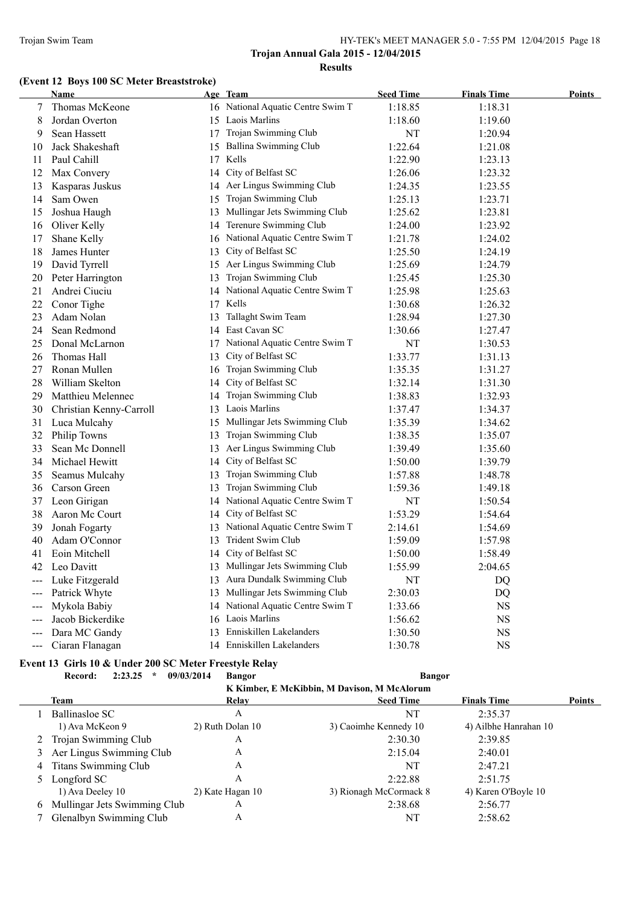# **(Event 12 Boys 100 SC Meter Breaststroke)**

|                     | Name                    |    | Age Team                          | <b>Seed Time</b> | <b>Finals Time</b> | <b>Points</b> |
|---------------------|-------------------------|----|-----------------------------------|------------------|--------------------|---------------|
| 7                   | Thomas McKeone          |    | 16 National Aquatic Centre Swim T | 1:18.85          | 1:18.31            |               |
| 8                   | Jordan Overton          |    | 15 Laois Marlins                  | 1:18.60          | 1:19.60            |               |
| 9                   | Sean Hassett            |    | 17 Trojan Swimming Club           | NT               | 1:20.94            |               |
| 10                  | Jack Shakeshaft         |    | 15 Ballina Swimming Club          | 1:22.64          | 1:21.08            |               |
| 11                  | Paul Cahill             |    | 17 Kells                          | 1:22.90          | 1:23.13            |               |
| 12                  | Max Convery             |    | 14 City of Belfast SC             | 1:26.06          | 1:23.32            |               |
| 13                  | Kasparas Juskus         |    | 14 Aer Lingus Swimming Club       | 1:24.35          | 1:23.55            |               |
| 14                  | Sam Owen                |    | 15 Trojan Swimming Club           | 1:25.13          | 1:23.71            |               |
| 15                  | Joshua Haugh            |    | 13 Mullingar Jets Swimming Club   | 1:25.62          | 1:23.81            |               |
| 16                  | Oliver Kelly            | 14 | Terenure Swimming Club            | 1:24.00          | 1:23.92            |               |
| 17                  | Shane Kelly             |    | 16 National Aquatic Centre Swim T | 1:21.78          | 1:24.02            |               |
| 18                  | James Hunter            |    | 13 City of Belfast SC             | 1:25.50          | 1:24.19            |               |
| 19                  | David Tyrrell           |    | 15 Aer Lingus Swimming Club       | 1:25.69          | 1:24.79            |               |
| 20                  | Peter Harrington        |    | 13 Trojan Swimming Club           | 1:25.45          | 1:25.30            |               |
| 21                  | Andrei Ciuciu           | 14 | National Aquatic Centre Swim T    | 1:25.98          | 1:25.63            |               |
| 22                  | Conor Tighe             |    | 17 Kells                          | 1:30.68          | 1:26.32            |               |
| 23                  | Adam Nolan              |    | 13 Tallaght Swim Team             | 1:28.94          | 1:27.30            |               |
| 24                  | Sean Redmond            |    | 14 East Cavan SC                  | 1:30.66          | 1:27.47            |               |
| 25                  | Donal McLarnon          |    | 17 National Aquatic Centre Swim T | NT               | 1:30.53            |               |
| 26                  | Thomas Hall             | 13 | City of Belfast SC                | 1:33.77          | 1:31.13            |               |
| 27                  | Ronan Mullen            |    | 16 Trojan Swimming Club           | 1:35.35          | 1:31.27            |               |
| 28                  | William Skelton         | 14 | City of Belfast SC                | 1:32.14          | 1:31.30            |               |
| 29                  | Matthieu Melennec       | 14 | Trojan Swimming Club              | 1:38.83          | 1:32.93            |               |
| 30                  | Christian Kenny-Carroll |    | 13 Laois Marlins                  | 1:37.47          | 1:34.37            |               |
| 31                  | Luca Mulcahy            |    | 15 Mullingar Jets Swimming Club   | 1:35.39          | 1:34.62            |               |
| 32                  | Philip Towns            | 13 | Trojan Swimming Club              | 1:38.35          | 1:35.07            |               |
| 33                  | Sean Mc Donnell         | 13 | Aer Lingus Swimming Club          | 1:39.49          | 1:35.60            |               |
| 34                  | Michael Hewitt          |    | 14 City of Belfast SC             | 1:50.00          | 1:39.79            |               |
| 35                  | Seamus Mulcahy          |    | 13 Trojan Swimming Club           | 1:57.88          | 1:48.78            |               |
| 36                  | Carson Green            | 13 | Trojan Swimming Club              | 1:59.36          | 1:49.18            |               |
| 37                  | Leon Girigan            | 14 | National Aquatic Centre Swim T    | NT               | 1:50.54            |               |
| 38                  | Aaron Mc Court          | 14 | City of Belfast SC                | 1:53.29          | 1:54.64            |               |
| 39                  | Jonah Fogarty           |    | 13 National Aquatic Centre Swim T | 2:14.61          | 1:54.69            |               |
| 40                  | Adam O'Connor           | 13 | Trident Swim Club                 | 1:59.09          | 1:57.98            |               |
| 41                  | Eoin Mitchell           | 14 | City of Belfast SC                | 1:50.00          | 1:58.49            |               |
| 42                  | Leo Davitt              |    | 13 Mullingar Jets Swimming Club   | 1:55.99          | 2:04.65            |               |
| $---$               | Luke Fitzgerald         |    | 13 Aura Dundalk Swimming Club     | NT               | DQ                 |               |
| $\qquad \qquad -$   | Patrick Whyte           |    | 13 Mullingar Jets Swimming Club   | 2:30.03          | DQ                 |               |
| $---$               | Mykola Babiy            |    | 14 National Aquatic Centre Swim T | 1:33.66          | <b>NS</b>          |               |
| $\qquad \qquad - -$ | Jacob Bickerdike        |    | 16 Laois Marlins                  | 1:56.62          | <b>NS</b>          |               |
| $\overline{a}$      | Dara MC Gandy           |    | 13 Enniskillen Lakelanders        | 1:30.50          | <b>NS</b>          |               |
| $---$               | Ciaran Flanagan         |    | 14 Enniskillen Lakelanders        | 1:30.78          | <b>NS</b>          |               |

#### **Event 13 Girls 10 & Under 200 SC Meter Freestyle Relay**

**Record: 2:23.25 \* 09/03/2014 Bangor Bangor**

|  | K Kimber, E McKibbin, M Davison, M McAlorum |
|--|---------------------------------------------|

|   | Team                         | Relay            | <b>Seed Time</b>       | <b>Finals Time</b>    | Points |
|---|------------------------------|------------------|------------------------|-----------------------|--------|
|   | Ballinasloe SC               | А                | NT                     | 2:35.37               |        |
|   | 1) Ava McKeon 9              | 2) Ruth Dolan 10 | 3) Caoimhe Kennedy 10  | 4) Ailbhe Hanrahan 10 |        |
|   | 2 Trojan Swimming Club       | А                | 2:30.30                | 2:39.85               |        |
|   | 3 Aer Lingus Swimming Club   | Α                | 2:15.04                | 2:40.01               |        |
|   | 4 Titans Swimming Club       | Α                | NT                     | 2:47.21               |        |
|   | 5 Longford SC                | Α                | 2:22.88                | 2:51.75               |        |
|   | 1) Ava Deeley 10             | 2) Kate Hagan 10 | 3) Rionagh McCormack 8 | 4) Karen O'Boyle 10   |        |
| 6 | Mullingar Jets Swimming Club | A                | 2:38.68                | 2:56.77               |        |
|   | Glenalbyn Swimming Club      | Α                | NT                     | 2:58.62               |        |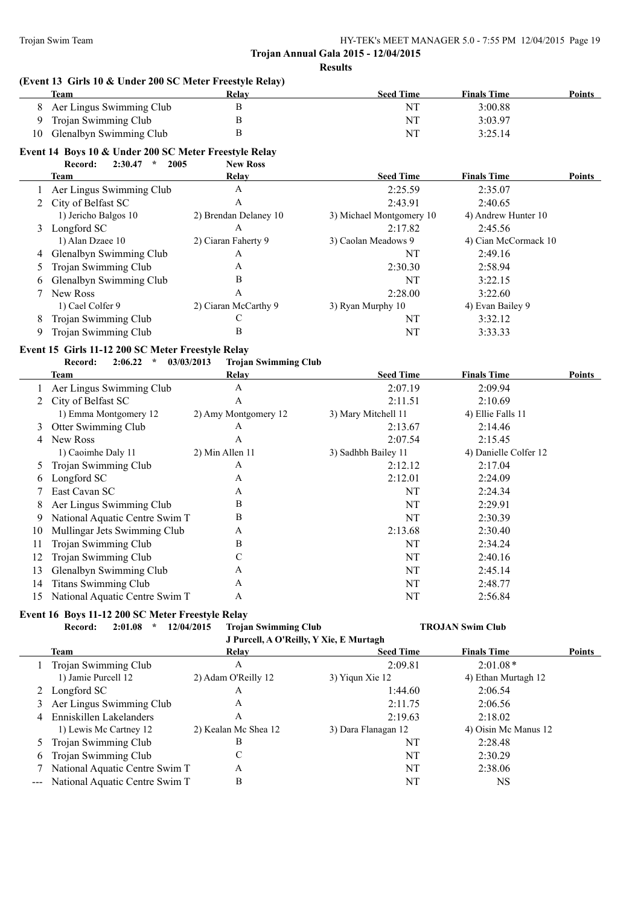**(Event 13 Girls 10 & Under 200 SC Meter Freestyle Relay)**

**Trojan Annual Gala 2015 - 12/04/2015 Results**

|                | <b>Team</b>                                           | Relay                                     | <b>Seed Time</b>         | <b>Finals Time</b>      | Points        |
|----------------|-------------------------------------------------------|-------------------------------------------|--------------------------|-------------------------|---------------|
| 8              | Aer Lingus Swimming Club                              | $\, {\bf B}$                              | NT                       | 3:00.88                 |               |
| 9              | Trojan Swimming Club                                  | B                                         | NT                       | 3:03.97                 |               |
| 10             | Glenalbyn Swimming Club                               | B                                         | <b>NT</b>                | 3:25.14                 |               |
|                | Event 14 Boys 10 & Under 200 SC Meter Freestyle Relay |                                           |                          |                         |               |
|                | $2:30.47$ * 2005<br>Record:                           | <b>New Ross</b>                           |                          |                         |               |
|                | Team                                                  | Relay                                     | <b>Seed Time</b>         | <b>Finals Time</b>      | Points        |
|                | Aer Lingus Swimming Club                              | A                                         | 2:25.59                  | 2:35.07                 |               |
| 2              | City of Belfast SC                                    | A                                         | 2:43.91                  | 2:40.65                 |               |
|                | 1) Jericho Balgos 10                                  | 2) Brendan Delaney 10                     | 3) Michael Montgomery 10 | 4) Andrew Hunter 10     |               |
|                | 3 Longford SC                                         | A                                         | 2:17.82                  | 2:45.56                 |               |
|                | 1) Alan Dzaee 10                                      | 2) Ciaran Faherty 9                       | 3) Caolan Meadows 9      | 4) Cian McCormack 10    |               |
|                | 4 Glenalbyn Swimming Club                             | A                                         | NT                       | 2:49.16                 |               |
| 5              | Trojan Swimming Club                                  | A                                         | 2:30.30                  | 2:58.94                 |               |
| 6              | Glenalbyn Swimming Club                               | B                                         | NT                       | 3:22.15                 |               |
| 7              | New Ross                                              | A                                         | 2:28.00                  | 3:22.60                 |               |
|                | 1) Cael Colfer 9                                      | 2) Ciaran McCarthy 9                      | 3) Ryan Murphy 10        | 4) Evan Bailey 9        |               |
|                | Trojan Swimming Club                                  | $\mathbf C$                               | NT                       | 3:32.12                 |               |
| 8<br>9         | Trojan Swimming Club                                  | B                                         | NT                       | 3:33.33                 |               |
|                |                                                       |                                           |                          |                         |               |
|                | Event 15 Girls 11-12 200 SC Meter Freestyle Relay     |                                           |                          |                         |               |
|                | Record:<br>2:06.22<br>$\star$                         | 03/03/2013<br><b>Trojan Swimming Club</b> |                          |                         |               |
|                | <b>Team</b>                                           | <b>Relay</b>                              | <b>Seed Time</b>         | <b>Finals Time</b>      | Points        |
|                | Aer Lingus Swimming Club                              | $\boldsymbol{\rm{A}}$                     | 2:07.19                  | 2:09.94                 |               |
| $\overline{2}$ | City of Belfast SC                                    | $\mathbf{A}$                              | 2:11.51                  | 2:10.69                 |               |
|                | 1) Emma Montgomery 12                                 | 2) Amy Montgomery 12                      | 3) Mary Mitchell 11      | 4) Ellie Falls 11       |               |
| 3              | Otter Swimming Club                                   | A                                         | 2:13.67                  | 2:14.46                 |               |
| 4              | New Ross                                              | $\mathbf{A}$                              | 2:07.54                  | 2:15.45                 |               |
|                | 1) Caoimhe Daly 11                                    | 2) Min Allen 11                           | 3) Sadhbh Bailey 11      | 4) Danielle Colfer 12   |               |
| 5              | Trojan Swimming Club                                  | A                                         | 2:12.12                  | 2:17.04                 |               |
| 6              | Longford SC                                           | A                                         | 2:12.01                  | 2:24.09                 |               |
| 7              | East Cavan SC                                         | A                                         | NT                       | 2:24.34                 |               |
| 8              | Aer Lingus Swimming Club                              | B                                         | <b>NT</b>                | 2:29.91                 |               |
| 9              | National Aquatic Centre Swim T                        | B                                         | <b>NT</b>                | 2:30.39                 |               |
| 10             | Mullingar Jets Swimming Club                          | A                                         | 2:13.68                  | 2:30.40                 |               |
| 11             | Trojan Swimming Club                                  | B                                         | NT                       | 2:34.24                 |               |
| 12             | Trojan Swimming Club                                  | C                                         | NT                       | 2:40.16                 |               |
| 13             | Glenalbyn Swimming Club                               | A                                         | NT                       | 2:45.14                 |               |
|                | 14 Titans Swimming Club                               | A                                         | NT                       | 2:48.77                 |               |
| 15             | National Aquatic Centre Swim T                        | A                                         | NT                       | 2:56.84                 |               |
|                | Event 16 Boys 11-12 200 SC Meter Freestyle Relay      |                                           |                          |                         |               |
|                | Record:<br>2:01.08<br>$\mathcal{R}$                   | <b>Trojan Swimming Club</b><br>12/04/2015 |                          | <b>TROJAN Swim Club</b> |               |
|                |                                                       | J Purcell, A O'Reilly, Y Xie, E Murtagh   |                          |                         |               |
|                | <b>Team</b>                                           | <b>Relay</b>                              | <b>Seed Time</b>         | <b>Finals Time</b>      | <b>Points</b> |
| 1              | Trojan Swimming Club                                  | $\mathbf{A}$                              | 2:09.81                  | $2:01.08*$              |               |
|                | 1) Jamie Purcell 12                                   | 2) Adam O'Reilly 12                       | 3) Yiqun Xie 12          | 4) Ethan Murtagh 12     |               |
|                | 2 Longford SC                                         | A                                         | 1:44.60                  | 2:06.54                 |               |
| 3              | Aer Lingus Swimming Club                              | A                                         | 2:11.75                  | 2:06.56                 |               |
|                | Enniskillen Lakelanders                               | A                                         | 2:19.63                  | 2:18.02                 |               |
| 4              | 1) Lewis Mc Cartney 12                                | 2) Kealan Mc Shea 12                      | 3) Dara Flanagan 12      | 4) Oisin Mc Manus 12    |               |
|                | Trojan Swimming Club                                  | B                                         | NT                       | 2:28.48                 |               |
| 5<br>6         | Trojan Swimming Club                                  | $\mathbf C$                               | $\rm{NT}$                | 2:30.29                 |               |
|                | National Aquatic Centre Swim T                        | A                                         | NT                       | 2:38.06                 |               |
| 7              |                                                       | B                                         |                          |                         |               |
|                | National Aquatic Centre Swim T                        |                                           | NT                       | <b>NS</b>               |               |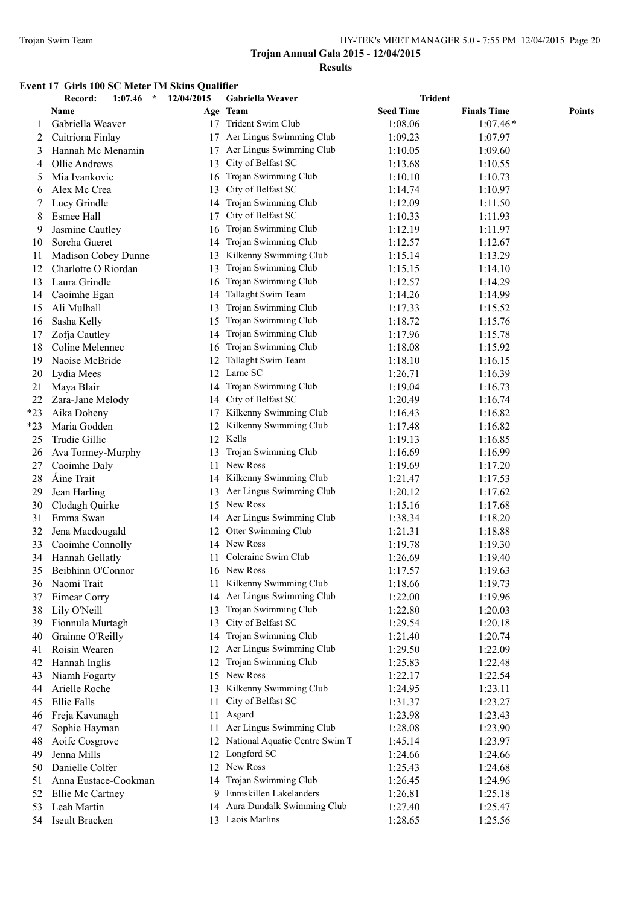#### Trojan Swim Team HY-TEK's MEET MANAGER 5.0 - 7:55 PM 12/04/2015 Page 20

# **Trojan Annual Gala 2015 - 12/04/2015 Results**

# **Event 17 Girls 100 SC Meter IM Skins Qualifier**

|       | Record:<br>1:07.46<br>$\star$ | 12/04/2015 | <b>Gabriella Weaver</b>           | <b>Trident</b>   |                    |        |
|-------|-------------------------------|------------|-----------------------------------|------------------|--------------------|--------|
|       | Name                          |            | Age Team                          | <b>Seed Time</b> | <b>Finals Time</b> | Points |
| 1     | Gabriella Weaver              |            | 17 Trident Swim Club              | 1:08.06          | $1:07.46*$         |        |
| 2     | Caitriona Finlay              |            | 17 Aer Lingus Swimming Club       | 1:09.23          | 1:07.97            |        |
| 3     | Hannah Mc Menamin             | 17         | Aer Lingus Swimming Club          | 1:10.05          | 1:09.60            |        |
| 4     | Ollie Andrews                 | 13         | City of Belfast SC                | 1:13.68          | 1:10.55            |        |
| 5     | Mia Ivankovic                 | 16         | Trojan Swimming Club              | 1:10.10          | 1:10.73            |        |
| 6     | Alex Mc Crea                  | 13         | City of Belfast SC                | 1:14.74          | 1:10.97            |        |
| 7     | Lucy Grindle                  | 14         | Trojan Swimming Club              | 1:12.09          | 1:11.50            |        |
| 8     | <b>Esmee Hall</b>             | 17         | City of Belfast SC                | 1:10.33          | 1:11.93            |        |
| 9     | Jasmine Cautley               | 16         | Trojan Swimming Club              | 1:12.19          | 1:11.97            |        |
| 10    | Sorcha Gueret                 | 14         | Trojan Swimming Club              | 1:12.57          | 1:12.67            |        |
| 11    | Madison Cobey Dunne           | 13         | Kilkenny Swimming Club            | 1:15.14          | 1:13.29            |        |
| 12    | Charlotte O Riordan           | 13         | Trojan Swimming Club              | 1:15.15          | 1:14.10            |        |
| 13    | Laura Grindle                 | 16         | Trojan Swimming Club              | 1:12.57          | 1:14.29            |        |
| 14    | Caoimhe Egan                  | 14         | Tallaght Swim Team                | 1:14.26          | 1:14.99            |        |
| 15    | Ali Mulhall                   | 13         | Trojan Swimming Club              | 1:17.33          | 1:15.52            |        |
| 16    | Sasha Kelly                   | 15         | Trojan Swimming Club              | 1:18.72          | 1:15.76            |        |
| 17    | Zofja Cautley                 | 14         | Trojan Swimming Club              | 1:17.96          | 1:15.78            |        |
| 18    | Coline Melennec               | 16         | Trojan Swimming Club              | 1:18.08          | 1:15.92            |        |
| 19    | Naoíse McBride                | 12         | Tallaght Swim Team                | 1:18.10          | 1:16.15            |        |
| 20    | Lydia Mees                    |            | 12 Larne SC                       | 1:26.71          | 1:16.39            |        |
| 21    | Maya Blair                    |            | 14 Trojan Swimming Club           | 1:19.04          | 1:16.73            |        |
| 22    | Zara-Jane Melody              |            | 14 City of Belfast SC             | 1:20.49          | 1:16.74            |        |
| $*23$ | Aika Doheny                   | 17         | Kilkenny Swimming Club            | 1:16.43          | 1:16.82            |        |
| $*23$ | Maria Godden                  | 12         | Kilkenny Swimming Club            | 1:17.48          | 1:16.82            |        |
| 25    | Trudie Gillic                 |            | 12 Kells                          | 1:19.13          | 1:16.85            |        |
| 26    | Ava Tormey-Murphy             | 13         | Trojan Swimming Club              | 1:16.69          | 1:16.99            |        |
| 27    | Caoimhe Daly                  | 11         | New Ross                          | 1:19.69          | 1:17.20            |        |
| 28    | <b>Áine Trait</b>             |            | 14 Kilkenny Swimming Club         | 1:21.47          | 1:17.53            |        |
| 29    | Jean Harling                  |            | 13 Aer Lingus Swimming Club       | 1:20.12          | 1:17.62            |        |
| 30    | Clodagh Quirke                |            | 15 New Ross                       | 1:15.16          | 1:17.68            |        |
| 31    | Emma Swan                     |            | 14 Aer Lingus Swimming Club       | 1:38.34          | 1:18.20            |        |
| 32    | Jena Macdougald               |            | 12 Otter Swimming Club            | 1:21.31          | 1:18.88            |        |
| 33    | Caoimhe Connolly              |            | 14 New Ross                       | 1:19.78          | 1:19.30            |        |
| 34    | Hannah Gellatly               | 11         | Coleraine Swim Club               | 1:26.69          | 1:19.40            |        |
| 35    | Beibhinn O'Connor             |            | 16 New Ross                       | 1:17.57          | 1:19.63            |        |
| 36    | Naomi Trait                   |            | 11 Kilkenny Swimming Club         | 1:18.66          | 1:19.73            |        |
| 37    | Eimear Corry                  | 14         | Aer Lingus Swimming Club          | 1:22.00          | 1:19.96            |        |
| 38    | Lily O'Neill                  | 13         | Trojan Swimming Club              | 1:22.80          | 1:20.03            |        |
| 39    | Fionnula Murtagh              | 13         | City of Belfast SC                | 1:29.54          | 1:20.18            |        |
| 40    | Grainne O'Reilly              | 14         | Trojan Swimming Club              | 1:21.40          | 1:20.74            |        |
| 41    | Roisin Wearen                 | 12         | Aer Lingus Swimming Club          | 1:29.50          | 1:22.09            |        |
| 42    | Hannah Inglis                 | 12         | Trojan Swimming Club              | 1:25.83          | 1:22.48            |        |
| 43    | Niamh Fogarty                 | 15         | New Ross                          | 1:22.17          | 1:22.54            |        |
| 44    | Arielle Roche                 | 13         | Kilkenny Swimming Club            | 1:24.95          | 1:23.11            |        |
| 45    | Ellie Falls                   | 11         | City of Belfast SC                | 1:31.37          | 1:23.27            |        |
| 46    | Freja Kavanagh                | 11         | Asgard                            | 1:23.98          | 1:23.43            |        |
| 47    | Sophie Hayman                 | 11         | Aer Lingus Swimming Club          | 1:28.08          | 1:23.90            |        |
| 48    | Aoife Cosgrove                |            | 12 National Aquatic Centre Swim T | 1:45.14          | 1:23.97            |        |
| 49    | Jenna Mills                   |            | 12 Longford SC                    | 1:24.66          | 1:24.66            |        |
| 50    | Danielle Colfer               |            | 12 New Ross                       | 1:25.43          | 1:24.68            |        |
| 51    | Anna Eustace-Cookman          | 14         | Trojan Swimming Club              | 1:26.45          | 1:24.96            |        |
| 52    | Ellie Mc Cartney              |            | 9 Enniskillen Lakelanders         | 1:26.81          | 1:25.18            |        |
| 53    | Leah Martin                   |            | 14 Aura Dundalk Swimming Club     | 1:27.40          | 1:25.47            |        |
| 54    | Iseult Bracken                |            | 13 Laois Marlins                  | 1:28.65          | 1:25.56            |        |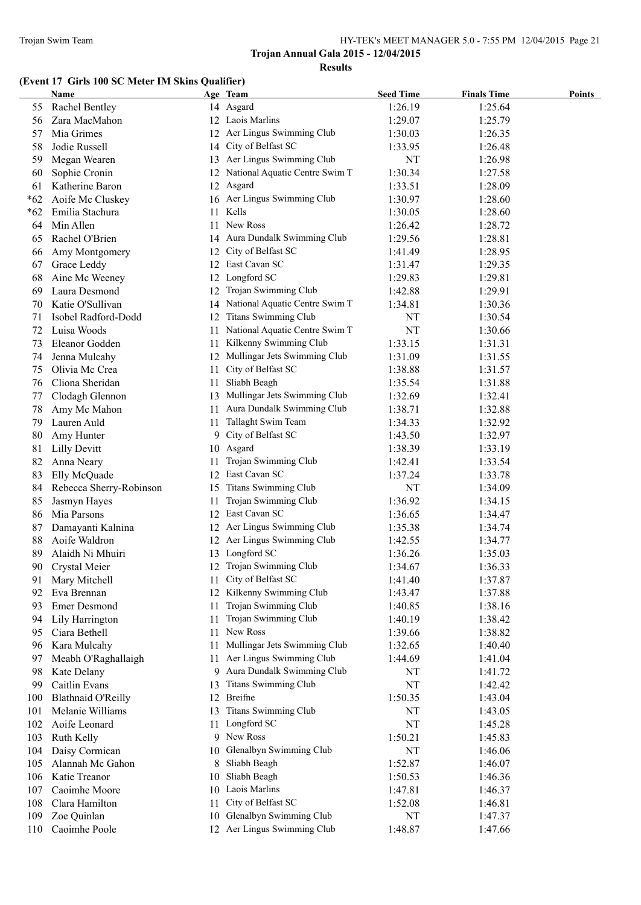# **(Event 17 Girls 100 SC Meter IM Skins Qualifier)**

|       | <b>Name</b>               |     | Age Team                          | <b>Seed Time</b> | <b>Finals Time</b> | <b>Points</b> |
|-------|---------------------------|-----|-----------------------------------|------------------|--------------------|---------------|
| 55    | <b>Rachel Bentley</b>     |     | 14 Asgard                         | 1:26.19          | 1:25.64            |               |
| 56    | Zara MacMahon             |     | 12 Laois Marlins                  | 1:29.07          | 1:25.79            |               |
| 57    | Mia Grimes                |     | 12 Aer Lingus Swimming Club       | 1:30.03          | 1:26.35            |               |
| 58    | Jodie Russell             |     | 14 City of Belfast SC             | 1:33.95          | 1:26.48            |               |
| 59    | Megan Wearen              |     | 13 Aer Lingus Swimming Club       | NT               | 1:26.98            |               |
| 60    | Sophie Cronin             |     | 12 National Aquatic Centre Swim T | 1:30.34          | 1:27.58            |               |
| 61    | Katherine Baron           |     | 12 Asgard                         | 1:33.51          | 1:28.09            |               |
| $*62$ | Aoife Mc Cluskey          |     | 16 Aer Lingus Swimming Club       | 1:30.97          | 1:28.60            |               |
| $*62$ | Emilia Stachura           | 11. | Kells                             | 1:30.05          | 1:28.60            |               |
| 64    | Min Allen                 | 11. | New Ross                          | 1:26.42          | 1:28.72            |               |
| 65    | Rachel O'Brien            |     | 14 Aura Dundalk Swimming Club     | 1:29.56          | 1:28.81            |               |
| 66    | Amy Montgomery            | 12  | City of Belfast SC                | 1:41.49          | 1:28.95            |               |
| 67    | Grace Leddy               |     | 12 East Cavan SC                  | 1:31.47          | 1:29.35            |               |
| 68    | Aine Mc Weeney            |     | 12 Longford SC                    | 1:29.83          | 1:29.81            |               |
| 69    | Laura Desmond             | 12  | Trojan Swimming Club              | 1:42.88          | 1:29.91            |               |
| 70    | Katie O'Sullivan          |     | 14 National Aquatic Centre Swim T | 1:34.81          | 1:30.36            |               |
| 71    | Isobel Radford-Dodd       |     | 12 Titans Swimming Club           | NT               | 1:30.54            |               |
| 72    | Luisa Woods               | 11- | National Aquatic Centre Swim T    | NT               | 1:30.66            |               |
| 73    | Eleanor Godden            | 11  | Kilkenny Swimming Club            | 1:33.15          | 1:31.31            |               |
| 74    | Jenna Mulcahy             |     | 12 Mullingar Jets Swimming Club   | 1:31.09          | 1:31.55            |               |
| 75    | Olivia Mc Crea            | 11  | City of Belfast SC                | 1:38.88          | 1:31.57            |               |
| 76    | Cliona Sheridan           | 11  | Sliabh Beagh                      | 1:35.54          | 1:31.88            |               |
| 77    | Clodagh Glennon           |     | 13 Mullingar Jets Swimming Club   | 1:32.69          | 1:32.41            |               |
| 78    | Amy Mc Mahon              | 11  | Aura Dundalk Swimming Club        | 1:38.71          | 1:32.88            |               |
| 79    | Lauren Auld               | 11  | Tallaght Swim Team                | 1:34.33          | 1:32.92            |               |
| 80    | Amy Hunter                |     | 9 City of Belfast SC              | 1:43.50          | 1:32.97            |               |
| 81    | <b>Lilly Devitt</b>       |     | 10 Asgard                         | 1:38.39          | 1:33.19            |               |
| 82    | Anna Neary                | 11  | Trojan Swimming Club              | 1:42.41          | 1:33.54            |               |
| 83    | Elly McQuade              |     | 12 East Cavan SC                  | 1:37.24          | 1:33.78            |               |
| 84    | Rebecca Sherry-Robinson   |     | 15 Titans Swimming Club           | NT               | 1:34.09            |               |
| 85    | Jasmyn Hayes              | 11  | Trojan Swimming Club              | 1:36.92          | 1:34.15            |               |
| 86    | Mia Parsons               |     | 12 East Cavan SC                  | 1:36.65          | 1:34.47            |               |
| 87    | Damayanti Kalnina         |     | 12 Aer Lingus Swimming Club       | 1:35.38          | 1:34.74            |               |
| 88    | Aoife Waldron             |     | 12 Aer Lingus Swimming Club       | 1:42.55          | 1:34.77            |               |
| 89    | Alaidh Ni Mhuiri          |     | 13 Longford SC                    | 1:36.26          | 1:35.03            |               |
| 90    | Crystal Meier             |     | 12 Trojan Swimming Club           | 1:34.67          | 1:36.33            |               |
| 91    | Mary Mitchell             | 11  | City of Belfast SC                | 1:41.40          | 1:37.87            |               |
| 92    | Eva Brennan               | 12  | Kilkenny Swimming Club            | 1:43.47          | 1:37.88            |               |
| 93    | <b>Emer Desmond</b>       | 11  | Trojan Swimming Club              | 1:40.85          | 1:38.16            |               |
| 94    | Lily Harrington           | 11  | Trojan Swimming Club              | 1:40.19          | 1:38.42            |               |
| 95    | Ciara Bethell             | 11  | New Ross                          | 1:39.66          | 1:38.82            |               |
| 96    | Kara Mulcahy              | 11  | Mullingar Jets Swimming Club      | 1:32.65          | 1:40.40            |               |
| 97    | Meabh O'Raghallaigh       | 11  | Aer Lingus Swimming Club          | 1:44.69          | 1:41.04            |               |
| 98    | Kate Delany               | 9.  | Aura Dundalk Swimming Club        | NT               | 1:41.72            |               |
| 99    | Caitlin Evans             | 13  | Titans Swimming Club              | NT               | 1:42.42            |               |
| 100   | <b>Blathnaid O'Reilly</b> |     | 12 Breifne                        | 1:50.35          | 1:43.04            |               |
| 101   | Melanie Williams          | 13  | <b>Titans Swimming Club</b>       | NT               | 1:43.05            |               |
| 102   | Aoife Leonard             | 11. | Longford SC                       | NT               | 1:45.28            |               |
| 103   | Ruth Kelly                |     | 9 New Ross                        | 1:50.21          | 1:45.83            |               |
| 104   | Daisy Cormican            | 10  | Glenalbyn Swimming Club           | NT               | 1:46.06            |               |
| 105   | Alannah Mc Gahon          | 8   | Sliabh Beagh                      | 1:52.87          | 1:46.07            |               |
| 106   | Katie Treanor             | 10  | Sliabh Beagh                      | 1:50.53          | 1:46.36            |               |
| 107   | Caoimhe Moore             | 10  | Laois Marlins                     | 1:47.81          | 1:46.37            |               |
| 108   | Clara Hamilton            | 11  | City of Belfast SC                | 1:52.08          | 1:46.81            |               |
| 109   | Zoe Quinlan               | 10  | Glenalbyn Swimming Club           | NT               | 1:47.37            |               |
| 110   | Caoimhe Poole             |     | 12 Aer Lingus Swimming Club       | 1:48.87          | 1:47.66            |               |
|       |                           |     |                                   |                  |                    |               |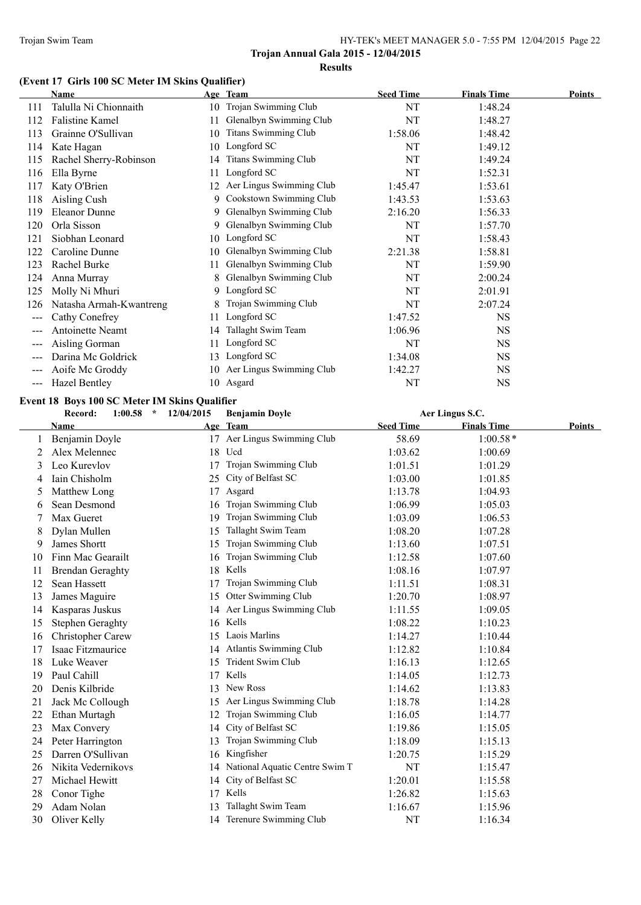# **(Event 17 Girls 100 SC Meter IM Skins Qualifier)**

|                        | <b>Name</b>             |     | Age Team                    | <b>Seed Time</b> | <b>Finals Time</b> | <b>Points</b> |
|------------------------|-------------------------|-----|-----------------------------|------------------|--------------------|---------------|
| 111                    | Talulla Ni Chionnaith   | 10  | Trojan Swimming Club        | NT               | 1:48.24            |               |
| 112                    | <b>Falistine Kamel</b>  | 11  | Glenalbyn Swimming Club     | NT               | 1:48.27            |               |
| 113                    | Grainne O'Sullivan      | 10  | <b>Titans Swimming Club</b> | 1:58.06          | 1:48.42            |               |
| 114                    | Kate Hagan              | 10  | Longford SC                 | NT               | 1:49.12            |               |
| 115                    | Rachel Sherry-Robinson  | 14  | <b>Titans Swimming Club</b> | NT               | 1:49.24            |               |
| 116                    | Ella Byrne              | 11. | Longford SC                 | NT               | 1:52.31            |               |
| 117                    | Katy O'Brien            | 12  | Aer Lingus Swimming Club    | 1:45.47          | 1:53.61            |               |
| 118                    | Aisling Cush            | 9.  | Cookstown Swimming Club     | 1:43.53          | 1:53.63            |               |
| 119                    | <b>Eleanor Dunne</b>    | 9.  | Glenalbyn Swimming Club     | 2:16.20          | 1:56.33            |               |
| 120                    | Orla Sisson             | 9   | Glenalbyn Swimming Club     | NT               | 1:57.70            |               |
| 121                    | Siobhan Leonard         | 10  | Longford SC                 | NT               | 1:58.43            |               |
| 122                    | Caroline Dunne          | 10  | Glenalbyn Swimming Club     | 2:21.38          | 1:58.81            |               |
| 123                    | Rachel Burke            | 11  | Glenalbyn Swimming Club     | NT               | 1:59.90            |               |
| 124                    | Anna Murray             | 8   | Glenalbyn Swimming Club     | NT               | 2:00.24            |               |
| 125                    | Molly Ni Mhuri          | 9.  | Longford SC                 | NT               | 2:01.91            |               |
| 126                    | Natasha Armah-Kwantreng |     | Trojan Swimming Club        | NT               | 2:07.24            |               |
| $\qquad \qquad \cdots$ | Cathy Conefrey          | 11  | Longford SC                 | 1:47.52          | NS                 |               |
|                        | <b>Antoinette Neamt</b> | 14  | Tallaght Swim Team          | 1:06.96          | <b>NS</b>          |               |
| $---$                  | Aisling Gorman          |     | Longford SC                 | NT               | <b>NS</b>          |               |
| $---$                  | Darina Mc Goldrick      | 13  | Longford SC                 | 1:34.08          | <b>NS</b>          |               |
| $---$                  | Aoife Mc Groddy         | 10  | Aer Lingus Swimming Club    | 1:42.27          | NS                 |               |
| $---$                  | <b>Hazel Bentley</b>    |     | 10 Asgard                   | NT               | NS                 |               |

#### **Event 18 Boys 100 SC Meter IM Skins Qualifier**

|    | Record:<br>$1:00.58$ *   | 12/04/2015 | <b>Benjamin Doyle</b>          |                  | Aer Lingus S.C.    |               |
|----|--------------------------|------------|--------------------------------|------------------|--------------------|---------------|
|    | Name                     |            | Age Team                       | <b>Seed Time</b> | <b>Finals Time</b> | <b>Points</b> |
|    | Benjamin Doyle           |            | 17 Aer Lingus Swimming Club    | 58.69            | $1:00.58*$         |               |
| 2  | Alex Melennec            | 18         | Ucd                            | 1:03.62          | 1:00.69            |               |
| 3  | Leo Kurevlov             | 17         | Trojan Swimming Club           | 1:01.51          | 1:01.29            |               |
| 4  | Iain Chisholm            | 25         | City of Belfast SC             | 1:03.00          | 1:01.85            |               |
| 5  | Matthew Long             | 17         | Asgard                         | 1:13.78          | 1:04.93            |               |
| 6  | Sean Desmond             | 16         | Trojan Swimming Club           | 1:06.99          | 1:05.03            |               |
| 7  | Max Gueret               | 19         | Trojan Swimming Club           | 1:03.09          | 1:06.53            |               |
| 8  | Dylan Mullen             | 15         | Tallaght Swim Team             | 1:08.20          | 1:07.28            |               |
| 9  | <b>James Shortt</b>      | 15         | Trojan Swimming Club           | 1:13.60          | 1:07.51            |               |
| 10 | Finn Mac Gearailt        | 16         | Trojan Swimming Club           | 1:12.58          | 1:07.60            |               |
| 11 | <b>Brendan Geraghty</b>  | 18         | Kells                          | 1:08.16          | 1:07.97            |               |
| 12 | Sean Hassett             | 17         | Trojan Swimming Club           | 1:11.51          | 1:08.31            |               |
| 13 | James Maguire            | 15         | Otter Swimming Club            | 1:20.70          | 1:08.97            |               |
| 14 | Kasparas Juskus          |            | 14 Aer Lingus Swimming Club    | 1:11.55          | 1:09.05            |               |
| 15 | Stephen Geraghty         |            | 16 Kells                       | 1:08.22          | 1:10.23            |               |
| 16 | <b>Christopher Carew</b> |            | 15 Laois Marlins               | 1:14.27          | 1:10.44            |               |
| 17 | Isaac Fitzmaurice        | 14         | Atlantis Swimming Club         | 1:12.82          | 1:10.84            |               |
| 18 | Luke Weaver              | 15         | Trident Swim Club              | 1:16.13          | 1:12.65            |               |
| 19 | Paul Cahill              | 17         | Kells                          | 1:14.05          | 1:12.73            |               |
| 20 | Denis Kilbride           | 13         | New Ross                       | 1:14.62          | 1:13.83            |               |
| 21 | Jack Mc Collough         | 15         | Aer Lingus Swimming Club       | 1:18.78          | 1:14.28            |               |
| 22 | Ethan Murtagh            | 12         | Trojan Swimming Club           | 1:16.05          | 1:14.77            |               |
| 23 | Max Convery              | 14         | City of Belfast SC             | 1:19.86          | 1:15.05            |               |
| 24 | Peter Harrington         | 13         | Trojan Swimming Club           | 1:18.09          | 1:15.13            |               |
| 25 | Darren O'Sullivan        | 16         | Kingfisher                     | 1:20.75          | 1:15.29            |               |
| 26 | Nikita Vedernikovs       | 14         | National Aquatic Centre Swim T | NT               | 1:15.47            |               |
| 27 | Michael Hewitt           | 14         | City of Belfast SC             | 1:20.01          | 1:15.58            |               |
| 28 | Conor Tighe              | 17         | Kells                          | 1:26.82          | 1:15.63            |               |
| 29 | Adam Nolan               |            | Tallaght Swim Team             | 1:16.67          | 1:15.96            |               |
| 30 | Oliver Kelly             |            | 14 Terenure Swimming Club      | NT               | 1:16.34            |               |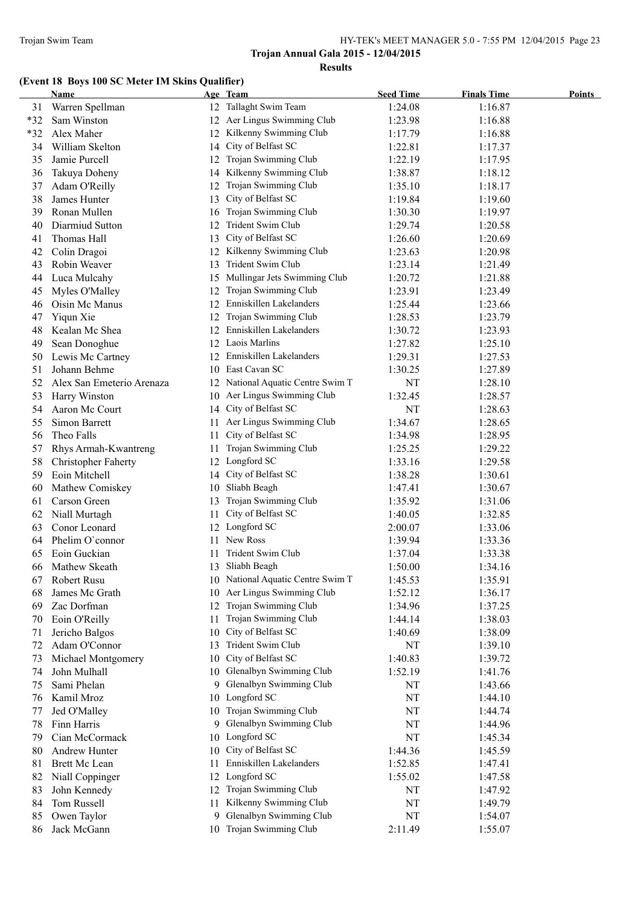# **(Event 18 Boys 100 SC Meter IM Skins Qualifier)**

|       | <b>Name</b>                |     | Age Team                          | <b>Seed Time</b> | <b>Finals Time</b> | <b>Points</b> |
|-------|----------------------------|-----|-----------------------------------|------------------|--------------------|---------------|
| 31    | Warren Spellman            |     | 12 Tallaght Swim Team             | 1:24.08          | 1:16.87            |               |
| $*32$ | Sam Winston                |     | 12 Aer Lingus Swimming Club       | 1:23.98          | 1:16.88            |               |
| *32   | Alex Maher                 |     | 12 Kilkenny Swimming Club         | 1:17.79          | 1:16.88            |               |
| 34    | William Skelton            | 14  | City of Belfast SC                | 1:22.81          | 1:17.37            |               |
| 35    | Jamie Purcell              | 12  | Trojan Swimming Club              | 1:22.19          | 1:17.95            |               |
| 36    | Takuya Doheny              | 14  | Kilkenny Swimming Club            | 1:38.87          | 1:18.12            |               |
| 37    | Adam O'Reilly              | 12  | Trojan Swimming Club              | 1:35.10          | 1:18.17            |               |
| 38    | James Hunter               | 13  | City of Belfast SC                | 1:19.84          | 1:19.60            |               |
| 39    | Ronan Mullen               |     | 16 Trojan Swimming Club           | 1:30.30          | 1:19.97            |               |
| 40    | Diarmiud Sutton            | 12  | Trident Swim Club                 | 1:29.74          | 1:20.58            |               |
| 41    | Thomas Hall                |     | 13 City of Belfast SC             | 1:26.60          | 1:20.69            |               |
| 42    | Colin Dragoi               |     | 12 Kilkenny Swimming Club         | 1:23.63          | 1:20.98            |               |
| 43    | Robin Weaver               |     | 13 Trident Swim Club              | 1:23.14          | 1:21.49            |               |
| 44    | Luca Mulcahy               |     | 15 Mullingar Jets Swimming Club   | 1:20.72          | 1:21.88            |               |
| 45    | Myles O'Malley             |     | 12 Trojan Swimming Club           | 1:23.91          | 1:23.49            |               |
| 46    | Oisin Mc Manus             |     | 12 Enniskillen Lakelanders        | 1:25.44          | 1:23.66            |               |
| 47    | Yiqun Xie                  |     | 12 Trojan Swimming Club           | 1:28.53          | 1:23.79            |               |
| 48    | Kealan Mc Shea             |     | 12 Enniskillen Lakelanders        | 1:30.72          | 1:23.93            |               |
| 49    | Sean Donoghue              |     | 12 Laois Marlins                  | 1:27.82          | 1:25.10            |               |
| 50    | Lewis Mc Cartney           |     | 12 Enniskillen Lakelanders        | 1:29.31          | 1:27.53            |               |
| 51    | Johann Behme               |     | 10 East Cavan SC                  | 1:30.25          | 1:27.89            |               |
| 52    | Alex San Emeterio Arenaza  |     | 12 National Aquatic Centre Swim T | NT               | 1:28.10            |               |
| 53    | Harry Winston              |     | 10 Aer Lingus Swimming Club       | 1:32.45          | 1:28.57            |               |
| 54    | Aaron Mc Court             |     | 14 City of Belfast SC             | NT               | 1:28.63            |               |
| 55    | Simon Barrett              |     | 11 Aer Lingus Swimming Club       | 1:34.67          | 1:28.65            |               |
| 56    | Theo Falls                 | 11  | City of Belfast SC                | 1:34.98          | 1:28.95            |               |
| 57    | Rhys Armah-Kwantreng       | 11  | Trojan Swimming Club              | 1:25.25          | 1:29.22            |               |
| 58    | <b>Christopher Faherty</b> |     | 12 Longford SC                    | 1:33.16          | 1:29.58            |               |
| 59    | Eoin Mitchell              |     | 14 City of Belfast SC             | 1:38.28          | 1:30.61            |               |
| 60    | Mathew Comiskey            |     | 10 Sliabh Beagh                   | 1:47.41          | 1:30.67            |               |
| 61    | Carson Green               | 13  | Trojan Swimming Club              | 1:35.92          | 1:31.06            |               |
| 62    | Niall Murtagh              | 11  | City of Belfast SC                | 1:40.05          | 1:32.85            |               |
| 63    | Conor Leonard              |     | 12 Longford SC                    | 2:00.07          | 1:33.06            |               |
| 64    | Phelim O'connor            | 11  | New Ross                          | 1:39.94          | 1:33.36            |               |
| 65    | Eoin Guckian               |     | Trident Swim Club                 | 1:37.04          | 1:33.38            |               |
| 66    | Mathew Skeath              |     | 13 Sliabh Beagh                   | 1:50.00          | 1:34.16            |               |
| 67    | Robert Rusu                |     | 10 National Aquatic Centre Swim T | 1:45.53          | 1:35.91            |               |
| 68    | James Mc Grath             |     | 10 Aer Lingus Swimming Club       | 1:52.12          | 1:36.17            |               |
| 69    | Zac Dorfman                | 12  | Trojan Swimming Club              | 1:34.96          | 1:37.25            |               |
| 70    | Eoin O'Reilly              | 11. | Trojan Swimming Club              | 1:44.14          | 1:38.03            |               |
| 71    | Jericho Balgos             | 10  | City of Belfast SC                | 1:40.69          | 1:38.09            |               |
| 72    | Adam O'Connor              | 13  | Trident Swim Club                 | NT               | 1:39.10            |               |
| 73    | Michael Montgomery         | 10  | City of Belfast SC                | 1:40.83          | 1:39.72            |               |
| 74    | John Mulhall               |     | 10 Glenalbyn Swimming Club        | 1:52.19          | 1:41.76            |               |
| 75    | Sami Phelan                |     | 9 Glenalbyn Swimming Club         | NT               | 1:43.66            |               |
| 76    | Kamil Mroz                 |     | 10 Longford SC                    | NT               | 1:44.10            |               |
| 77    | Jed O'Malley               | 10  | Trojan Swimming Club              | NT               | 1:44.74            |               |
| 78    | Finn Harris                | 9.  | Glenalbyn Swimming Club           | NT               | 1:44.96            |               |
| 79    | Cian McCormack             | 10  | Longford SC                       | NT               | 1:45.34            |               |
| 80    | Andrew Hunter              | 10  | City of Belfast SC                | 1:44.36          | 1:45.59            |               |
| 81    | Brett Mc Lean              | 11  | Enniskillen Lakelanders           | 1:52.85          | 1:47.41            |               |
| 82    | Niall Coppinger            |     | 12 Longford SC                    | 1:55.02          | 1:47.58            |               |
| 83    | John Kennedy               | 12  | Trojan Swimming Club              | NT               | 1:47.92            |               |
| 84    | Tom Russell                | 11  | Kilkenny Swimming Club            | NT               | 1:49.79            |               |
| 85    | Owen Taylor                | 9   | Glenalbyn Swimming Club           | NT               | 1:54.07            |               |
| 86    | Jack McGann                |     | 10 Trojan Swimming Club           | 2:11.49          | 1:55.07            |               |
|       |                            |     |                                   |                  |                    |               |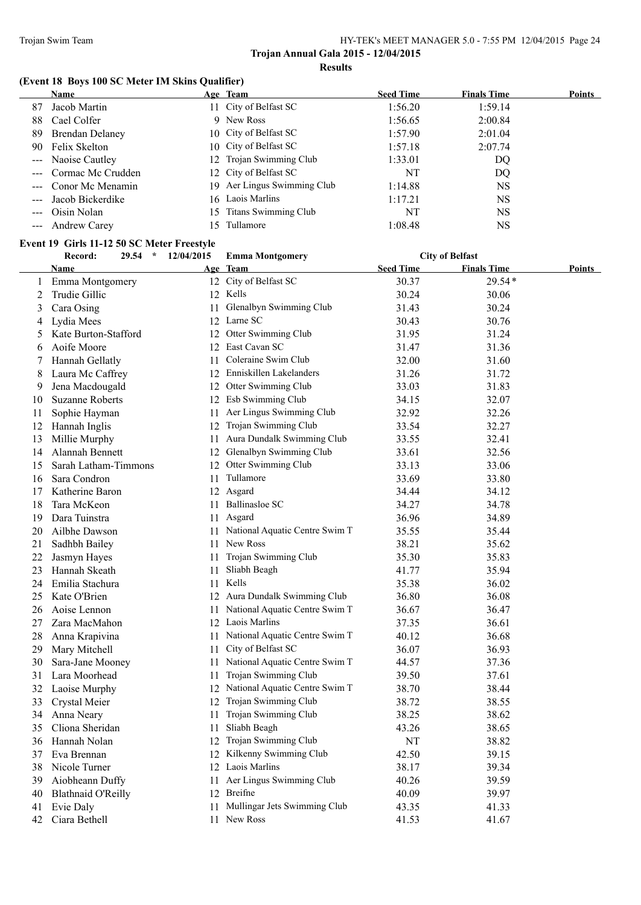# **(Event 18 Boys 100 SC Meter IM Skins Qualifier)**

|                                                                                                                                                                                                                                                                                                                                                                                                                                                | <b>Name</b>           |                          | Age Team                    | <b>Seed Time</b> | <b>Finals Time</b> | <b>Points</b> |
|------------------------------------------------------------------------------------------------------------------------------------------------------------------------------------------------------------------------------------------------------------------------------------------------------------------------------------------------------------------------------------------------------------------------------------------------|-----------------------|--------------------------|-----------------------------|------------------|--------------------|---------------|
| 87                                                                                                                                                                                                                                                                                                                                                                                                                                             | Jacob Martin          |                          | 11 City of Belfast SC       | 1:56.20          | 1:59.14            |               |
| 88                                                                                                                                                                                                                                                                                                                                                                                                                                             | Cael Colfer           |                          | 9 New Ross                  | 1:56.65          | 2:00.84            |               |
| 89                                                                                                                                                                                                                                                                                                                                                                                                                                             | Brendan Delaney       |                          | 10 City of Belfast SC       | 1:57.90          | 2:01.04            |               |
|                                                                                                                                                                                                                                                                                                                                                                                                                                                | 90 Felix Skelton      |                          | 10 City of Belfast SC       | 1:57.18          | 2:07.74            |               |
|                                                                                                                                                                                                                                                                                                                                                                                                                                                | --- Naoise Cautley    |                          | 12 Trojan Swimming Club     | 1:33.01          | DQ                 |               |
|                                                                                                                                                                                                                                                                                                                                                                                                                                                | --- Cormac Mc Crudden |                          | 12 City of Belfast SC       | NT               | DQ                 |               |
|                                                                                                                                                                                                                                                                                                                                                                                                                                                | --- Conor Mc Menamin  |                          | 19 Aer Lingus Swimming Club | 1:14.88          | <b>NS</b>          |               |
| $\frac{1}{2} \frac{1}{2} \frac{1}{2} \frac{1}{2} \frac{1}{2} \frac{1}{2} \frac{1}{2} \frac{1}{2} \frac{1}{2} \frac{1}{2} \frac{1}{2} \frac{1}{2} \frac{1}{2} \frac{1}{2} \frac{1}{2} \frac{1}{2} \frac{1}{2} \frac{1}{2} \frac{1}{2} \frac{1}{2} \frac{1}{2} \frac{1}{2} \frac{1}{2} \frac{1}{2} \frac{1}{2} \frac{1}{2} \frac{1}{2} \frac{1}{2} \frac{1}{2} \frac{1}{2} \frac{1}{2} \frac{$                                                   | Jacob Bickerdike      |                          | 16 Laois Marlins            | 1:17.21          | NS.                |               |
|                                                                                                                                                                                                                                                                                                                                                                                                                                                | --- Oisin Nolan       |                          | 15 Titans Swimming Club     | NT               | <b>NS</b>          |               |
| $\frac{1}{2} \left( \frac{1}{2} \right) \frac{1}{2} \left( \frac{1}{2} \right) \frac{1}{2} \left( \frac{1}{2} \right) \frac{1}{2} \left( \frac{1}{2} \right) \frac{1}{2} \left( \frac{1}{2} \right) \frac{1}{2} \left( \frac{1}{2} \right) \frac{1}{2} \left( \frac{1}{2} \right) \frac{1}{2} \left( \frac{1}{2} \right) \frac{1}{2} \left( \frac{1}{2} \right) \frac{1}{2} \left( \frac{1}{2} \right) \frac{1}{2} \left( \frac{1}{2} \right)$ | <b>Andrew Carey</b>   | $\overline{\mathcal{L}}$ | Tullamore                   | 1:08.48          | <b>NS</b>          |               |

#### **Event 19 Girls 11-12 50 SC Meter Freestyle**

|    | Record:                   | 29.54<br>$\star$ | 12/04/2015 | <b>Emma Montgomery</b>            |                  | <b>City of Belfast</b> |        |
|----|---------------------------|------------------|------------|-----------------------------------|------------------|------------------------|--------|
|    | Name                      |                  |            | Age Team                          | <b>Seed Time</b> | <b>Finals Time</b>     | Points |
| 1  | Emma Montgomery           |                  |            | 12 City of Belfast SC             | 30.37            | 29.54*                 |        |
| 2  | Trudie Gillic             |                  |            | 12 Kells                          | 30.24            | 30.06                  |        |
| 3  | Cara Osing                |                  | 11         | Glenalbyn Swimming Club           | 31.43            | 30.24                  |        |
| 4  | Lydia Mees                |                  |            | 12 Larne SC                       | 30.43            | 30.76                  |        |
| 5  | Kate Burton-Stafford      |                  | 12         | Otter Swimming Club               | 31.95            | 31.24                  |        |
| 6  | Aoife Moore               |                  |            | 12 East Cavan SC                  | 31.47            | 31.36                  |        |
| 7  | Hannah Gellatly           |                  | 11         | Coleraine Swim Club               | 32.00            | 31.60                  |        |
| 8  | Laura Mc Caffrey          |                  |            | 12 Enniskillen Lakelanders        | 31.26            | 31.72                  |        |
| 9  | Jena Macdougald           |                  |            | 12 Otter Swimming Club            | 33.03            | 31.83                  |        |
| 10 | <b>Suzanne Roberts</b>    |                  |            | 12 Esb Swimming Club              | 34.15            | 32.07                  |        |
| 11 | Sophie Hayman             |                  |            | 11 Aer Lingus Swimming Club       | 32.92            | 32.26                  |        |
| 12 | Hannah Inglis             |                  |            | 12 Trojan Swimming Club           | 33.54            | 32.27                  |        |
| 13 | Millie Murphy             |                  |            | 11 Aura Dundalk Swimming Club     | 33.55            | 32.41                  |        |
| 14 | Alannah Bennett           |                  | 12         | Glenalbyn Swimming Club           | 33.61            | 32.56                  |        |
| 15 | Sarah Latham-Timmons      |                  | 12         | Otter Swimming Club               | 33.13            | 33.06                  |        |
| 16 | Sara Condron              |                  | 11         | Tullamore                         | 33.69            | 33.80                  |        |
| 17 | Katherine Baron           |                  |            | 12 Asgard                         | 34.44            | 34.12                  |        |
| 18 | Tara McKeon               |                  | 11         | <b>Ballinasloe SC</b>             | 34.27            | 34.78                  |        |
| 19 | Dara Tuinstra             |                  | 11.        | Asgard                            | 36.96            | 34.89                  |        |
| 20 | Ailbhe Dawson             |                  | 11         | National Aquatic Centre Swim T    | 35.55            | 35.44                  |        |
| 21 | Sadhbh Bailey             |                  | 11.        | New Ross                          | 38.21            | 35.62                  |        |
| 22 | Jasmyn Hayes              |                  | 11         | Trojan Swimming Club              | 35.30            | 35.83                  |        |
| 23 | Hannah Skeath             |                  | 11         | Sliabh Beagh                      | 41.77            | 35.94                  |        |
| 24 | Emilia Stachura           |                  |            | 11 Kells                          | 35.38            | 36.02                  |        |
| 25 | Kate O'Brien              |                  |            | 12 Aura Dundalk Swimming Club     | 36.80            | 36.08                  |        |
| 26 | Aoise Lennon              |                  | 11-        | National Aquatic Centre Swim T    | 36.67            | 36.47                  |        |
| 27 | Zara MacMahon             |                  |            | 12 Laois Marlins                  | 37.35            | 36.61                  |        |
| 28 | Anna Krapivina            |                  | 11-        | National Aquatic Centre Swim T    | 40.12            | 36.68                  |        |
| 29 | Mary Mitchell             |                  | 11.        | City of Belfast SC                | 36.07            | 36.93                  |        |
| 30 | Sara-Jane Mooney          |                  | 11.        | National Aquatic Centre Swim T    | 44.57            | 37.36                  |        |
| 31 | Lara Moorhead             |                  | 11         | Trojan Swimming Club              | 39.50            | 37.61                  |        |
| 32 | Laoise Murphy             |                  |            | 12 National Aquatic Centre Swim T | 38.70            | 38.44                  |        |
| 33 | Crystal Meier             |                  | 12         | Trojan Swimming Club              | 38.72            | 38.55                  |        |
| 34 | Anna Neary                |                  | 11         | Trojan Swimming Club              | 38.25            | 38.62                  |        |
| 35 | Cliona Sheridan           |                  | 11         | Sliabh Beagh                      | 43.26            | 38.65                  |        |
| 36 | Hannah Nolan              |                  |            | 12 Trojan Swimming Club           | NT               | 38.82                  |        |
| 37 | Eva Brennan               |                  |            | 12 Kilkenny Swimming Club         | 42.50            | 39.15                  |        |
| 38 | Nicole Turner             |                  |            | 12 Laois Marlins                  | 38.17            | 39.34                  |        |
| 39 | Aiobheann Duffy           |                  |            | 11 Aer Lingus Swimming Club       | 40.26            | 39.59                  |        |
| 40 | <b>Blathnaid O'Reilly</b> |                  |            | 12 Breifne                        | 40.09            | 39.97                  |        |
| 41 | Evie Daly                 |                  | 11 -       | Mullingar Jets Swimming Club      | 43.35            | 41.33                  |        |
| 42 | Ciara Bethell             |                  |            | 11 New Ross                       | 41.53            | 41.67                  |        |
|    |                           |                  |            |                                   |                  |                        |        |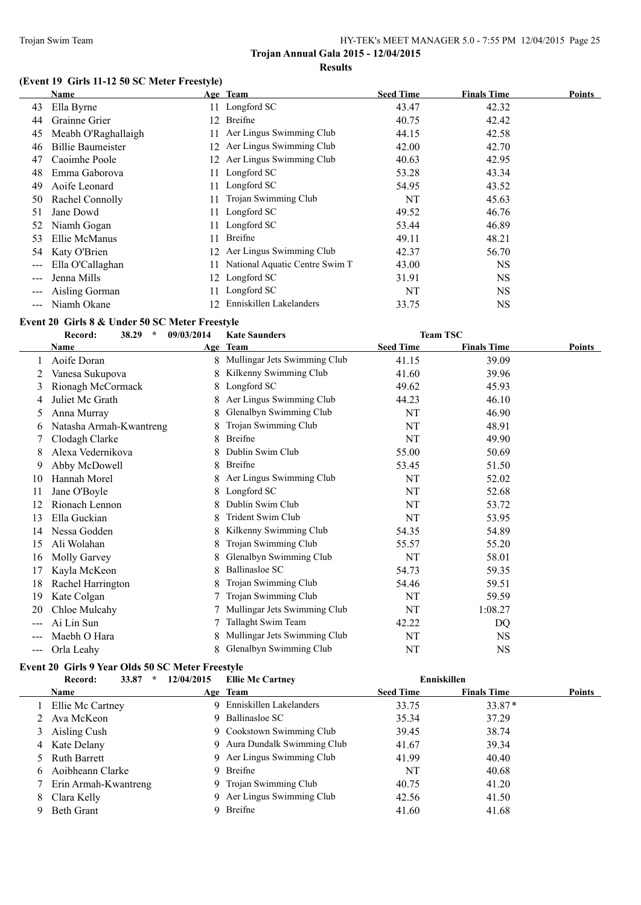# **(Event 19 Girls 11-12 50 SC Meter Freestyle)**

|     | Name                     |     | Age Team                       | <b>Seed Time</b> | <b>Finals Time</b> | <b>Points</b> |
|-----|--------------------------|-----|--------------------------------|------------------|--------------------|---------------|
| 43  | Ella Byrne               | 11  | Longford SC                    | 43.47            | 42.32              |               |
| 44  | Grainne Grier            | 12. | Breifne                        | 40.75            | 42.42              |               |
| 45  | Meabh O'Raghallaigh      |     | Aer Lingus Swimming Club       | 44.15            | 42.58              |               |
| 46  | <b>Billie Baumeister</b> | 12  | Aer Lingus Swimming Club       | 42.00            | 42.70              |               |
| 47  | Caoimhe Poole            | 12. | Aer Lingus Swimming Club       | 40.63            | 42.95              |               |
| 48  | Emma Gaborova            | 11  | Longford SC                    | 53.28            | 43.34              |               |
| 49  | Aoife Leonard            | 11  | Longford SC                    | 54.95            | 43.52              |               |
| 50  | Rachel Connolly          | 11  | Trojan Swimming Club           | NT               | 45.63              |               |
| 51  | Jane Dowd                | 11  | Longford SC                    | 49.52            | 46.76              |               |
| 52  | Niamh Gogan              | 11  | Longford SC                    | 53.44            | 46.89              |               |
| 53  | Ellie McManus            | 11  | <b>Breifne</b>                 | 49.11            | 48.21              |               |
| 54  | Katy O'Brien             | 12  | Aer Lingus Swimming Club       | 42.37            | 56.70              |               |
| --- | Ella O'Callaghan         |     | National Aquatic Centre Swim T | 43.00            | <b>NS</b>          |               |
|     | Jenna Mills              | 12. | Longford SC                    | 31.91            | NS.                |               |
|     | Aisling Gorman           | 11  | Longford SC                    | NT               | <b>NS</b>          |               |
|     | Niamh Okane              | 12  | Enniskillen Lakelanders        | 33.75            | NS                 |               |

#### **Event 20 Girls 8 & Under 50 SC Meter Freestyle**

|     | Record:<br>38.29<br>$\star$ | 09/03/2014 | <b>Kate Saunders</b>         | <b>Team TSC</b>  |                    |               |
|-----|-----------------------------|------------|------------------------------|------------------|--------------------|---------------|
|     | Name                        |            | Age Team                     | <b>Seed Time</b> | <b>Finals Time</b> | <b>Points</b> |
|     | Aoife Doran                 | 8          | Mullingar Jets Swimming Club | 41.15            | 39.09              |               |
|     | Vanesa Sukupova             | 8          | Kilkenny Swimming Club       | 41.60            | 39.96              |               |
| 3   | Rionagh McCormack           | 8          | Longford SC                  | 49.62            | 45.93              |               |
|     | Juliet Mc Grath             |            | Aer Lingus Swimming Club     | 44.23            | 46.10              |               |
| 5   | Anna Murray                 | 8          | Glenalbyn Swimming Club      | NT               | 46.90              |               |
| 6   | Natasha Armah-Kwantreng     |            | Trojan Swimming Club         | NT               | 48.91              |               |
|     | Clodagh Clarke              | 8          | <b>Breifne</b>               | NT               | 49.90              |               |
|     | Alexa Vedernikova           |            | Dublin Swim Club             | 55.00            | 50.69              |               |
| 9   | Abby McDowell               | 8          | <b>Breifne</b>               | 53.45            | 51.50              |               |
| 10  | Hannah Morel                |            | Aer Lingus Swimming Club     | NT               | 52.02              |               |
| 11  | Jane O'Boyle                | 8          | Longford SC                  | NT               | 52.68              |               |
| 12  | Rionach Lennon              | 8          | Dublin Swim Club             | NT               | 53.72              |               |
| 13  | Ella Guckian                | 8          | Trident Swim Club            | NT               | 53.95              |               |
| 14  | Nessa Godden                | 8          | Kilkenny Swimming Club       | 54.35            | 54.89              |               |
| 15  | Ali Wolahan                 | 8          | Trojan Swimming Club         | 55.57            | 55.20              |               |
| 16  | Molly Garvey                | 8          | Glenalbyn Swimming Club      | NT               | 58.01              |               |
| 17  | Kayla McKeon                | 8          | <b>Ballinasloe SC</b>        | 54.73            | 59.35              |               |
| 18  | Rachel Harrington           | 8          | Trojan Swimming Club         | 54.46            | 59.51              |               |
| 19  | Kate Colgan                 |            | Trojan Swimming Club         | NT               | 59.59              |               |
| 20  | Chloe Mulcahy               |            | Mullingar Jets Swimming Club | NT               | 1:08.27            |               |
|     | Ai Lin Sun                  |            | Tallaght Swim Team           | 42.22            | DQ                 |               |
|     | Maebh O Hara                | 8          | Mullingar Jets Swimming Club | NT               | NS.                |               |
| --- | Orla Leahy                  | 8          | Glenalbyn Swimming Club      | NT               | <b>NS</b>          |               |

# **Event 20 Girls 9 Year Olds 50 SC Meter Freestyle**

|   | 33.87<br>Record:<br>$\ast$ | 12/04/2015 | <b>Ellie Mc Cartney</b>      |                  | Enniskillen        |               |
|---|----------------------------|------------|------------------------------|------------------|--------------------|---------------|
|   | <b>Name</b>                |            | Age Team                     | <b>Seed Time</b> | <b>Finals Time</b> | <b>Points</b> |
|   | 1 Ellie Mc Cartney         |            | 9 Enniskillen Lakelanders    | 33.75            | $33.87*$           |               |
|   | 2 Ava McKeon               |            | 9 Ballinasloe SC             | 35.34            | 37.29              |               |
|   | 3 Aisling Cush             |            | 9 Cookstown Swimming Club    | 39.45            | 38.74              |               |
|   | 4 Kate Delany              |            | 9 Aura Dundalk Swimming Club | 41.67            | 39.34              |               |
|   | 5 Ruth Barrett             |            | 9 Aer Lingus Swimming Club   | 41.99            | 40.40              |               |
|   | Aoibheann Clarke           |            | 9 Breifne                    | NT               | 40.68              |               |
|   | 7 Erin Armah-Kwantreng     |            | 9 Trojan Swimming Club       | 40.75            | 41.20              |               |
| 8 | Clara Kelly                |            | 9 Aer Lingus Swimming Club   | 42.56            | 41.50              |               |
| 9 | Beth Grant                 |            | Breifne                      | 41.60            | 41.68              |               |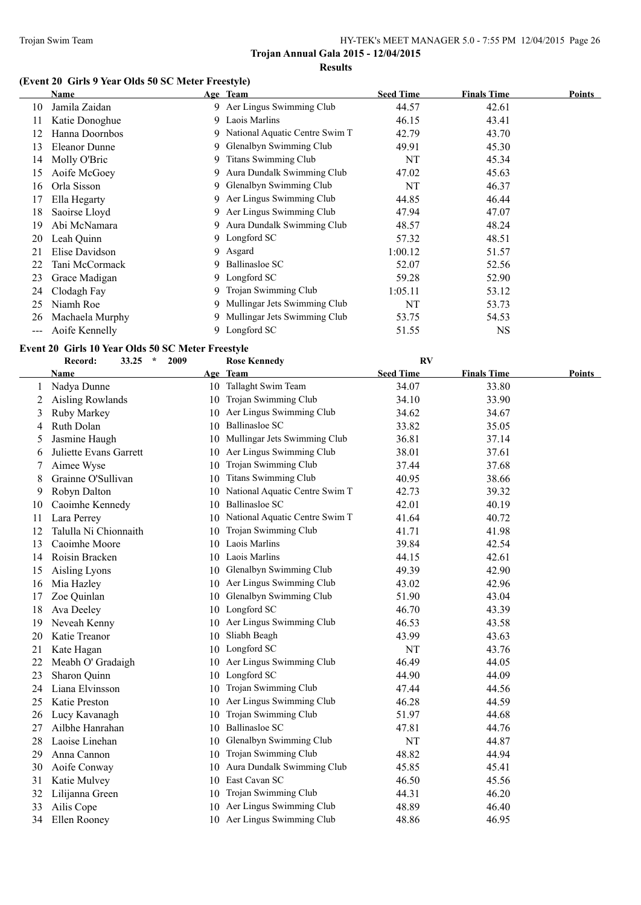# **(Event 20 Girls 9 Year Olds 50 SC Meter Freestyle)**

|     | Name            | Age Team                         | <b>Seed Time</b> | <b>Finals Time</b> | Points |
|-----|-----------------|----------------------------------|------------------|--------------------|--------|
| 10  | Jamila Zaidan   | 9 Aer Lingus Swimming Club       | 44.57            | 42.61              |        |
| 11  | Katie Donoghue  | 9 Laois Marlins                  | 46.15            | 43.41              |        |
| 12  | Hanna Doornbos  | 9 National Aquatic Centre Swim T | 42.79            | 43.70              |        |
| 13  | Eleanor Dunne   | 9 Glenalbyn Swimming Club        | 49.91            | 45.30              |        |
| 14  | Molly O'Bric    | 9 Titans Swimming Club           | NT               | 45.34              |        |
| 15  | Aoife McGoey    | 9 Aura Dundalk Swimming Club     | 47.02            | 45.63              |        |
| 16  | Orla Sisson     | 9 Glenalbyn Swimming Club        | NT               | 46.37              |        |
| 17  | Ella Hegarty    | 9 Aer Lingus Swimming Club       | 44.85            | 46.44              |        |
| 18  | Saoirse Lloyd   | 9 Aer Lingus Swimming Club       | 47.94            | 47.07              |        |
| 19  | Abi McNamara    | 9 Aura Dundalk Swimming Club     | 48.57            | 48.24              |        |
| 20  | Leah Quinn      | 9 Longford SC                    | 57.32            | 48.51              |        |
| 21  | Elise Davidson  | 9 Asgard                         | 1:00.12          | 51.57              |        |
| 22  | Tani McCormack  | 9 Ballinasloe SC                 | 52.07            | 52.56              |        |
| 23  | Grace Madigan   | 9 Longford SC                    | 59.28            | 52.90              |        |
| 24  | Clodagh Fay     | 9 Trojan Swimming Club           | 1:05.11          | 53.12              |        |
| 25  | Niamh Roe       | 9 Mullingar Jets Swimming Club   | NT               | 53.73              |        |
| 26  | Machaela Murphy | 9 Mullingar Jets Swimming Club   | 53.75            | 54.53              |        |
| --- | Aoife Kennelly  | 9 Longford SC                    | 51.55            | NS                 |        |

# **Event 20 Girls 10 Year Olds 50 SC Meter Freestyle**

|    | Record:<br>33.25<br>$\star$<br>2009 |    | <b>Rose Kennedy</b>               | <b>RV</b>        |                    |        |
|----|-------------------------------------|----|-----------------------------------|------------------|--------------------|--------|
|    | Name                                |    | Age Team                          | <b>Seed Time</b> | <b>Finals Time</b> | Points |
| 1  | Nadya Dunne                         |    | 10 Tallaght Swim Team             | 34.07            | 33.80              |        |
| 2  | <b>Aisling Rowlands</b>             |    | 10 Trojan Swimming Club           | 34.10            | 33.90              |        |
| 3  | Ruby Markey                         | 10 | Aer Lingus Swimming Club          | 34.62            | 34.67              |        |
| 4  | Ruth Dolan                          | 10 | <b>Ballinasloe SC</b>             | 33.82            | 35.05              |        |
| 5  | Jasmine Haugh                       |    | 10 Mullingar Jets Swimming Club   | 36.81            | 37.14              |        |
| 6  | Juliette Evans Garrett              | 10 | Aer Lingus Swimming Club          | 38.01            | 37.61              |        |
| 7  | Aimee Wyse                          | 10 | Trojan Swimming Club              | 37.44            | 37.68              |        |
| 8  | Grainne O'Sullivan                  | 10 | <b>Titans Swimming Club</b>       | 40.95            | 38.66              |        |
| 9  | Robyn Dalton                        | 10 | National Aquatic Centre Swim T    | 42.73            | 39.32              |        |
| 10 | Caoimhe Kennedy                     | 10 | Ballinasloe SC                    | 42.01            | 40.19              |        |
| 11 | Lara Perrey                         |    | 10 National Aquatic Centre Swim T | 41.64            | 40.72              |        |
| 12 | Talulla Ni Chionnaith               | 10 | Trojan Swimming Club              | 41.71            | 41.98              |        |
| 13 | Caoimhe Moore                       |    | 10 Laois Marlins                  | 39.84            | 42.54              |        |
| 14 | Roisin Bracken                      |    | 10 Laois Marlins                  | 44.15            | 42.61              |        |
| 15 | Aisling Lyons                       | 10 | Glenalbyn Swimming Club           | 49.39            | 42.90              |        |
| 16 | Mia Hazley                          |    | 10 Aer Lingus Swimming Club       | 43.02            | 42.96              |        |
| 17 | Zoe Quinlan                         | 10 | Glenalbyn Swimming Club           | 51.90            | 43.04              |        |
| 18 | Ava Deeley                          |    | 10 Longford SC                    | 46.70            | 43.39              |        |
| 19 | Neveah Kenny                        |    | 10 Aer Lingus Swimming Club       | 46.53            | 43.58              |        |
| 20 | Katie Treanor                       | 10 | Sliabh Beagh                      | 43.99            | 43.63              |        |
| 21 | Kate Hagan                          |    | 10 Longford SC                    | NT               | 43.76              |        |
| 22 | Meabh O' Gradaigh                   | 10 | Aer Lingus Swimming Club          | 46.49            | 44.05              |        |
| 23 | Sharon Quinn                        |    | 10 Longford SC                    | 44.90            | 44.09              |        |
| 24 | Liana Elvinsson                     | 10 | Trojan Swimming Club              | 47.44            | 44.56              |        |
| 25 | Katie Preston                       | 10 | Aer Lingus Swimming Club          | 46.28            | 44.59              |        |
| 26 | Lucy Kavanagh                       | 10 | Trojan Swimming Club              | 51.97            | 44.68              |        |
| 27 | Ailbhe Hanrahan                     | 10 | <b>Ballinasloe SC</b>             | 47.81            | 44.76              |        |
| 28 | Laoise Linehan                      | 10 | Glenalbyn Swimming Club           | NT               | 44.87              |        |
| 29 | Anna Cannon                         |    | 10 Trojan Swimming Club           | 48.82            | 44.94              |        |
| 30 | Aoife Conway                        | 10 | Aura Dundalk Swimming Club        | 45.85            | 45.41              |        |
| 31 | Katie Mulvey                        |    | 10 East Cavan SC                  | 46.50            | 45.56              |        |
| 32 | Lilijanna Green                     | 10 | Trojan Swimming Club              | 44.31            | 46.20              |        |
| 33 | Ailis Cope                          | 10 | Aer Lingus Swimming Club          | 48.89            | 46.40              |        |
| 34 | Ellen Rooney                        |    | 10 Aer Lingus Swimming Club       | 48.86            | 46.95              |        |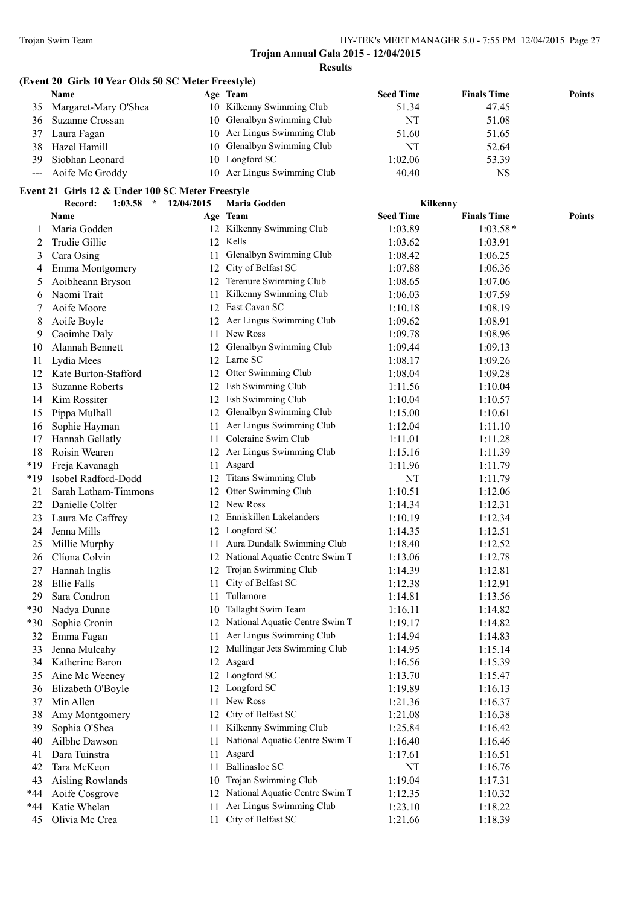# **(Event 20 Girls 10 Year Olds 50 SC Meter Freestyle)**

|    | <b>Name</b>          | Age Team                    | <b>Seed Time</b> | <b>Finals Time</b> | <b>Points</b> |
|----|----------------------|-----------------------------|------------------|--------------------|---------------|
| 35 | Margaret-Mary O'Shea | 10 Kilkenny Swimming Club   | 51.34            | 47.45              |               |
| 36 | Suzanne Crossan      | 10 Glenalbyn Swimming Club  | NT               | 51.08              |               |
| 37 | Laura Fagan          | 10 Aer Lingus Swimming Club | 51.60            | 51.65              |               |
| 38 | Hazel Hamill         | 10 Glenalbyn Swimming Club  | NT               | 52.64              |               |
| 39 | Siobhan Leonard      | 10 Longford SC              | 1:02.06          | 53.39              |               |
|    | --- Aoife Mc Groddy  | 10 Aer Lingus Swimming Club | 40.40            | NS                 |               |

#### **Event 21 Girls 12 & Under 100 SC Meter Freestyle**

|       | Record:<br>1:03.58<br>$\star$ | 12/04/2015 | <b>Maria Godden</b>               | Kilkenny         |                    |               |
|-------|-------------------------------|------------|-----------------------------------|------------------|--------------------|---------------|
|       | <b>Name</b>                   |            | Age Team                          | <b>Seed Time</b> | <b>Finals Time</b> | <b>Points</b> |
| 1     | Maria Godden                  |            | 12 Kilkenny Swimming Club         | 1:03.89          | $1:03.58*$         |               |
| 2     | Trudie Gillic                 |            | 12 Kells                          | 1:03.62          | 1:03.91            |               |
| 3     | Cara Osing                    | 11         | Glenalbyn Swimming Club           | 1:08.42          | 1:06.25            |               |
| 4     | Emma Montgomery               | 12         | City of Belfast SC                | 1:07.88          | 1:06.36            |               |
| 5     | Aoibheann Bryson              |            | 12 Terenure Swimming Club         | 1:08.65          | 1:07.06            |               |
| 6     | Naomi Trait                   | 11         | Kilkenny Swimming Club            | 1:06.03          | 1:07.59            |               |
| 7     | Aoife Moore                   |            | 12 East Cavan SC                  | 1:10.18          | 1:08.19            |               |
| 8     | Aoife Boyle                   |            | 12 Aer Lingus Swimming Club       | 1:09.62          | 1:08.91            |               |
| 9     | Caoimhe Daly                  | 11         | New Ross                          | 1:09.78          | 1:08.96            |               |
| 10    | Alannah Bennett               |            | 12 Glenalbyn Swimming Club        | 1:09.44          | 1:09.13            |               |
| 11    | Lydia Mees                    |            | 12 Larne SC                       | 1:08.17          | 1:09.26            |               |
| 12    | Kate Burton-Stafford          |            | 12 Otter Swimming Club            | 1:08.04          | 1:09.28            |               |
| 13    | <b>Suzanne Roberts</b>        |            | 12 Esb Swimming Club              | 1:11.56          | 1:10.04            |               |
| 14    | Kim Rossiter                  |            | 12 Esb Swimming Club              | 1:10.04          | 1:10.57            |               |
| 15    | Pippa Mulhall                 |            | 12 Glenalbyn Swimming Club        | 1:15.00          | 1:10.61            |               |
| 16    | Sophie Hayman                 | 11.        | Aer Lingus Swimming Club          | 1:12.04          | 1:11.10            |               |
| 17    | Hannah Gellatly               |            | 11 Coleraine Swim Club            | 1:11.01          | 1:11.28            |               |
| 18    | Roisin Wearen                 |            | 12 Aer Lingus Swimming Club       | 1:15.16          | 1:11.39            |               |
| $*19$ | Freja Kavanagh                |            | 11 Asgard                         | 1:11.96          | 1:11.79            |               |
| $*19$ | Isobel Radford-Dodd           |            | 12 Titans Swimming Club           | NT               | 1:11.79            |               |
| 21    | Sarah Latham-Timmons          |            | 12 Otter Swimming Club            | 1:10.51          | 1:12.06            |               |
| 22    | Danielle Colfer               |            | 12 New Ross                       | 1:14.34          | 1:12.31            |               |
| 23    | Laura Mc Caffrey              |            | 12 Enniskillen Lakelanders        | 1:10.19          | 1:12.34            |               |
| 24    | Jenna Mills                   |            | 12 Longford SC                    | 1:14.35          | 1:12.51            |               |
| 25    | Millie Murphy                 |            | 11 Aura Dundalk Swimming Club     | 1:18.40          | 1:12.52            |               |
| 26    | Clíona Colvin                 |            | 12 National Aquatic Centre Swim T | 1:13.06          | 1:12.78            |               |
| 27    | Hannah Inglis                 |            | 12 Trojan Swimming Club           | 1:14.39          | 1:12.81            |               |
| 28    | Ellie Falls                   | 11         | City of Belfast SC                | 1:12.38          | 1:12.91            |               |
| 29    | Sara Condron                  |            | 11 Tullamore                      | 1:14.81          | 1:13.56            |               |
| $*30$ | Nadya Dunne                   |            | 10 Tallaght Swim Team             | 1:16.11          | 1:14.82            |               |
| $*30$ | Sophie Cronin                 |            | 12 National Aquatic Centre Swim T | 1:19.17          | 1:14.82            |               |
| 32    | Emma Fagan                    |            | 11 Aer Lingus Swimming Club       | 1:14.94          | 1:14.83            |               |
| 33    | Jenna Mulcahy                 |            | 12 Mullingar Jets Swimming Club   | 1:14.95          | 1:15.14            |               |
| 34    | Katherine Baron               |            | 12 Asgard                         | 1:16.56          | 1:15.39            |               |
| 35    | Aine Mc Weeney                |            | 12 Longford SC                    | 1:13.70          | 1:15.47            |               |
| 36    | Elizabeth O'Boyle             |            | 12 Longford SC                    | 1:19.89          | 1:16.13            |               |
| 37    | Min Allen                     | 11         | New Ross                          | 1:21.36          | 1:16.37            |               |
| 38    | Amy Montgomery                | 12         | City of Belfast SC                | 1:21.08          | 1:16.38            |               |
| 39    | Sophia O'Shea                 | 11         | Kilkenny Swimming Club            | 1:25.84          | 1:16.42            |               |
| 40    | Ailbhe Dawson                 | 11         | National Aquatic Centre Swim T    | 1:16.40          | 1:16.46            |               |
| 41    | Dara Tuinstra                 | 11         | Asgard                            | 1:17.61          | 1:16.51            |               |
| 42    | Tara McKeon                   | 11         | <b>Ballinasloe SC</b>             | NT               | 1:16.76            |               |
| 43    | Aisling Rowlands              | 10         | Trojan Swimming Club              | 1:19.04          | 1:17.31            |               |
| *44   | Aoife Cosgrove                |            | 12 National Aquatic Centre Swim T | 1:12.35          | 1:10.32            |               |
| *44   | Katie Whelan                  | 11         | Aer Lingus Swimming Club          | 1:23.10          | 1:18.22            |               |
| 45    | Olivia Mc Crea                | 11         | City of Belfast SC                | 1:21.66          | 1:18.39            |               |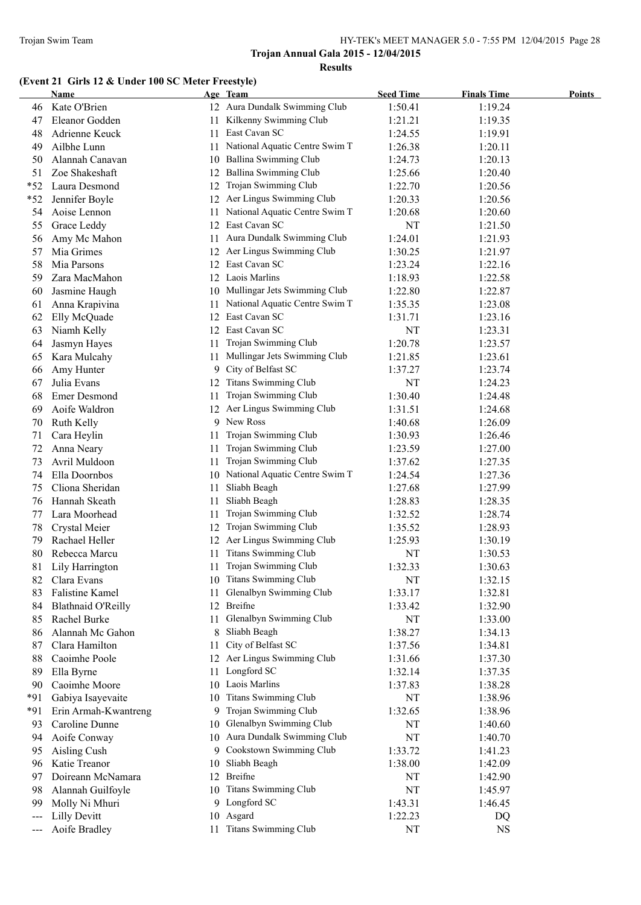# **(Event 21 Girls 12 & Under 100 SC Meter Freestyle)**

|       | Name                      |     | Age Team                          | <b>Seed Time</b> | <b>Finals Time</b> | <b>Points</b> |
|-------|---------------------------|-----|-----------------------------------|------------------|--------------------|---------------|
| 46    | Kate O'Brien              |     | 12 Aura Dundalk Swimming Club     | 1:50.41          | 1:19.24            |               |
| 47    | Eleanor Godden            | 11  | Kilkenny Swimming Club            | 1:21.21          | 1:19.35            |               |
| 48    | Adrienne Keuck            | 11  | East Cavan SC                     | 1:24.55          | 1:19.91            |               |
| 49    | Ailbhe Lunn               | 11  | National Aquatic Centre Swim T    | 1:26.38          | 1:20.11            |               |
| 50    | Alannah Canavan           |     | 10 Ballina Swimming Club          | 1:24.73          | 1:20.13            |               |
| 51    | Zoe Shakeshaft            | 12  | Ballina Swimming Club             | 1:25.66          | 1:20.40            |               |
| $*52$ | Laura Desmond             | 12  | Trojan Swimming Club              | 1:22.70          | 1:20.56            |               |
| $*52$ | Jennifer Boyle            |     | 12 Aer Lingus Swimming Club       | 1:20.33          | 1:20.56            |               |
| 54    | Aoise Lennon              | 11. | National Aquatic Centre Swim T    | 1:20.68          | 1:20.60            |               |
| 55    | Grace Leddy               | 12  | East Cavan SC                     | NT               | 1:21.50            |               |
| 56    | Amy Mc Mahon              | 11. | Aura Dundalk Swimming Club        | 1:24.01          | 1:21.93            |               |
| 57    | Mia Grimes                |     | 12 Aer Lingus Swimming Club       | 1:30.25          | 1:21.97            |               |
| 58    | Mia Parsons               |     | 12 East Cavan SC                  | 1:23.24          | 1:22.16            |               |
| 59    | Zara MacMahon             |     | 12 Laois Marlins                  | 1:18.93          | 1:22.58            |               |
| 60    | Jasmine Haugh             |     | 10 Mullingar Jets Swimming Club   | 1:22.80          | 1:22.87            |               |
| 61    | Anna Krapivina            | 11  | National Aquatic Centre Swim T    | 1:35.35          | 1:23.08            |               |
| 62    | Elly McQuade              |     | 12 East Cavan SC                  | 1:31.71          | 1:23.16            |               |
| 63    | Niamh Kelly               | 12  | East Cavan SC                     | NT               | 1:23.31            |               |
| 64    | Jasmyn Hayes              | 11  | Trojan Swimming Club              | 1:20.78          | 1:23.57            |               |
| 65    | Kara Mulcahy              | 11  | Mullingar Jets Swimming Club      | 1:21.85          | 1:23.61            |               |
| 66    | Amy Hunter                |     | 9 City of Belfast SC              | 1:37.27          | 1:23.74            |               |
| 67    | Julia Evans               | 12  | <b>Titans Swimming Club</b>       | NT               | 1:24.23            |               |
| 68    | <b>Emer Desmond</b>       | 11  | Trojan Swimming Club              | 1:30.40          | 1:24.48            |               |
| 69    | Aoife Waldron             |     | 12 Aer Lingus Swimming Club       | 1:31.51          | 1:24.68            |               |
| 70    | Ruth Kelly                |     | 9 New Ross                        | 1:40.68          | 1:26.09            |               |
| 71    | Cara Heylin               | 11  | Trojan Swimming Club              | 1:30.93          | 1:26.46            |               |
| 72    | Anna Neary                | 11  | Trojan Swimming Club              | 1:23.59          | 1:27.00            |               |
| 73    | Avril Muldoon             | 11  | Trojan Swimming Club              | 1:37.62          | 1:27.35            |               |
| 74    | Ella Doornbos             |     | 10 National Aquatic Centre Swim T | 1:24.54          | 1:27.36            |               |
| 75    | Cliona Sheridan           | 11  | Sliabh Beagh                      | 1:27.68          | 1:27.99            |               |
| 76    | Hannah Skeath             | 11  | Sliabh Beagh                      | 1:28.83          | 1:28.35            |               |
| 77    | Lara Moorhead             | 11  | Trojan Swimming Club              | 1:32.52          | 1:28.74            |               |
| 78    | Crystal Meier             | 12  | Trojan Swimming Club              | 1:35.52          | 1:28.93            |               |
| 79    | Rachael Heller            |     | 12 Aer Lingus Swimming Club       | 1:25.93          | 1:30.19            |               |
| 80    | Rebecca Marcu             | 11  | <b>Titans Swimming Club</b>       | NT               | 1:30.53            |               |
| 81    | Lily Harrington           | 11  | Trojan Swimming Club              | 1:32.33          | 1:30.63            |               |
| 82    | Clara Evans               |     | 10 Titans Swimming Club           | NT               | 1:32.15            |               |
| 83    | <b>Falistine Kamel</b>    | 11  | Glenalbyn Swimming Club           | 1:33.17          | 1:32.81            |               |
| 84    | <b>Blathnaid O'Reilly</b> |     | 12 Breifne                        | 1:33.42          | 1:32.90            |               |
| 85    | Rachel Burke              | 11. | Glenalbyn Swimming Club           | NT               | 1:33.00            |               |
| 86    | Alannah Mc Gahon          |     | 8 Sliabh Beagh                    | 1:38.27          | 1:34.13            |               |
| 87    | Clara Hamilton            | 11  | City of Belfast SC                | 1:37.56          | 1:34.81            |               |
| 88    | Caoimhe Poole             |     | 12 Aer Lingus Swimming Club       | 1:31.66          | 1:37.30            |               |
| 89    | Ella Byrne                | 11  | Longford SC                       | 1:32.14          | 1:37.35            |               |
| 90    | Caoimhe Moore             |     | 10 Laois Marlins                  | 1:37.83          | 1:38.28            |               |
| *91   | Gabiya Isayevaite         | 10  | <b>Titans Swimming Club</b>       | NT               | 1:38.96            |               |
| $*91$ | Erin Armah-Kwantreng      |     | 9 Trojan Swimming Club            | 1:32.65          | 1:38.96            |               |
| 93    | Caroline Dunne            | 10  | Glenalbyn Swimming Club           | NT               | 1:40.60            |               |
| 94    | Aoife Conway              |     | 10 Aura Dundalk Swimming Club     | NT               | 1:40.70            |               |
| 95    | Aisling Cush              |     | 9 Cookstown Swimming Club         | 1:33.72          | 1:41.23            |               |
| 96    | Katie Treanor             | 10  | Sliabh Beagh                      | 1:38.00          | 1:42.09            |               |
| 97    | Doireann McNamara         |     | 12 Breifne                        | NT               | 1:42.90            |               |
| 98    | Alannah Guilfoyle         |     | 10 Titans Swimming Club           | NT               | 1:45.97            |               |
| 99    | Molly Ni Mhuri            |     | 9 Longford SC                     | 1:43.31          | 1:46.45            |               |
| ---   | <b>Lilly Devitt</b>       |     | 10 Asgard                         | 1:22.23          | DQ                 |               |
| ---   | Aoife Bradley             |     | 11 Titans Swimming Club           | NT               | <b>NS</b>          |               |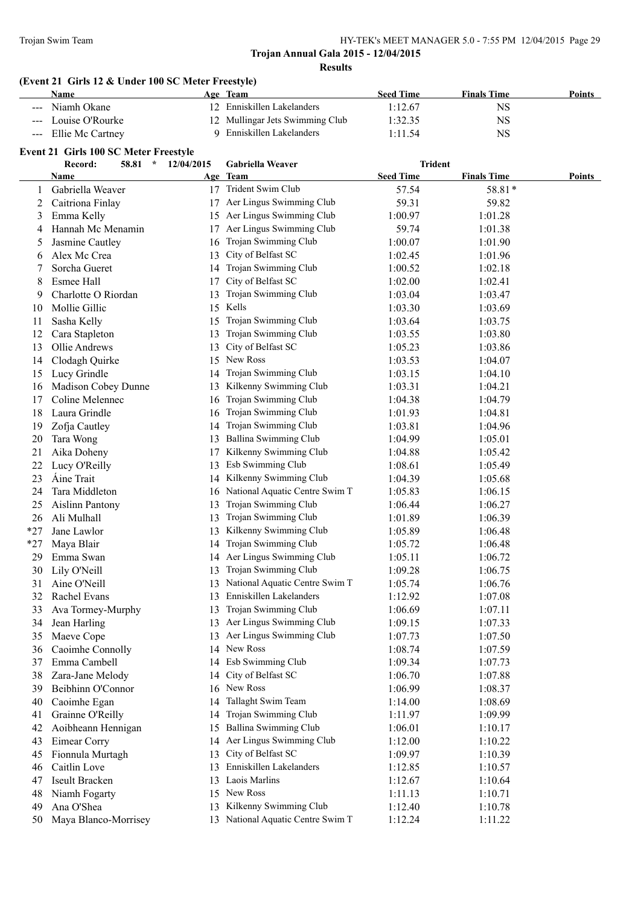# **(Event 21 Girls 12 & Under 100 SC Meter Freestyle)**

| Name                          | Age Team                        | <b>Seed Time</b> | <b>Finals Time</b> | <b>Points</b> |
|-------------------------------|---------------------------------|------------------|--------------------|---------------|
| Niamh Okane<br><b>Section</b> | 12 Enniskillen Lakelanders      | 1:12.67          | NS                 |               |
| --- Louise O'Rourke           | 12 Mullingar Jets Swimming Club | 1:32.35          | NS                 |               |
| --- Ellie Mc Cartney          | 9 Enniskillen Lakelanders       | 1:11.54          | NS                 |               |

# **Event 21 Girls 100 SC Meter Freestyle**

| <b>Seed Time</b><br>Age Team<br><b>Points</b><br>Name<br>17 Trident Swim Club<br>Gabriella Weaver<br>57.54<br>58.81*<br>1<br>Aer Lingus Swimming Club<br>Caitriona Finlay<br>59.31<br>59.82<br>2<br>17<br>Aer Lingus Swimming Club<br>Emma Kelly<br>1:00.97<br>1:01.28<br>3<br>15<br>Aer Lingus Swimming Club<br>Hannah Mc Menamin<br>59.74<br>1:01.38<br>17<br>4<br>Trojan Swimming Club<br>Jasmine Cautley<br>1:00.07<br>1:01.90<br>5<br>16<br>Alex Mc Crea<br>City of Belfast SC<br>1:02.45<br>1:01.96<br>13<br>6<br>Trojan Swimming Club<br>Sorcha Gueret<br>1:02.18<br>7<br>1:00.52<br>14<br>City of Belfast SC<br>Esmee Hall<br>1:02.00<br>1:02.41<br>8<br>17<br>Trojan Swimming Club<br>Charlotte O Riordan<br>1:03.47<br>9<br>1:03.04<br>13<br>Kells<br>Mollie Gillic<br>15<br>1:03.69<br>10<br>1:03.30<br>Trojan Swimming Club<br>Sasha Kelly<br>1:03.64<br>1:03.75<br>11<br>15<br>Trojan Swimming Club<br>12<br>Cara Stapleton<br>1:03.80<br>13<br>1:03.55<br>City of Belfast SC<br>13<br>Ollie Andrews<br>13<br>1:05.23<br>1:03.86<br>New Ross<br>Clodagh Quirke<br>14<br>15<br>1:03.53<br>1:04.07<br>Trojan Swimming Club<br>15<br>Lucy Grindle<br>1:03.15<br>1:04.10<br>14<br>Kilkenny Swimming Club<br>Madison Cobey Dunne<br>1:03.31<br>16<br>1:04.21<br>13<br>Trojan Swimming Club<br>Coline Melennec<br>17<br>1:04.38<br>1:04.79<br>16<br>Laura Grindle<br>Trojan Swimming Club<br>18<br>1:01.93<br>1:04.81<br>16<br>Trojan Swimming Club<br>Zofja Cautley<br>19<br>1:03.81<br>1:04.96<br>14<br>Ballina Swimming Club<br>20<br>Tara Wong<br>1:05.01<br>1:04.99<br>13<br>Kilkenny Swimming Club<br>21<br>Aika Doheny<br>1:05.42<br>1:04.88<br>17<br>Esb Swimming Club<br>22<br>Lucy O'Reilly<br>1:08.61<br>1:05.49<br>13<br>Kilkenny Swimming Club<br>Aine Trait<br>23<br>1:05.68<br>1:04.39<br>14<br>National Aquatic Centre Swim T<br>24<br>Tara Middleton<br>1:06.15<br>1:05.83<br>16<br>Trojan Swimming Club<br>25<br><b>Aislinn Pantony</b><br>1:06.27<br>13<br>1:06.44<br>Trojan Swimming Club<br>Ali Mulhall<br>26<br>1:01.89<br>1:06.39<br>13<br>Kilkenny Swimming Club<br>$*27$<br>Jane Lawlor<br>13<br>1:05.89<br>1:06.48<br>Trojan Swimming Club<br>$*27$<br>Maya Blair<br>1:05.72<br>1:06.48<br>14<br>Aer Lingus Swimming Club<br>29<br>Emma Swan<br>1:05.11<br>1:06.72<br>14<br>Trojan Swimming Club<br>Lily O'Neill<br>30<br>1:09.28<br>1:06.75<br>13<br>National Aquatic Centre Swim T<br>31<br>Aine O'Neill<br>1:06.76<br>1:05.74<br>13<br>Enniskillen Lakelanders<br>32<br>Rachel Evans<br>1:07.08<br>13<br>1:12.92<br>Trojan Swimming Club<br>33<br>Ava Tormey-Murphy<br>1:06.69<br>1:07.11<br>13<br>13 Aer Lingus Swimming Club<br>Jean Harling<br>1:07.33<br>34<br>1:09.15<br>13 Aer Lingus Swimming Club<br>35<br>1:07.73<br>1:07.50<br>Maeve Cope<br>14 New Ross<br>Caoimhe Connolly<br>1:08.74<br>1:07.59<br>36<br>14 Esb Swimming Club<br>Emma Cambell<br>1:09.34<br>1:07.73<br>37<br>City of Belfast SC<br>38<br>Zara-Jane Melody<br>1:06.70<br>1:07.88<br>14<br>New Ross<br>39<br>Beibhinn O'Connor<br>1:06.99<br>1:08.37<br>16<br>Tallaght Swim Team<br>40<br>Caoimhe Egan<br>1:08.69<br>14<br>1:14.00<br>Trojan Swimming Club<br>Grainne O'Reilly<br>41<br>14<br>1:11.97<br>1:09.99<br>Ballina Swimming Club<br>Aoibheann Hennigan<br>42<br>15<br>1:06.01<br>1:10.17<br>Aer Lingus Swimming Club<br>Eimear Corry<br>43<br>1:12.00<br>1:10.22<br>14<br>City of Belfast SC<br>45<br>Fionnula Murtagh<br>13<br>1:09.97<br>1:10.39<br>Enniskillen Lakelanders<br>Caitlin Love<br>46<br>13<br>1:12.85<br>1:10.57<br>Laois Marlins<br>Iseult Bracken<br>47<br>1:12.67<br>1:10.64<br>13<br>15 New Ross<br>Niamh Fogarty<br>1:11.13<br>48<br>1:10.71<br>Kilkenny Swimming Club<br>Ana O'Shea<br>49<br>1:12.40<br>1:10.78<br>13<br>13 National Aquatic Centre Swim T<br>Maya Blanco-Morrisey<br>50 | Record: | 58.81<br>$\mathcal{N}$ | 12/04/2015 | Gabriella Weaver | <b>Trident</b> |                    |  |
|---------------------------------------------------------------------------------------------------------------------------------------------------------------------------------------------------------------------------------------------------------------------------------------------------------------------------------------------------------------------------------------------------------------------------------------------------------------------------------------------------------------------------------------------------------------------------------------------------------------------------------------------------------------------------------------------------------------------------------------------------------------------------------------------------------------------------------------------------------------------------------------------------------------------------------------------------------------------------------------------------------------------------------------------------------------------------------------------------------------------------------------------------------------------------------------------------------------------------------------------------------------------------------------------------------------------------------------------------------------------------------------------------------------------------------------------------------------------------------------------------------------------------------------------------------------------------------------------------------------------------------------------------------------------------------------------------------------------------------------------------------------------------------------------------------------------------------------------------------------------------------------------------------------------------------------------------------------------------------------------------------------------------------------------------------------------------------------------------------------------------------------------------------------------------------------------------------------------------------------------------------------------------------------------------------------------------------------------------------------------------------------------------------------------------------------------------------------------------------------------------------------------------------------------------------------------------------------------------------------------------------------------------------------------------------------------------------------------------------------------------------------------------------------------------------------------------------------------------------------------------------------------------------------------------------------------------------------------------------------------------------------------------------------------------------------------------------------------------------------------------------------------------------------------------------------------------------------------------------------------------------------------------------------------------------------------------------------------------------------------------------------------------------------------------------------------------------------------------------------------------------------------------------------------------------------------------------------------------------------------------------------------------------------------------------------------------------------------------------------------------------------------------------------------------------------------------------------|---------|------------------------|------------|------------------|----------------|--------------------|--|
|                                                                                                                                                                                                                                                                                                                                                                                                                                                                                                                                                                                                                                                                                                                                                                                                                                                                                                                                                                                                                                                                                                                                                                                                                                                                                                                                                                                                                                                                                                                                                                                                                                                                                                                                                                                                                                                                                                                                                                                                                                                                                                                                                                                                                                                                                                                                                                                                                                                                                                                                                                                                                                                                                                                                                                                                                                                                                                                                                                                                                                                                                                                                                                                                                                                                                                                                                                                                                                                                                                                                                                                                                                                                                                                                                                                                                                       |         |                        |            |                  |                | <b>Finals Time</b> |  |
|                                                                                                                                                                                                                                                                                                                                                                                                                                                                                                                                                                                                                                                                                                                                                                                                                                                                                                                                                                                                                                                                                                                                                                                                                                                                                                                                                                                                                                                                                                                                                                                                                                                                                                                                                                                                                                                                                                                                                                                                                                                                                                                                                                                                                                                                                                                                                                                                                                                                                                                                                                                                                                                                                                                                                                                                                                                                                                                                                                                                                                                                                                                                                                                                                                                                                                                                                                                                                                                                                                                                                                                                                                                                                                                                                                                                                                       |         |                        |            |                  |                |                    |  |
|                                                                                                                                                                                                                                                                                                                                                                                                                                                                                                                                                                                                                                                                                                                                                                                                                                                                                                                                                                                                                                                                                                                                                                                                                                                                                                                                                                                                                                                                                                                                                                                                                                                                                                                                                                                                                                                                                                                                                                                                                                                                                                                                                                                                                                                                                                                                                                                                                                                                                                                                                                                                                                                                                                                                                                                                                                                                                                                                                                                                                                                                                                                                                                                                                                                                                                                                                                                                                                                                                                                                                                                                                                                                                                                                                                                                                                       |         |                        |            |                  |                |                    |  |
|                                                                                                                                                                                                                                                                                                                                                                                                                                                                                                                                                                                                                                                                                                                                                                                                                                                                                                                                                                                                                                                                                                                                                                                                                                                                                                                                                                                                                                                                                                                                                                                                                                                                                                                                                                                                                                                                                                                                                                                                                                                                                                                                                                                                                                                                                                                                                                                                                                                                                                                                                                                                                                                                                                                                                                                                                                                                                                                                                                                                                                                                                                                                                                                                                                                                                                                                                                                                                                                                                                                                                                                                                                                                                                                                                                                                                                       |         |                        |            |                  |                |                    |  |
|                                                                                                                                                                                                                                                                                                                                                                                                                                                                                                                                                                                                                                                                                                                                                                                                                                                                                                                                                                                                                                                                                                                                                                                                                                                                                                                                                                                                                                                                                                                                                                                                                                                                                                                                                                                                                                                                                                                                                                                                                                                                                                                                                                                                                                                                                                                                                                                                                                                                                                                                                                                                                                                                                                                                                                                                                                                                                                                                                                                                                                                                                                                                                                                                                                                                                                                                                                                                                                                                                                                                                                                                                                                                                                                                                                                                                                       |         |                        |            |                  |                |                    |  |
|                                                                                                                                                                                                                                                                                                                                                                                                                                                                                                                                                                                                                                                                                                                                                                                                                                                                                                                                                                                                                                                                                                                                                                                                                                                                                                                                                                                                                                                                                                                                                                                                                                                                                                                                                                                                                                                                                                                                                                                                                                                                                                                                                                                                                                                                                                                                                                                                                                                                                                                                                                                                                                                                                                                                                                                                                                                                                                                                                                                                                                                                                                                                                                                                                                                                                                                                                                                                                                                                                                                                                                                                                                                                                                                                                                                                                                       |         |                        |            |                  |                |                    |  |
|                                                                                                                                                                                                                                                                                                                                                                                                                                                                                                                                                                                                                                                                                                                                                                                                                                                                                                                                                                                                                                                                                                                                                                                                                                                                                                                                                                                                                                                                                                                                                                                                                                                                                                                                                                                                                                                                                                                                                                                                                                                                                                                                                                                                                                                                                                                                                                                                                                                                                                                                                                                                                                                                                                                                                                                                                                                                                                                                                                                                                                                                                                                                                                                                                                                                                                                                                                                                                                                                                                                                                                                                                                                                                                                                                                                                                                       |         |                        |            |                  |                |                    |  |
|                                                                                                                                                                                                                                                                                                                                                                                                                                                                                                                                                                                                                                                                                                                                                                                                                                                                                                                                                                                                                                                                                                                                                                                                                                                                                                                                                                                                                                                                                                                                                                                                                                                                                                                                                                                                                                                                                                                                                                                                                                                                                                                                                                                                                                                                                                                                                                                                                                                                                                                                                                                                                                                                                                                                                                                                                                                                                                                                                                                                                                                                                                                                                                                                                                                                                                                                                                                                                                                                                                                                                                                                                                                                                                                                                                                                                                       |         |                        |            |                  |                |                    |  |
|                                                                                                                                                                                                                                                                                                                                                                                                                                                                                                                                                                                                                                                                                                                                                                                                                                                                                                                                                                                                                                                                                                                                                                                                                                                                                                                                                                                                                                                                                                                                                                                                                                                                                                                                                                                                                                                                                                                                                                                                                                                                                                                                                                                                                                                                                                                                                                                                                                                                                                                                                                                                                                                                                                                                                                                                                                                                                                                                                                                                                                                                                                                                                                                                                                                                                                                                                                                                                                                                                                                                                                                                                                                                                                                                                                                                                                       |         |                        |            |                  |                |                    |  |
|                                                                                                                                                                                                                                                                                                                                                                                                                                                                                                                                                                                                                                                                                                                                                                                                                                                                                                                                                                                                                                                                                                                                                                                                                                                                                                                                                                                                                                                                                                                                                                                                                                                                                                                                                                                                                                                                                                                                                                                                                                                                                                                                                                                                                                                                                                                                                                                                                                                                                                                                                                                                                                                                                                                                                                                                                                                                                                                                                                                                                                                                                                                                                                                                                                                                                                                                                                                                                                                                                                                                                                                                                                                                                                                                                                                                                                       |         |                        |            |                  |                |                    |  |
|                                                                                                                                                                                                                                                                                                                                                                                                                                                                                                                                                                                                                                                                                                                                                                                                                                                                                                                                                                                                                                                                                                                                                                                                                                                                                                                                                                                                                                                                                                                                                                                                                                                                                                                                                                                                                                                                                                                                                                                                                                                                                                                                                                                                                                                                                                                                                                                                                                                                                                                                                                                                                                                                                                                                                                                                                                                                                                                                                                                                                                                                                                                                                                                                                                                                                                                                                                                                                                                                                                                                                                                                                                                                                                                                                                                                                                       |         |                        |            |                  |                |                    |  |
|                                                                                                                                                                                                                                                                                                                                                                                                                                                                                                                                                                                                                                                                                                                                                                                                                                                                                                                                                                                                                                                                                                                                                                                                                                                                                                                                                                                                                                                                                                                                                                                                                                                                                                                                                                                                                                                                                                                                                                                                                                                                                                                                                                                                                                                                                                                                                                                                                                                                                                                                                                                                                                                                                                                                                                                                                                                                                                                                                                                                                                                                                                                                                                                                                                                                                                                                                                                                                                                                                                                                                                                                                                                                                                                                                                                                                                       |         |                        |            |                  |                |                    |  |
|                                                                                                                                                                                                                                                                                                                                                                                                                                                                                                                                                                                                                                                                                                                                                                                                                                                                                                                                                                                                                                                                                                                                                                                                                                                                                                                                                                                                                                                                                                                                                                                                                                                                                                                                                                                                                                                                                                                                                                                                                                                                                                                                                                                                                                                                                                                                                                                                                                                                                                                                                                                                                                                                                                                                                                                                                                                                                                                                                                                                                                                                                                                                                                                                                                                                                                                                                                                                                                                                                                                                                                                                                                                                                                                                                                                                                                       |         |                        |            |                  |                |                    |  |
|                                                                                                                                                                                                                                                                                                                                                                                                                                                                                                                                                                                                                                                                                                                                                                                                                                                                                                                                                                                                                                                                                                                                                                                                                                                                                                                                                                                                                                                                                                                                                                                                                                                                                                                                                                                                                                                                                                                                                                                                                                                                                                                                                                                                                                                                                                                                                                                                                                                                                                                                                                                                                                                                                                                                                                                                                                                                                                                                                                                                                                                                                                                                                                                                                                                                                                                                                                                                                                                                                                                                                                                                                                                                                                                                                                                                                                       |         |                        |            |                  |                |                    |  |
|                                                                                                                                                                                                                                                                                                                                                                                                                                                                                                                                                                                                                                                                                                                                                                                                                                                                                                                                                                                                                                                                                                                                                                                                                                                                                                                                                                                                                                                                                                                                                                                                                                                                                                                                                                                                                                                                                                                                                                                                                                                                                                                                                                                                                                                                                                                                                                                                                                                                                                                                                                                                                                                                                                                                                                                                                                                                                                                                                                                                                                                                                                                                                                                                                                                                                                                                                                                                                                                                                                                                                                                                                                                                                                                                                                                                                                       |         |                        |            |                  |                |                    |  |
|                                                                                                                                                                                                                                                                                                                                                                                                                                                                                                                                                                                                                                                                                                                                                                                                                                                                                                                                                                                                                                                                                                                                                                                                                                                                                                                                                                                                                                                                                                                                                                                                                                                                                                                                                                                                                                                                                                                                                                                                                                                                                                                                                                                                                                                                                                                                                                                                                                                                                                                                                                                                                                                                                                                                                                                                                                                                                                                                                                                                                                                                                                                                                                                                                                                                                                                                                                                                                                                                                                                                                                                                                                                                                                                                                                                                                                       |         |                        |            |                  |                |                    |  |
|                                                                                                                                                                                                                                                                                                                                                                                                                                                                                                                                                                                                                                                                                                                                                                                                                                                                                                                                                                                                                                                                                                                                                                                                                                                                                                                                                                                                                                                                                                                                                                                                                                                                                                                                                                                                                                                                                                                                                                                                                                                                                                                                                                                                                                                                                                                                                                                                                                                                                                                                                                                                                                                                                                                                                                                                                                                                                                                                                                                                                                                                                                                                                                                                                                                                                                                                                                                                                                                                                                                                                                                                                                                                                                                                                                                                                                       |         |                        |            |                  |                |                    |  |
|                                                                                                                                                                                                                                                                                                                                                                                                                                                                                                                                                                                                                                                                                                                                                                                                                                                                                                                                                                                                                                                                                                                                                                                                                                                                                                                                                                                                                                                                                                                                                                                                                                                                                                                                                                                                                                                                                                                                                                                                                                                                                                                                                                                                                                                                                                                                                                                                                                                                                                                                                                                                                                                                                                                                                                                                                                                                                                                                                                                                                                                                                                                                                                                                                                                                                                                                                                                                                                                                                                                                                                                                                                                                                                                                                                                                                                       |         |                        |            |                  |                |                    |  |
|                                                                                                                                                                                                                                                                                                                                                                                                                                                                                                                                                                                                                                                                                                                                                                                                                                                                                                                                                                                                                                                                                                                                                                                                                                                                                                                                                                                                                                                                                                                                                                                                                                                                                                                                                                                                                                                                                                                                                                                                                                                                                                                                                                                                                                                                                                                                                                                                                                                                                                                                                                                                                                                                                                                                                                                                                                                                                                                                                                                                                                                                                                                                                                                                                                                                                                                                                                                                                                                                                                                                                                                                                                                                                                                                                                                                                                       |         |                        |            |                  |                |                    |  |
|                                                                                                                                                                                                                                                                                                                                                                                                                                                                                                                                                                                                                                                                                                                                                                                                                                                                                                                                                                                                                                                                                                                                                                                                                                                                                                                                                                                                                                                                                                                                                                                                                                                                                                                                                                                                                                                                                                                                                                                                                                                                                                                                                                                                                                                                                                                                                                                                                                                                                                                                                                                                                                                                                                                                                                                                                                                                                                                                                                                                                                                                                                                                                                                                                                                                                                                                                                                                                                                                                                                                                                                                                                                                                                                                                                                                                                       |         |                        |            |                  |                |                    |  |
|                                                                                                                                                                                                                                                                                                                                                                                                                                                                                                                                                                                                                                                                                                                                                                                                                                                                                                                                                                                                                                                                                                                                                                                                                                                                                                                                                                                                                                                                                                                                                                                                                                                                                                                                                                                                                                                                                                                                                                                                                                                                                                                                                                                                                                                                                                                                                                                                                                                                                                                                                                                                                                                                                                                                                                                                                                                                                                                                                                                                                                                                                                                                                                                                                                                                                                                                                                                                                                                                                                                                                                                                                                                                                                                                                                                                                                       |         |                        |            |                  |                |                    |  |
|                                                                                                                                                                                                                                                                                                                                                                                                                                                                                                                                                                                                                                                                                                                                                                                                                                                                                                                                                                                                                                                                                                                                                                                                                                                                                                                                                                                                                                                                                                                                                                                                                                                                                                                                                                                                                                                                                                                                                                                                                                                                                                                                                                                                                                                                                                                                                                                                                                                                                                                                                                                                                                                                                                                                                                                                                                                                                                                                                                                                                                                                                                                                                                                                                                                                                                                                                                                                                                                                                                                                                                                                                                                                                                                                                                                                                                       |         |                        |            |                  |                |                    |  |
|                                                                                                                                                                                                                                                                                                                                                                                                                                                                                                                                                                                                                                                                                                                                                                                                                                                                                                                                                                                                                                                                                                                                                                                                                                                                                                                                                                                                                                                                                                                                                                                                                                                                                                                                                                                                                                                                                                                                                                                                                                                                                                                                                                                                                                                                                                                                                                                                                                                                                                                                                                                                                                                                                                                                                                                                                                                                                                                                                                                                                                                                                                                                                                                                                                                                                                                                                                                                                                                                                                                                                                                                                                                                                                                                                                                                                                       |         |                        |            |                  |                |                    |  |
|                                                                                                                                                                                                                                                                                                                                                                                                                                                                                                                                                                                                                                                                                                                                                                                                                                                                                                                                                                                                                                                                                                                                                                                                                                                                                                                                                                                                                                                                                                                                                                                                                                                                                                                                                                                                                                                                                                                                                                                                                                                                                                                                                                                                                                                                                                                                                                                                                                                                                                                                                                                                                                                                                                                                                                                                                                                                                                                                                                                                                                                                                                                                                                                                                                                                                                                                                                                                                                                                                                                                                                                                                                                                                                                                                                                                                                       |         |                        |            |                  |                |                    |  |
|                                                                                                                                                                                                                                                                                                                                                                                                                                                                                                                                                                                                                                                                                                                                                                                                                                                                                                                                                                                                                                                                                                                                                                                                                                                                                                                                                                                                                                                                                                                                                                                                                                                                                                                                                                                                                                                                                                                                                                                                                                                                                                                                                                                                                                                                                                                                                                                                                                                                                                                                                                                                                                                                                                                                                                                                                                                                                                                                                                                                                                                                                                                                                                                                                                                                                                                                                                                                                                                                                                                                                                                                                                                                                                                                                                                                                                       |         |                        |            |                  |                |                    |  |
|                                                                                                                                                                                                                                                                                                                                                                                                                                                                                                                                                                                                                                                                                                                                                                                                                                                                                                                                                                                                                                                                                                                                                                                                                                                                                                                                                                                                                                                                                                                                                                                                                                                                                                                                                                                                                                                                                                                                                                                                                                                                                                                                                                                                                                                                                                                                                                                                                                                                                                                                                                                                                                                                                                                                                                                                                                                                                                                                                                                                                                                                                                                                                                                                                                                                                                                                                                                                                                                                                                                                                                                                                                                                                                                                                                                                                                       |         |                        |            |                  |                |                    |  |
|                                                                                                                                                                                                                                                                                                                                                                                                                                                                                                                                                                                                                                                                                                                                                                                                                                                                                                                                                                                                                                                                                                                                                                                                                                                                                                                                                                                                                                                                                                                                                                                                                                                                                                                                                                                                                                                                                                                                                                                                                                                                                                                                                                                                                                                                                                                                                                                                                                                                                                                                                                                                                                                                                                                                                                                                                                                                                                                                                                                                                                                                                                                                                                                                                                                                                                                                                                                                                                                                                                                                                                                                                                                                                                                                                                                                                                       |         |                        |            |                  |                |                    |  |
|                                                                                                                                                                                                                                                                                                                                                                                                                                                                                                                                                                                                                                                                                                                                                                                                                                                                                                                                                                                                                                                                                                                                                                                                                                                                                                                                                                                                                                                                                                                                                                                                                                                                                                                                                                                                                                                                                                                                                                                                                                                                                                                                                                                                                                                                                                                                                                                                                                                                                                                                                                                                                                                                                                                                                                                                                                                                                                                                                                                                                                                                                                                                                                                                                                                                                                                                                                                                                                                                                                                                                                                                                                                                                                                                                                                                                                       |         |                        |            |                  |                |                    |  |
|                                                                                                                                                                                                                                                                                                                                                                                                                                                                                                                                                                                                                                                                                                                                                                                                                                                                                                                                                                                                                                                                                                                                                                                                                                                                                                                                                                                                                                                                                                                                                                                                                                                                                                                                                                                                                                                                                                                                                                                                                                                                                                                                                                                                                                                                                                                                                                                                                                                                                                                                                                                                                                                                                                                                                                                                                                                                                                                                                                                                                                                                                                                                                                                                                                                                                                                                                                                                                                                                                                                                                                                                                                                                                                                                                                                                                                       |         |                        |            |                  |                |                    |  |
|                                                                                                                                                                                                                                                                                                                                                                                                                                                                                                                                                                                                                                                                                                                                                                                                                                                                                                                                                                                                                                                                                                                                                                                                                                                                                                                                                                                                                                                                                                                                                                                                                                                                                                                                                                                                                                                                                                                                                                                                                                                                                                                                                                                                                                                                                                                                                                                                                                                                                                                                                                                                                                                                                                                                                                                                                                                                                                                                                                                                                                                                                                                                                                                                                                                                                                                                                                                                                                                                                                                                                                                                                                                                                                                                                                                                                                       |         |                        |            |                  |                |                    |  |
|                                                                                                                                                                                                                                                                                                                                                                                                                                                                                                                                                                                                                                                                                                                                                                                                                                                                                                                                                                                                                                                                                                                                                                                                                                                                                                                                                                                                                                                                                                                                                                                                                                                                                                                                                                                                                                                                                                                                                                                                                                                                                                                                                                                                                                                                                                                                                                                                                                                                                                                                                                                                                                                                                                                                                                                                                                                                                                                                                                                                                                                                                                                                                                                                                                                                                                                                                                                                                                                                                                                                                                                                                                                                                                                                                                                                                                       |         |                        |            |                  |                |                    |  |
|                                                                                                                                                                                                                                                                                                                                                                                                                                                                                                                                                                                                                                                                                                                                                                                                                                                                                                                                                                                                                                                                                                                                                                                                                                                                                                                                                                                                                                                                                                                                                                                                                                                                                                                                                                                                                                                                                                                                                                                                                                                                                                                                                                                                                                                                                                                                                                                                                                                                                                                                                                                                                                                                                                                                                                                                                                                                                                                                                                                                                                                                                                                                                                                                                                                                                                                                                                                                                                                                                                                                                                                                                                                                                                                                                                                                                                       |         |                        |            |                  |                |                    |  |
|                                                                                                                                                                                                                                                                                                                                                                                                                                                                                                                                                                                                                                                                                                                                                                                                                                                                                                                                                                                                                                                                                                                                                                                                                                                                                                                                                                                                                                                                                                                                                                                                                                                                                                                                                                                                                                                                                                                                                                                                                                                                                                                                                                                                                                                                                                                                                                                                                                                                                                                                                                                                                                                                                                                                                                                                                                                                                                                                                                                                                                                                                                                                                                                                                                                                                                                                                                                                                                                                                                                                                                                                                                                                                                                                                                                                                                       |         |                        |            |                  |                |                    |  |
|                                                                                                                                                                                                                                                                                                                                                                                                                                                                                                                                                                                                                                                                                                                                                                                                                                                                                                                                                                                                                                                                                                                                                                                                                                                                                                                                                                                                                                                                                                                                                                                                                                                                                                                                                                                                                                                                                                                                                                                                                                                                                                                                                                                                                                                                                                                                                                                                                                                                                                                                                                                                                                                                                                                                                                                                                                                                                                                                                                                                                                                                                                                                                                                                                                                                                                                                                                                                                                                                                                                                                                                                                                                                                                                                                                                                                                       |         |                        |            |                  |                |                    |  |
|                                                                                                                                                                                                                                                                                                                                                                                                                                                                                                                                                                                                                                                                                                                                                                                                                                                                                                                                                                                                                                                                                                                                                                                                                                                                                                                                                                                                                                                                                                                                                                                                                                                                                                                                                                                                                                                                                                                                                                                                                                                                                                                                                                                                                                                                                                                                                                                                                                                                                                                                                                                                                                                                                                                                                                                                                                                                                                                                                                                                                                                                                                                                                                                                                                                                                                                                                                                                                                                                                                                                                                                                                                                                                                                                                                                                                                       |         |                        |            |                  |                |                    |  |
|                                                                                                                                                                                                                                                                                                                                                                                                                                                                                                                                                                                                                                                                                                                                                                                                                                                                                                                                                                                                                                                                                                                                                                                                                                                                                                                                                                                                                                                                                                                                                                                                                                                                                                                                                                                                                                                                                                                                                                                                                                                                                                                                                                                                                                                                                                                                                                                                                                                                                                                                                                                                                                                                                                                                                                                                                                                                                                                                                                                                                                                                                                                                                                                                                                                                                                                                                                                                                                                                                                                                                                                                                                                                                                                                                                                                                                       |         |                        |            |                  |                |                    |  |
|                                                                                                                                                                                                                                                                                                                                                                                                                                                                                                                                                                                                                                                                                                                                                                                                                                                                                                                                                                                                                                                                                                                                                                                                                                                                                                                                                                                                                                                                                                                                                                                                                                                                                                                                                                                                                                                                                                                                                                                                                                                                                                                                                                                                                                                                                                                                                                                                                                                                                                                                                                                                                                                                                                                                                                                                                                                                                                                                                                                                                                                                                                                                                                                                                                                                                                                                                                                                                                                                                                                                                                                                                                                                                                                                                                                                                                       |         |                        |            |                  |                |                    |  |
|                                                                                                                                                                                                                                                                                                                                                                                                                                                                                                                                                                                                                                                                                                                                                                                                                                                                                                                                                                                                                                                                                                                                                                                                                                                                                                                                                                                                                                                                                                                                                                                                                                                                                                                                                                                                                                                                                                                                                                                                                                                                                                                                                                                                                                                                                                                                                                                                                                                                                                                                                                                                                                                                                                                                                                                                                                                                                                                                                                                                                                                                                                                                                                                                                                                                                                                                                                                                                                                                                                                                                                                                                                                                                                                                                                                                                                       |         |                        |            |                  |                |                    |  |
|                                                                                                                                                                                                                                                                                                                                                                                                                                                                                                                                                                                                                                                                                                                                                                                                                                                                                                                                                                                                                                                                                                                                                                                                                                                                                                                                                                                                                                                                                                                                                                                                                                                                                                                                                                                                                                                                                                                                                                                                                                                                                                                                                                                                                                                                                                                                                                                                                                                                                                                                                                                                                                                                                                                                                                                                                                                                                                                                                                                                                                                                                                                                                                                                                                                                                                                                                                                                                                                                                                                                                                                                                                                                                                                                                                                                                                       |         |                        |            |                  |                |                    |  |
|                                                                                                                                                                                                                                                                                                                                                                                                                                                                                                                                                                                                                                                                                                                                                                                                                                                                                                                                                                                                                                                                                                                                                                                                                                                                                                                                                                                                                                                                                                                                                                                                                                                                                                                                                                                                                                                                                                                                                                                                                                                                                                                                                                                                                                                                                                                                                                                                                                                                                                                                                                                                                                                                                                                                                                                                                                                                                                                                                                                                                                                                                                                                                                                                                                                                                                                                                                                                                                                                                                                                                                                                                                                                                                                                                                                                                                       |         |                        |            |                  |                |                    |  |
|                                                                                                                                                                                                                                                                                                                                                                                                                                                                                                                                                                                                                                                                                                                                                                                                                                                                                                                                                                                                                                                                                                                                                                                                                                                                                                                                                                                                                                                                                                                                                                                                                                                                                                                                                                                                                                                                                                                                                                                                                                                                                                                                                                                                                                                                                                                                                                                                                                                                                                                                                                                                                                                                                                                                                                                                                                                                                                                                                                                                                                                                                                                                                                                                                                                                                                                                                                                                                                                                                                                                                                                                                                                                                                                                                                                                                                       |         |                        |            |                  |                |                    |  |
|                                                                                                                                                                                                                                                                                                                                                                                                                                                                                                                                                                                                                                                                                                                                                                                                                                                                                                                                                                                                                                                                                                                                                                                                                                                                                                                                                                                                                                                                                                                                                                                                                                                                                                                                                                                                                                                                                                                                                                                                                                                                                                                                                                                                                                                                                                                                                                                                                                                                                                                                                                                                                                                                                                                                                                                                                                                                                                                                                                                                                                                                                                                                                                                                                                                                                                                                                                                                                                                                                                                                                                                                                                                                                                                                                                                                                                       |         |                        |            |                  |                |                    |  |
|                                                                                                                                                                                                                                                                                                                                                                                                                                                                                                                                                                                                                                                                                                                                                                                                                                                                                                                                                                                                                                                                                                                                                                                                                                                                                                                                                                                                                                                                                                                                                                                                                                                                                                                                                                                                                                                                                                                                                                                                                                                                                                                                                                                                                                                                                                                                                                                                                                                                                                                                                                                                                                                                                                                                                                                                                                                                                                                                                                                                                                                                                                                                                                                                                                                                                                                                                                                                                                                                                                                                                                                                                                                                                                                                                                                                                                       |         |                        |            |                  |                |                    |  |
|                                                                                                                                                                                                                                                                                                                                                                                                                                                                                                                                                                                                                                                                                                                                                                                                                                                                                                                                                                                                                                                                                                                                                                                                                                                                                                                                                                                                                                                                                                                                                                                                                                                                                                                                                                                                                                                                                                                                                                                                                                                                                                                                                                                                                                                                                                                                                                                                                                                                                                                                                                                                                                                                                                                                                                                                                                                                                                                                                                                                                                                                                                                                                                                                                                                                                                                                                                                                                                                                                                                                                                                                                                                                                                                                                                                                                                       |         |                        |            |                  |                |                    |  |
|                                                                                                                                                                                                                                                                                                                                                                                                                                                                                                                                                                                                                                                                                                                                                                                                                                                                                                                                                                                                                                                                                                                                                                                                                                                                                                                                                                                                                                                                                                                                                                                                                                                                                                                                                                                                                                                                                                                                                                                                                                                                                                                                                                                                                                                                                                                                                                                                                                                                                                                                                                                                                                                                                                                                                                                                                                                                                                                                                                                                                                                                                                                                                                                                                                                                                                                                                                                                                                                                                                                                                                                                                                                                                                                                                                                                                                       |         |                        |            |                  |                |                    |  |
|                                                                                                                                                                                                                                                                                                                                                                                                                                                                                                                                                                                                                                                                                                                                                                                                                                                                                                                                                                                                                                                                                                                                                                                                                                                                                                                                                                                                                                                                                                                                                                                                                                                                                                                                                                                                                                                                                                                                                                                                                                                                                                                                                                                                                                                                                                                                                                                                                                                                                                                                                                                                                                                                                                                                                                                                                                                                                                                                                                                                                                                                                                                                                                                                                                                                                                                                                                                                                                                                                                                                                                                                                                                                                                                                                                                                                                       |         |                        |            |                  |                |                    |  |
|                                                                                                                                                                                                                                                                                                                                                                                                                                                                                                                                                                                                                                                                                                                                                                                                                                                                                                                                                                                                                                                                                                                                                                                                                                                                                                                                                                                                                                                                                                                                                                                                                                                                                                                                                                                                                                                                                                                                                                                                                                                                                                                                                                                                                                                                                                                                                                                                                                                                                                                                                                                                                                                                                                                                                                                                                                                                                                                                                                                                                                                                                                                                                                                                                                                                                                                                                                                                                                                                                                                                                                                                                                                                                                                                                                                                                                       |         |                        |            |                  |                |                    |  |
|                                                                                                                                                                                                                                                                                                                                                                                                                                                                                                                                                                                                                                                                                                                                                                                                                                                                                                                                                                                                                                                                                                                                                                                                                                                                                                                                                                                                                                                                                                                                                                                                                                                                                                                                                                                                                                                                                                                                                                                                                                                                                                                                                                                                                                                                                                                                                                                                                                                                                                                                                                                                                                                                                                                                                                                                                                                                                                                                                                                                                                                                                                                                                                                                                                                                                                                                                                                                                                                                                                                                                                                                                                                                                                                                                                                                                                       |         |                        |            |                  |                |                    |  |
|                                                                                                                                                                                                                                                                                                                                                                                                                                                                                                                                                                                                                                                                                                                                                                                                                                                                                                                                                                                                                                                                                                                                                                                                                                                                                                                                                                                                                                                                                                                                                                                                                                                                                                                                                                                                                                                                                                                                                                                                                                                                                                                                                                                                                                                                                                                                                                                                                                                                                                                                                                                                                                                                                                                                                                                                                                                                                                                                                                                                                                                                                                                                                                                                                                                                                                                                                                                                                                                                                                                                                                                                                                                                                                                                                                                                                                       |         |                        |            |                  |                |                    |  |
|                                                                                                                                                                                                                                                                                                                                                                                                                                                                                                                                                                                                                                                                                                                                                                                                                                                                                                                                                                                                                                                                                                                                                                                                                                                                                                                                                                                                                                                                                                                                                                                                                                                                                                                                                                                                                                                                                                                                                                                                                                                                                                                                                                                                                                                                                                                                                                                                                                                                                                                                                                                                                                                                                                                                                                                                                                                                                                                                                                                                                                                                                                                                                                                                                                                                                                                                                                                                                                                                                                                                                                                                                                                                                                                                                                                                                                       |         |                        |            |                  | 1:12.24        | 1:11.22            |  |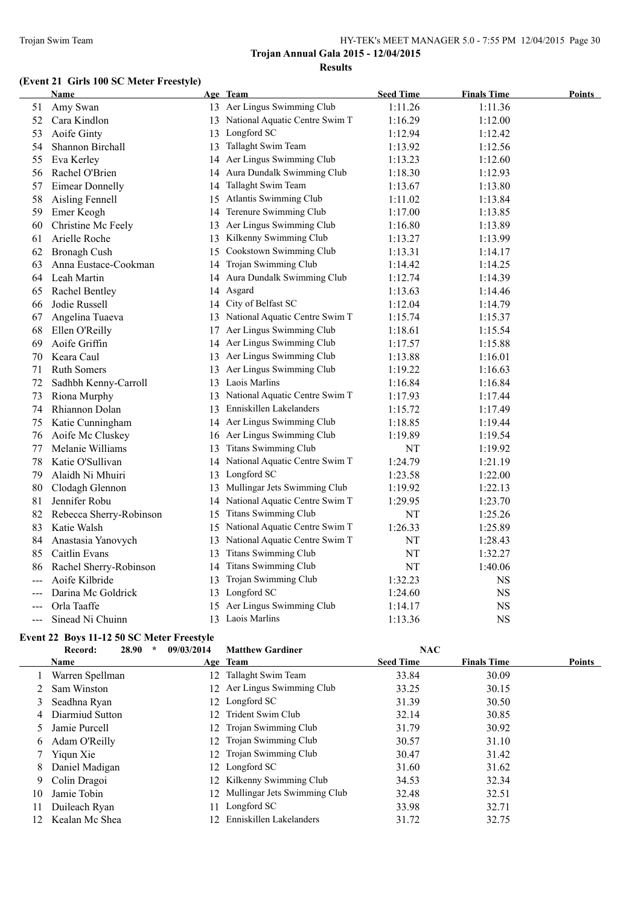# **(Event 21 Girls 100 SC Meter Freestyle)**

| Name                   |                                                                                                                                                                    |                                | <b>Seed Time</b>                                                                                                                                                                                                                                                                                                                                                                                                                                                                                                                                                                                                                                                                                                                                                                                                                                                                                                                                                                                                                                                                                                                                     | <b>Finals Time</b>              | <b>Points</b>                                                               |
|------------------------|--------------------------------------------------------------------------------------------------------------------------------------------------------------------|--------------------------------|------------------------------------------------------------------------------------------------------------------------------------------------------------------------------------------------------------------------------------------------------------------------------------------------------------------------------------------------------------------------------------------------------------------------------------------------------------------------------------------------------------------------------------------------------------------------------------------------------------------------------------------------------------------------------------------------------------------------------------------------------------------------------------------------------------------------------------------------------------------------------------------------------------------------------------------------------------------------------------------------------------------------------------------------------------------------------------------------------------------------------------------------------|---------------------------------|-----------------------------------------------------------------------------|
| Amy Swan               |                                                                                                                                                                    |                                | 1:11.26                                                                                                                                                                                                                                                                                                                                                                                                                                                                                                                                                                                                                                                                                                                                                                                                                                                                                                                                                                                                                                                                                                                                              | 1:11.36                         |                                                                             |
| Cara Kindlon           |                                                                                                                                                                    |                                | 1:16.29                                                                                                                                                                                                                                                                                                                                                                                                                                                                                                                                                                                                                                                                                                                                                                                                                                                                                                                                                                                                                                                                                                                                              | 1:12.00                         |                                                                             |
| Aoife Ginty            |                                                                                                                                                                    |                                | 1:12.94                                                                                                                                                                                                                                                                                                                                                                                                                                                                                                                                                                                                                                                                                                                                                                                                                                                                                                                                                                                                                                                                                                                                              | 1:12.42                         |                                                                             |
| Shannon Birchall       |                                                                                                                                                                    |                                | 1:13.92                                                                                                                                                                                                                                                                                                                                                                                                                                                                                                                                                                                                                                                                                                                                                                                                                                                                                                                                                                                                                                                                                                                                              | 1:12.56                         |                                                                             |
| Eva Kerley             |                                                                                                                                                                    |                                | 1:13.23                                                                                                                                                                                                                                                                                                                                                                                                                                                                                                                                                                                                                                                                                                                                                                                                                                                                                                                                                                                                                                                                                                                                              | 1:12.60                         |                                                                             |
| Rachel O'Brien         |                                                                                                                                                                    |                                | 1:18.30                                                                                                                                                                                                                                                                                                                                                                                                                                                                                                                                                                                                                                                                                                                                                                                                                                                                                                                                                                                                                                                                                                                                              | 1:12.93                         |                                                                             |
| <b>Eimear Donnelly</b> |                                                                                                                                                                    |                                | 1:13.67                                                                                                                                                                                                                                                                                                                                                                                                                                                                                                                                                                                                                                                                                                                                                                                                                                                                                                                                                                                                                                                                                                                                              | 1:13.80                         |                                                                             |
| Aisling Fennell        |                                                                                                                                                                    |                                | 1:11.02                                                                                                                                                                                                                                                                                                                                                                                                                                                                                                                                                                                                                                                                                                                                                                                                                                                                                                                                                                                                                                                                                                                                              | 1:13.84                         |                                                                             |
| Emer Keogh             |                                                                                                                                                                    |                                | 1:17.00                                                                                                                                                                                                                                                                                                                                                                                                                                                                                                                                                                                                                                                                                                                                                                                                                                                                                                                                                                                                                                                                                                                                              | 1:13.85                         |                                                                             |
| Christine Mc Feely     |                                                                                                                                                                    |                                | 1:16.80                                                                                                                                                                                                                                                                                                                                                                                                                                                                                                                                                                                                                                                                                                                                                                                                                                                                                                                                                                                                                                                                                                                                              | 1:13.89                         |                                                                             |
| Arielle Roche          |                                                                                                                                                                    |                                | 1:13.27                                                                                                                                                                                                                                                                                                                                                                                                                                                                                                                                                                                                                                                                                                                                                                                                                                                                                                                                                                                                                                                                                                                                              | 1:13.99                         |                                                                             |
| <b>Bronagh Cush</b>    |                                                                                                                                                                    | Cookstown Swimming Club        | 1:13.31                                                                                                                                                                                                                                                                                                                                                                                                                                                                                                                                                                                                                                                                                                                                                                                                                                                                                                                                                                                                                                                                                                                                              | 1:14.17                         |                                                                             |
| Anna Eustace-Cookman   |                                                                                                                                                                    |                                | 1:14.42                                                                                                                                                                                                                                                                                                                                                                                                                                                                                                                                                                                                                                                                                                                                                                                                                                                                                                                                                                                                                                                                                                                                              | 1:14.25                         |                                                                             |
| Leah Martin            |                                                                                                                                                                    |                                | 1:12.74                                                                                                                                                                                                                                                                                                                                                                                                                                                                                                                                                                                                                                                                                                                                                                                                                                                                                                                                                                                                                                                                                                                                              | 1:14.39                         |                                                                             |
| Rachel Bentley         |                                                                                                                                                                    |                                | 1:13.63                                                                                                                                                                                                                                                                                                                                                                                                                                                                                                                                                                                                                                                                                                                                                                                                                                                                                                                                                                                                                                                                                                                                              | 1:14.46                         |                                                                             |
| Jodie Russell          |                                                                                                                                                                    |                                | 1:12.04                                                                                                                                                                                                                                                                                                                                                                                                                                                                                                                                                                                                                                                                                                                                                                                                                                                                                                                                                                                                                                                                                                                                              | 1:14.79                         |                                                                             |
| Angelina Tuaeva        |                                                                                                                                                                    |                                | 1:15.74                                                                                                                                                                                                                                                                                                                                                                                                                                                                                                                                                                                                                                                                                                                                                                                                                                                                                                                                                                                                                                                                                                                                              | 1:15.37                         |                                                                             |
| Ellen O'Reilly         |                                                                                                                                                                    |                                | 1:18.61                                                                                                                                                                                                                                                                                                                                                                                                                                                                                                                                                                                                                                                                                                                                                                                                                                                                                                                                                                                                                                                                                                                                              | 1:15.54                         |                                                                             |
| Aoife Griffin          |                                                                                                                                                                    |                                | 1:17.57                                                                                                                                                                                                                                                                                                                                                                                                                                                                                                                                                                                                                                                                                                                                                                                                                                                                                                                                                                                                                                                                                                                                              | 1:15.88                         |                                                                             |
| Keara Caul             |                                                                                                                                                                    |                                | 1:13.88                                                                                                                                                                                                                                                                                                                                                                                                                                                                                                                                                                                                                                                                                                                                                                                                                                                                                                                                                                                                                                                                                                                                              | 1:16.01                         |                                                                             |
| <b>Ruth Somers</b>     |                                                                                                                                                                    |                                | 1:19.22                                                                                                                                                                                                                                                                                                                                                                                                                                                                                                                                                                                                                                                                                                                                                                                                                                                                                                                                                                                                                                                                                                                                              | 1:16.63                         |                                                                             |
| Sadhbh Kenny-Carroll   |                                                                                                                                                                    |                                | 1:16.84                                                                                                                                                                                                                                                                                                                                                                                                                                                                                                                                                                                                                                                                                                                                                                                                                                                                                                                                                                                                                                                                                                                                              | 1:16.84                         |                                                                             |
| Riona Murphy           |                                                                                                                                                                    |                                | 1:17.93                                                                                                                                                                                                                                                                                                                                                                                                                                                                                                                                                                                                                                                                                                                                                                                                                                                                                                                                                                                                                                                                                                                                              | 1:17.44                         |                                                                             |
| Rhiannon Dolan         |                                                                                                                                                                    |                                | 1:15.72                                                                                                                                                                                                                                                                                                                                                                                                                                                                                                                                                                                                                                                                                                                                                                                                                                                                                                                                                                                                                                                                                                                                              | 1:17.49                         |                                                                             |
|                        |                                                                                                                                                                    |                                | 1:18.85                                                                                                                                                                                                                                                                                                                                                                                                                                                                                                                                                                                                                                                                                                                                                                                                                                                                                                                                                                                                                                                                                                                                              | 1:19.44                         |                                                                             |
|                        |                                                                                                                                                                    |                                | 1:19.89                                                                                                                                                                                                                                                                                                                                                                                                                                                                                                                                                                                                                                                                                                                                                                                                                                                                                                                                                                                                                                                                                                                                              | 1:19.54                         |                                                                             |
| Melanie Williams       |                                                                                                                                                                    |                                | NT                                                                                                                                                                                                                                                                                                                                                                                                                                                                                                                                                                                                                                                                                                                                                                                                                                                                                                                                                                                                                                                                                                                                                   | 1:19.92                         |                                                                             |
| Katie O'Sullivan       |                                                                                                                                                                    |                                | 1:24.79                                                                                                                                                                                                                                                                                                                                                                                                                                                                                                                                                                                                                                                                                                                                                                                                                                                                                                                                                                                                                                                                                                                                              | 1:21.19                         |                                                                             |
| Alaidh Ni Mhuiri       |                                                                                                                                                                    |                                |                                                                                                                                                                                                                                                                                                                                                                                                                                                                                                                                                                                                                                                                                                                                                                                                                                                                                                                                                                                                                                                                                                                                                      |                                 |                                                                             |
|                        |                                                                                                                                                                    |                                | 1:19.92                                                                                                                                                                                                                                                                                                                                                                                                                                                                                                                                                                                                                                                                                                                                                                                                                                                                                                                                                                                                                                                                                                                                              | 1:22.13                         |                                                                             |
| Jennifer Robu          |                                                                                                                                                                    |                                | 1:29.95                                                                                                                                                                                                                                                                                                                                                                                                                                                                                                                                                                                                                                                                                                                                                                                                                                                                                                                                                                                                                                                                                                                                              | 1:23.70                         |                                                                             |
|                        |                                                                                                                                                                    |                                |                                                                                                                                                                                                                                                                                                                                                                                                                                                                                                                                                                                                                                                                                                                                                                                                                                                                                                                                                                                                                                                                                                                                                      |                                 |                                                                             |
|                        |                                                                                                                                                                    |                                | 1:26.33                                                                                                                                                                                                                                                                                                                                                                                                                                                                                                                                                                                                                                                                                                                                                                                                                                                                                                                                                                                                                                                                                                                                              |                                 |                                                                             |
|                        | 13                                                                                                                                                                 | National Aquatic Centre Swim T |                                                                                                                                                                                                                                                                                                                                                                                                                                                                                                                                                                                                                                                                                                                                                                                                                                                                                                                                                                                                                                                                                                                                                      |                                 |                                                                             |
|                        | 13                                                                                                                                                                 |                                |                                                                                                                                                                                                                                                                                                                                                                                                                                                                                                                                                                                                                                                                                                                                                                                                                                                                                                                                                                                                                                                                                                                                                      |                                 |                                                                             |
|                        | 14                                                                                                                                                                 |                                |                                                                                                                                                                                                                                                                                                                                                                                                                                                                                                                                                                                                                                                                                                                                                                                                                                                                                                                                                                                                                                                                                                                                                      |                                 |                                                                             |
| Aoife Kilbride         |                                                                                                                                                                    |                                | 1:32.23                                                                                                                                                                                                                                                                                                                                                                                                                                                                                                                                                                                                                                                                                                                                                                                                                                                                                                                                                                                                                                                                                                                                              | <b>NS</b>                       |                                                                             |
| Darina Mc Goldrick     |                                                                                                                                                                    |                                | 1:24.60                                                                                                                                                                                                                                                                                                                                                                                                                                                                                                                                                                                                                                                                                                                                                                                                                                                                                                                                                                                                                                                                                                                                              |                                 |                                                                             |
| Orla Taaffe            |                                                                                                                                                                    |                                | 1:14.17                                                                                                                                                                                                                                                                                                                                                                                                                                                                                                                                                                                                                                                                                                                                                                                                                                                                                                                                                                                                                                                                                                                                              | $_{\rm NS}$                     |                                                                             |
| Sinead Ni Chuinn       |                                                                                                                                                                    |                                | 1:13.36                                                                                                                                                                                                                                                                                                                                                                                                                                                                                                                                                                                                                                                                                                                                                                                                                                                                                                                                                                                                                                                                                                                                              | <b>NS</b>                       |                                                                             |
|                        | Katie Cunningham<br>Aoife Mc Cluskey<br>Clodagh Glennon<br>Rebecca Sherry-Robinson<br>Katie Walsh<br>Anastasia Yanovych<br>Caitlin Evans<br>Rachel Sherry-Robinson |                                | Age Team<br>13 Aer Lingus Swimming Club<br>13 National Aquatic Centre Swim T<br>13 Longford SC<br>13 Tallaght Swim Team<br>14 Aer Lingus Swimming Club<br>14 Aura Dundalk Swimming Club<br>14 Tallaght Swim Team<br>15 Atlantis Swimming Club<br>14 Terenure Swimming Club<br>13 Aer Lingus Swimming Club<br>13 Kilkenny Swimming Club<br>15<br>14 Trojan Swimming Club<br>14 Aura Dundalk Swimming Club<br>14 Asgard<br>14 City of Belfast SC<br>13 National Aquatic Centre Swim T<br>17 Aer Lingus Swimming Club<br>14 Aer Lingus Swimming Club<br>13 Aer Lingus Swimming Club<br>13 Aer Lingus Swimming Club<br>13 Laois Marlins<br>13 National Aquatic Centre Swim T<br>13 Enniskillen Lakelanders<br>14 Aer Lingus Swimming Club<br>16 Aer Lingus Swimming Club<br>13 Titans Swimming Club<br>14 National Aquatic Centre Swim T<br>13 Longford SC<br>13 Mullingar Jets Swimming Club<br>14 National Aquatic Centre Swim T<br>15 Titans Swimming Club<br>National Aquatic Centre Swim T<br>15<br>Titans Swimming Club<br>Titans Swimming Club<br>Trojan Swimming Club<br>13<br>13 Longford SC<br>15 Aer Lingus Swimming Club<br>13 Laois Marlins | 1:23.58<br>NT<br>NT<br>NT<br>NT | 1:22.00<br>1:25.26<br>1:25.89<br>1:28.43<br>1:32.27<br>1:40.06<br><b>NS</b> |

#### **Event 22 Boys 11-12 50 SC Meter Freestyle Record: 28.90 \* 09/03/2014 Matthew Gardiner NAC**

|    | Name            | Age Team                        | <b>Seed Time</b> | <b>Finals Time</b> | <b>Points</b> |
|----|-----------------|---------------------------------|------------------|--------------------|---------------|
|    | Warren Spellman | 12 Tallaght Swim Team           | 33.84            | 30.09              |               |
|    | Sam Winston     | 12 Aer Lingus Swimming Club     | 33.25            | 30.15              |               |
|    | Seadhna Ryan    | 12 Longford SC                  | 31.39            | 30.50              |               |
| 4  | Diarmiud Sutton | 12 Trident Swim Club            | 32.14            | 30.85              |               |
|    | Jamie Purcell   | 12 Trojan Swimming Club         | 31.79            | 30.92              |               |
| 6  | Adam O'Reilly   | 12 Trojan Swimming Club         | 30.57            | 31.10              |               |
|    | Yigun Xie       | 12 Trojan Swimming Club         | 30.47            | 31.42              |               |
| 8  | Daniel Madigan  | 12 Longford SC                  | 31.60            | 31.62              |               |
| 9  | Colin Dragoi    | 12 Kilkenny Swimming Club       | 34.53            | 32.34              |               |
| 10 | Jamie Tobin     | 12 Mullingar Jets Swimming Club | 32.48            | 32.51              |               |
| 11 | Duileach Ryan   | 11 Longford SC                  | 33.98            | 32.71              |               |
| 12 | Kealan Mc Shea  | 12 Enniskillen Lakelanders      | 31.72            | 32.75              |               |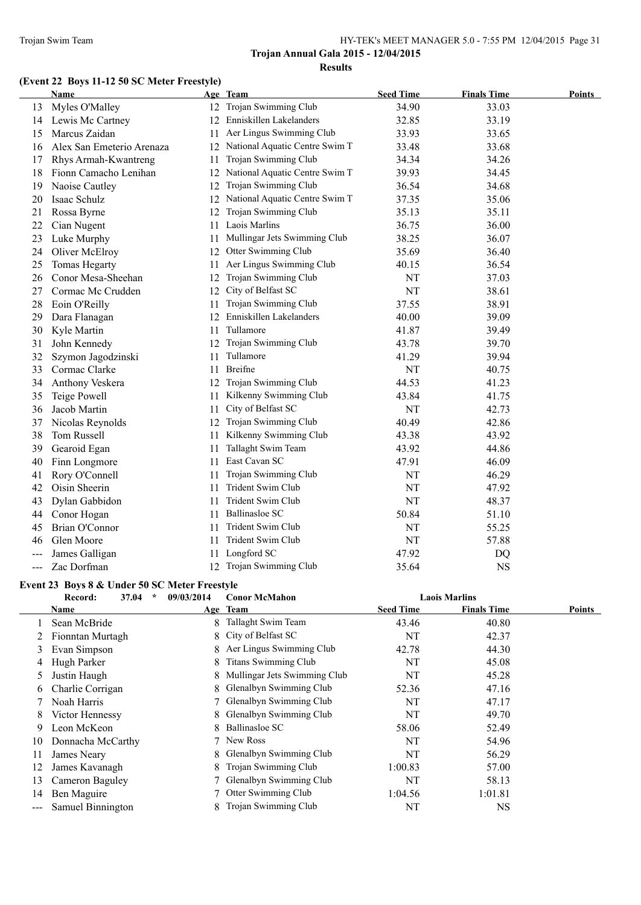# **(Event 22 Boys 11-12 50 SC Meter Freestyle)**

|       | Name                      |    | Age Team                       | <b>Seed Time</b> | <b>Finals Time</b> | <b>Points</b> |
|-------|---------------------------|----|--------------------------------|------------------|--------------------|---------------|
| 13    | Myles O'Malley            |    | 12 Trojan Swimming Club        | 34.90            | 33.03              |               |
| 14    | Lewis Mc Cartney          |    | 12 Enniskillen Lakelanders     | 32.85            | 33.19              |               |
| 15    | Marcus Zaidan             | 11 | Aer Lingus Swimming Club       | 33.93            | 33.65              |               |
| 16    | Alex San Emeterio Arenaza | 12 | National Aquatic Centre Swim T | 33.48            | 33.68              |               |
| 17    | Rhys Armah-Kwantreng      | 11 | Trojan Swimming Club           | 34.34            | 34.26              |               |
| 18    | Fionn Camacho Lenihan     | 12 | National Aquatic Centre Swim T | 39.93            | 34.45              |               |
| 19    | Naoise Cautley            | 12 | Trojan Swimming Club           | 36.54            | 34.68              |               |
| 20    | Isaac Schulz              | 12 | National Aquatic Centre Swim T | 37.35            | 35.06              |               |
| 21    | Rossa Byrne               | 12 | Trojan Swimming Club           | 35.13            | 35.11              |               |
| 22    | Cian Nugent               | 11 | Laois Marlins                  | 36.75            | 36.00              |               |
| 23    | Luke Murphy               | 11 | Mullingar Jets Swimming Club   | 38.25            | 36.07              |               |
| 24    | Oliver McElroy            | 12 | Otter Swimming Club            | 35.69            | 36.40              |               |
| 25    | Tomas Hegarty             | 11 | Aer Lingus Swimming Club       | 40.15            | 36.54              |               |
| 26    | Conor Mesa-Sheehan        |    | 12 Trojan Swimming Club        | NT               | 37.03              |               |
| 27    | Cormac Mc Crudden         |    | 12 City of Belfast SC          | NT               | 38.61              |               |
| 28    | Eoin O'Reilly             | 11 | Trojan Swimming Club           | 37.55            | 38.91              |               |
| 29    | Dara Flanagan             |    | 12 Enniskillen Lakelanders     | 40.00            | 39.09              |               |
| 30    | Kyle Martin               | 11 | Tullamore                      | 41.87            | 39.49              |               |
| 31    | John Kennedy              | 12 | Trojan Swimming Club           | 43.78            | 39.70              |               |
| 32    | Szymon Jagodzinski        | 11 | Tullamore                      | 41.29            | 39.94              |               |
| 33    | Cormac Clarke             | 11 | <b>Breifne</b>                 | NT               | 40.75              |               |
| 34    | Anthony Veskera           | 12 | Trojan Swimming Club           | 44.53            | 41.23              |               |
| 35    | Teige Powell              | 11 | Kilkenny Swimming Club         | 43.84            | 41.75              |               |
| 36    | Jacob Martin              | 11 | City of Belfast SC             | NT               | 42.73              |               |
| 37    | Nicolas Reynolds          | 12 | Trojan Swimming Club           | 40.49            | 42.86              |               |
| 38    | Tom Russell               | 11 | Kilkenny Swimming Club         | 43.38            | 43.92              |               |
| 39    | Gearoid Egan              | 11 | Tallaght Swim Team             | 43.92            | 44.86              |               |
| 40    | Finn Longmore             | 11 | East Cavan SC                  | 47.91            | 46.09              |               |
| 41    | Rory O'Connell            | 11 | Trojan Swimming Club           | NT               | 46.29              |               |
| 42    | Oisin Sheerin             | 11 | Trident Swim Club              | NT               | 47.92              |               |
| 43    | Dylan Gabbidon            | 11 | Trident Swim Club              | NT               | 48.37              |               |
| 44    | Conor Hogan               | 11 | Ballinasloe SC                 | 50.84            | 51.10              |               |
| 45    | Brian O'Connor            | 11 | Trident Swim Club              | NT               | 55.25              |               |
| 46    | Glen Moore                | 11 | Trident Swim Club              | NT               | 57.88              |               |
| ---   | James Galligan            | 11 | Longford SC                    | 47.92            | DQ                 |               |
| $---$ | Zac Dorfman               |    | 12 Trojan Swimming Club        | 35.64            | <b>NS</b>          |               |
|       |                           |    |                                |                  |                    |               |

# **Event 23 Boys 8 & Under 50 SC Meter Freestyle**

|    | $\star$<br>37.04<br>Record: | 09/03/2014 | <b>Conor McMahon</b>           |                  | <b>Laois Marlins</b> |        |
|----|-----------------------------|------------|--------------------------------|------------------|----------------------|--------|
|    | Name                        |            | Age Team                       | <b>Seed Time</b> | <b>Finals Time</b>   | Points |
|    | Sean McBride                | 8.         | Tallaght Swim Team             | 43.46            | 40.80                |        |
|    | Fionntan Murtagh            |            | 8 City of Belfast SC           | NT               | 42.37                |        |
| 3  | Evan Simpson                | 8          | Aer Lingus Swimming Club       | 42.78            | 44.30                |        |
| 4  | Hugh Parker                 | 8          | <b>Titans Swimming Club</b>    | NT               | 45.08                |        |
| 5. | Justin Haugh                | 8          | Mullingar Jets Swimming Club   | NT               | 45.28                |        |
| 6  | Charlie Corrigan            | 8.         | Glenalbyn Swimming Club        | 52.36            | 47.16                |        |
|    | Noah Harris                 |            | Glenalbyn Swimming Club        | NT               | 47.17                |        |
| 8  | Victor Hennessy             | 8          | Glenalbyn Swimming Club        | NT               | 49.70                |        |
| 9  | Leon McKeon                 | 8.         | Ballinasloe SC                 | 58.06            | 52.49                |        |
| 10 | Donnacha McCarthy           |            | New Ross                       | NT               | 54.96                |        |
| 11 | James Neary                 | 8.         | <b>Glenalbyn Swimming Club</b> | NT               | 56.29                |        |
| 12 | James Kavanagh              | 8.         | Trojan Swimming Club           | 1:00.83          | 57.00                |        |
| 13 | Cameron Baguley             |            | Glenalbyn Swimming Club        | NT               | 58.13                |        |
| 14 | Ben Maguire                 |            | Otter Swimming Club            | 1:04.56          | 1:01.81              |        |
|    | Samuel Binnington           | 8.         | Trojan Swimming Club           | NT               | NS                   |        |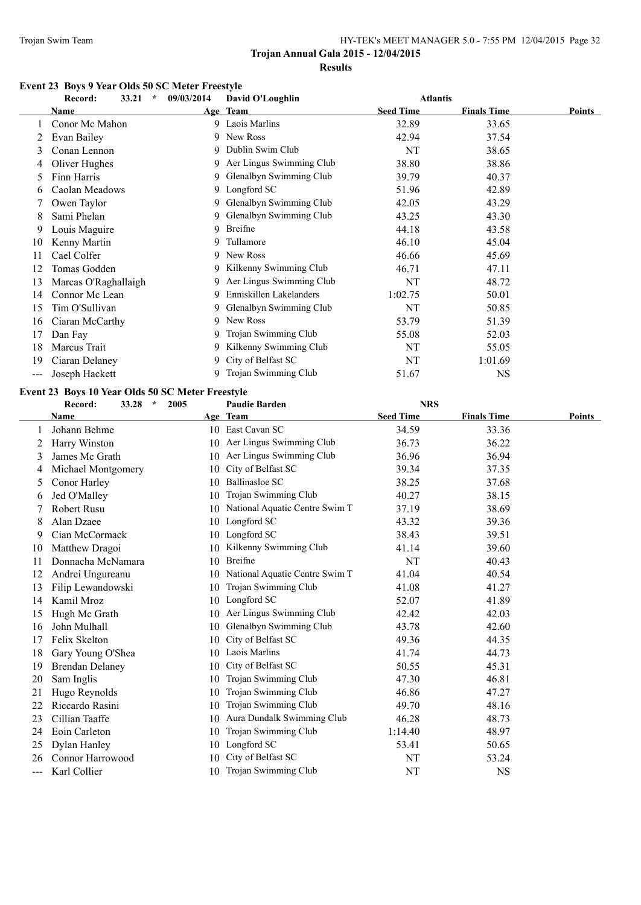#### **Event 23 Boys 9 Year Olds 50 SC Meter Freestyle**

|       | 33.21<br>$\star$<br>Record:                      | 09/03/2014 | David O'Loughlin           | <b>Atlantis</b>  |                    |               |
|-------|--------------------------------------------------|------------|----------------------------|------------------|--------------------|---------------|
|       | Name                                             |            | Age Team                   | <b>Seed Time</b> | <b>Finals Time</b> | <b>Points</b> |
|       | Conor Mc Mahon                                   |            | 9 Laois Marlins            | 32.89            | 33.65              |               |
| 2     | Evan Bailey                                      |            | 9 New Ross                 | 42.94            | 37.54              |               |
| 3     | Conan Lennon                                     |            | 9 Dublin Swim Club         | NT               | 38.65              |               |
|       | Oliver Hughes                                    |            | 9 Aer Lingus Swimming Club | 38.80            | 38.86              |               |
| 5.    | Finn Harris                                      |            | 9 Glenalbyn Swimming Club  | 39.79            | 40.37              |               |
| 6     | Caolan Meadows                                   |            | 9 Longford SC              | 51.96            | 42.89              |               |
|       | Owen Taylor                                      |            | 9 Glenalbyn Swimming Club  | 42.05            | 43.29              |               |
| 8     | Sami Phelan                                      | 9          | Glenalbyn Swimming Club    | 43.25            | 43.30              |               |
| 9     | Louis Maguire                                    | 9          | Breifne                    | 44.18            | 43.58              |               |
| 10    | Kenny Martin                                     | 9          | Tullamore                  | 46.10            | 45.04              |               |
| 11    | Cael Colfer                                      |            | 9 New Ross                 | 46.66            | 45.69              |               |
| 12    | Tomas Godden                                     | 9          | Kilkenny Swimming Club     | 46.71            | 47.11              |               |
| 13    | Marcas O'Raghallaigh                             | 9          | Aer Lingus Swimming Club   | NT               | 48.72              |               |
| 14    | Connor Mc Lean                                   | 9          | Enniskillen Lakelanders    | 1:02.75          | 50.01              |               |
| 15    | Tim O'Sullivan                                   |            | 9 Glenalbyn Swimming Club  | NT               | 50.85              |               |
| 16    | Ciaran McCarthy                                  | 9          | New Ross                   | 53.79            | 51.39              |               |
| 17    | Dan Fay                                          | 9          | Trojan Swimming Club       | 55.08            | 52.03              |               |
| 18    | Marcus Trait                                     |            | 9 Kilkenny Swimming Club   | NT               | 55.05              |               |
| 19    | Ciaran Delaney                                   |            | 9 City of Belfast SC       | NT               | 1:01.69            |               |
| $---$ | Joseph Hackett                                   | 9          | Trojan Swimming Club       | 51.67            | NS.                |               |
|       | Event 23 Boys 10 Year Olds 50 SC Meter Freestyle |            |                            |                  |                    |               |

#### **Record: 33.28 \* 2005 Paudie Barden NRS Name Age Team Seed Time Finals Time Points** 1 Johann Behme 10 East Cavan SC 34.59 33.36 2 Harry Winston 10 Aer Lingus Swimming Club 36.73 36.22 3 James Mc Grath 10 Aer Lingus Swimming Club 36.96 36.94 4 Michael Montgomery 10 City of Belfast SC 39.34 37.35 5 Conor Harley 10 Ballinasloe SC 38.25 37.68 6 Jed O'Malley 10 Trojan Swimming Club 40.27 38.15 7 Robert Rusu 10 National Aquatic Centre Swim T 37.19 38.69 8 Alan Dzaee 10 Longford SC 43.32 39.36 9 Cian McCormack 10 Longford SC 38.43 39.51 10 Matthew Dragoi 10 Kilkenny Swimming Club 41.14 39.60 11 Donnacha McNamara 10 Breifne NT 40.43 12 Andrei Ungureanu 10 National Aquatic Centre Swim T 41.04 40.54 13 Filip Lewandowski 10 Trojan Swimming Club 41.08 41.27 14 Kamil Mroz 10 Longford SC 52.07 41.89 15 Hugh Mc Grath 10 Aer Lingus Swimming Club 42.42 42.03 16 John Mulhall 10 Glenalbyn Swimming Club 43.78 42.60 17 Felix Skelton 10 City of Belfast SC 49.36 44.35 18 Gary Young O'Shea 10 Laois Marlins 41.74 44.73 19 Brendan Delaney 10 City of Belfast SC 50.55 45.31 20 Sam Inglis 10 Trojan Swimming Club 47.30 46.81 21 Hugo Reynolds 10 Trojan Swimming Club 46.86 47.27 22 Riccardo Rasini 10 Trojan Swimming Club 49.70 48.16 23 Cillian Taaffe 10 Aura Dundalk Swimming Club 46.28 48.73 24 Eoin Carleton 10 Trojan Swimming Club 1:14.40 48.97 25 Dylan Hanley 10 Longford SC 53.41 50.65 26 Connor Harrowood 10 City of Belfast SC NT 53.24 -- Karl Collier 10 Trojan Swimming Club NT NS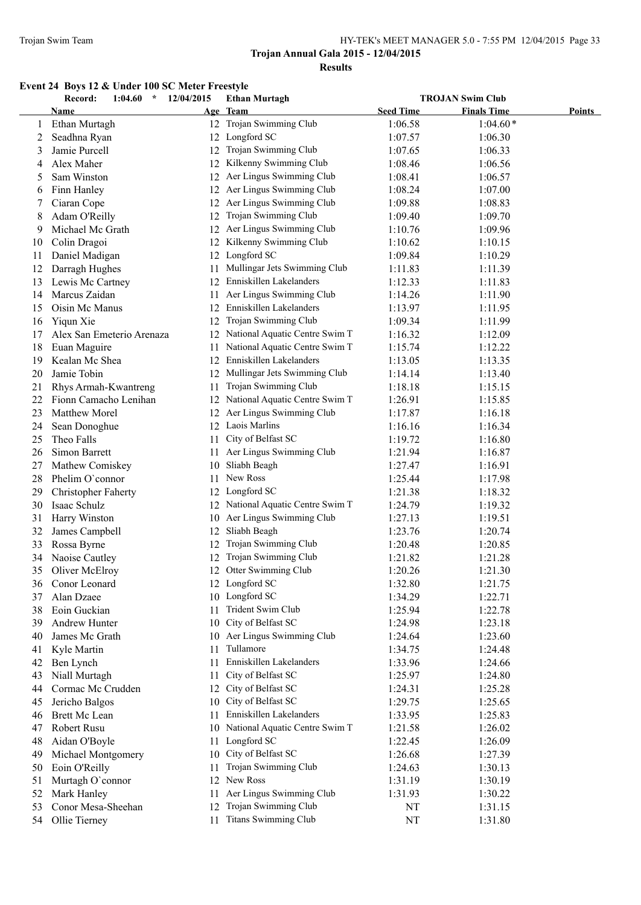# **Event 24 Boys 12 & Under 100 SC Meter Freestyle**

|    | Record:<br>1:04.60<br>$\star$     | 12/04/2015 | <b>Ethan Murtagh</b>                |                  | <b>TROJAN Swim Club</b> |        |
|----|-----------------------------------|------------|-------------------------------------|------------------|-------------------------|--------|
|    | Name                              |            | Age Team                            | <b>Seed Time</b> | <b>Finals Time</b>      | Points |
| 1  | Ethan Murtagh                     |            | 12 Trojan Swimming Club             | 1:06.58          | $1:04.60*$              |        |
| 2  | Seadhna Ryan                      |            | 12 Longford SC                      | 1:07.57          | 1:06.30                 |        |
| 3  | Jamie Purcell                     |            | 12 Trojan Swimming Club             | 1:07.65          | 1:06.33                 |        |
| 4  | Alex Maher                        | 12         | Kilkenny Swimming Club              | 1:08.46          | 1:06.56                 |        |
| 5  | Sam Winston                       |            | 12 Aer Lingus Swimming Club         | 1:08.41          | 1:06.57                 |        |
| 6  | Finn Hanley                       | 12         | Aer Lingus Swimming Club            | 1:08.24          | 1:07.00                 |        |
| 7  | Ciaran Cope                       | 12         | Aer Lingus Swimming Club            | 1:09.88          | 1:08.83                 |        |
| 8  | Adam O'Reilly                     | 12         | Trojan Swimming Club                | 1:09.40          | 1:09.70                 |        |
| 9  | Michael Mc Grath                  |            | 12 Aer Lingus Swimming Club         | 1:10.76          | 1:09.96                 |        |
| 10 | Colin Dragoi                      | 12         | Kilkenny Swimming Club              | 1:10.62          | 1:10.15                 |        |
| 11 | Daniel Madigan                    | 12         | Longford SC                         | 1:09.84          | 1:10.29                 |        |
| 12 | Darragh Hughes                    | 11.        | Mullingar Jets Swimming Club        | 1:11.83          | 1:11.39                 |        |
| 13 | Lewis Mc Cartney                  | 12         | Enniskillen Lakelanders             | 1:12.33          | 1:11.83                 |        |
| 14 | Marcus Zaidan                     | 11         | Aer Lingus Swimming Club            | 1:14.26          | 1:11.90                 |        |
| 15 | Oisin Mc Manus                    | 12         | Enniskillen Lakelanders             | 1:13.97          | 1:11.95                 |        |
| 16 | Yiqun Xie                         | 12         | Trojan Swimming Club                | 1:09.34          | 1:11.99                 |        |
| 17 | Alex San Emeterio Arenaza         |            | 12 National Aquatic Centre Swim T   | 1:16.32          | 1:12.09                 |        |
| 18 | Euan Maguire                      | 11.        | National Aquatic Centre Swim T      | 1:15.74          | 1:12.22                 |        |
| 19 | Kealan Mc Shea                    |            | 12 Enniskillen Lakelanders          | 1:13.05          | 1:13.35                 |        |
| 20 | Jamie Tobin                       |            | 12 Mullingar Jets Swimming Club     | 1:14.14          | 1:13.40                 |        |
| 21 | Rhys Armah-Kwantreng              | 11         | Trojan Swimming Club                | 1:18.18          | 1:15.15                 |        |
| 22 | Fionn Camacho Lenihan             |            | 12 National Aquatic Centre Swim T   | 1:26.91          | 1:15.85                 |        |
| 23 | Matthew Morel                     |            | 12 Aer Lingus Swimming Club         | 1:17.87          | 1:16.18                 |        |
| 24 | Sean Donoghue                     |            | 12 Laois Marlins                    | 1:16.16          | 1:16.34                 |        |
| 25 | Theo Falls                        | 11         | City of Belfast SC                  | 1:19.72          | 1:16.80                 |        |
| 26 | Simon Barrett                     | 11         | Aer Lingus Swimming Club            | 1:21.94          | 1:16.87                 |        |
| 27 | Mathew Comiskey                   |            | 10 Sliabh Beagh                     | 1:27.47          | 1:16.91                 |        |
| 28 | Phelim O'connor                   | 11         | New Ross                            | 1:25.44          | 1:17.98                 |        |
| 29 | <b>Christopher Faherty</b>        |            | 12 Longford SC                      | 1:21.38          | 1:18.32                 |        |
| 30 | Isaac Schulz                      |            | 12 National Aquatic Centre Swim T   | 1:24.79          | 1:19.32                 |        |
| 31 | Harry Winston                     |            | 10 Aer Lingus Swimming Club         | 1:27.13          | 1:19.51                 |        |
| 32 | James Campbell                    | 12         | Sliabh Beagh                        | 1:23.76          | 1:20.74                 |        |
| 33 | Rossa Byrne                       | 12         | Trojan Swimming Club                | 1:20.48          | 1:20.85                 |        |
| 34 | Naoise Cautley                    | 12         | Trojan Swimming Club                | 1:21.82          | 1:21.28                 |        |
| 35 | Oliver McElroy                    |            | 12 Otter Swimming Club              | 1:20.26          | 1:21.30                 |        |
| 36 | Conor Leonard                     |            | 12 Longford SC                      | 1:32.80          | 1:21.75                 |        |
| 37 | Alan Dzaee                        |            | 10 Longford SC                      | 1:34.29          | 1:22.71                 |        |
| 38 | Eoin Guckian                      | 11         | Trident Swim Club                   | 1:25.94          | 1:22.78                 |        |
| 39 | Andrew Hunter                     | 10         | City of Belfast SC                  | 1:24.98          | 1:23.18                 |        |
| 40 | James Mc Grath                    |            | 10 Aer Lingus Swimming Club         | 1:24.64          | 1:23.60                 |        |
| 41 | Kyle Martin                       | 11         | Tullamore                           | 1:34.75          | 1:24.48                 |        |
| 42 | Ben Lynch                         | 11         | Enniskillen Lakelanders             | 1:33.96          | 1:24.66                 |        |
| 43 | Niall Murtagh                     | 11         | City of Belfast SC                  | 1:25.97          | 1:24.80                 |        |
| 44 | Cormac Mc Crudden                 | 12         | City of Belfast SC                  | 1:24.31          | 1:25.28                 |        |
| 45 | Jericho Balgos                    | 10         | City of Belfast SC                  | 1:29.75          | 1:25.65                 |        |
| 46 | Brett Mc Lean                     | 11         | Enniskillen Lakelanders             | 1:33.95          | 1:25.83                 |        |
| 47 | Robert Rusu                       |            | 10 National Aquatic Centre Swim T   | 1:21.58          | 1:26.02                 |        |
| 48 | Aidan O'Boyle                     | 11         | Longford SC                         | 1:22.45          | 1:26.09                 |        |
| 49 | Michael Montgomery                | 10         | City of Belfast SC                  | 1:26.68          | 1:27.39                 |        |
| 50 | Eoin O'Reilly                     | 11         | Trojan Swimming Club<br>12 New Ross | 1:24.63          | 1:30.13                 |        |
| 51 | Murtagh O'connor                  |            | Aer Lingus Swimming Club            | 1:31.19          | 1:30.19                 |        |
| 52 | Mark Hanley<br>Conor Mesa-Sheehan | 11         | Trojan Swimming Club                | 1:31.93          | 1:30.22                 |        |
| 53 |                                   | 12<br>11   | <b>Titans Swimming Club</b>         | NT               | 1:31.15                 |        |
| 54 | Ollie Tierney                     |            |                                     | NT               | 1:31.80                 |        |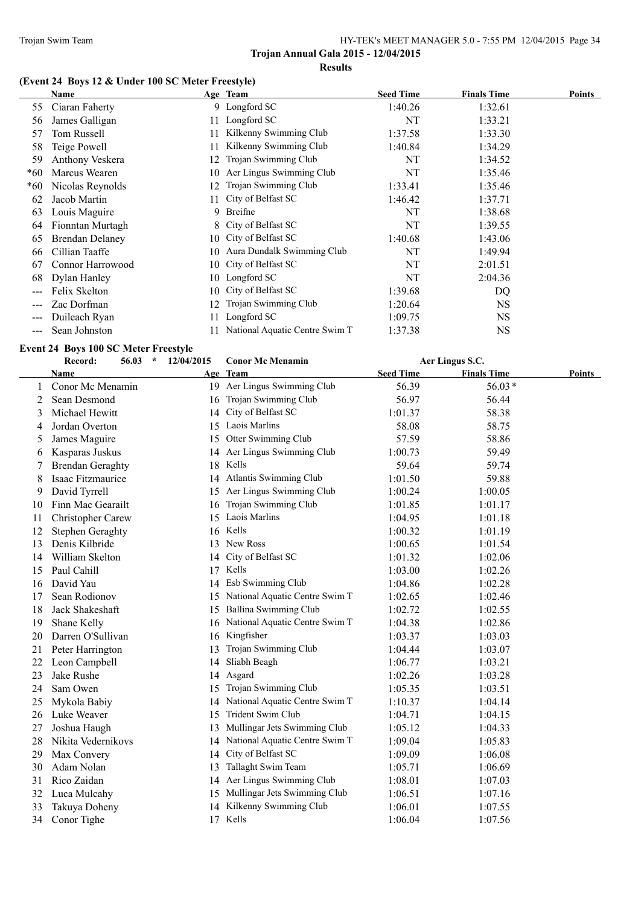# **(Event 24 Boys 12 & Under 100 SC Meter Freestyle)**

|       | Name                   |    | Age Team                       | <b>Seed Time</b> | <b>Finals Time</b> | Points |
|-------|------------------------|----|--------------------------------|------------------|--------------------|--------|
| 55    | Ciaran Faherty         |    | 9 Longford SC                  | 1:40.26          | 1:32.61            |        |
| 56    | James Galligan         |    | 11 Longford SC                 | NT               | 1:33.21            |        |
| 57    | Tom Russell            | 11 | Kilkenny Swimming Club         | 1:37.58          | 1:33.30            |        |
| 58    | Teige Powell           | 11 | Kilkenny Swimming Club         | 1:40.84          | 1:34.29            |        |
| 59    | Anthony Veskera        | 12 | Trojan Swimming Club           | NT               | 1:34.52            |        |
| $*60$ | Marcus Wearen          |    | 10 Aer Lingus Swimming Club    | NT               | 1:35.46            |        |
| $*60$ | Nicolas Reynolds       | 12 | Trojan Swimming Club           | 1:33.41          | 1:35.46            |        |
| 62    | Jacob Martin           |    | 11 City of Belfast SC          | 1:46.42          | 1:37.71            |        |
| 63    | Louis Maguire          | 9. | Breifne                        | NT               | 1:38.68            |        |
| 64    | Fionntan Murtagh       |    | 8 City of Belfast SC           | NT               | 1:39.55            |        |
| 65    | <b>Brendan Delaney</b> |    | 10 City of Belfast SC          | 1:40.68          | 1:43.06            |        |
| 66    | Cillian Taaffe         |    | 10 Aura Dundalk Swimming Club  | NT               | 1:49.94            |        |
| 67    | Connor Harrowood       |    | 10 City of Belfast SC          | NT               | 2:01.51            |        |
| 68    | Dylan Hanley           |    | 10 Longford SC                 | NT               | 2:04.36            |        |
| $---$ | Felix Skelton          |    | 10 City of Belfast SC          | 1:39.68          | DQ                 |        |
| $---$ | Zac Dorfman            |    | 12 Trojan Swimming Club        | 1:20.64          | <b>NS</b>          |        |
| ---   | Duileach Ryan          |    | Longford SC                    | 1:09.75          | <b>NS</b>          |        |
|       | Sean Johnston          |    | National Aquatic Centre Swim T | 1:37.38          | <b>NS</b>          |        |

# **Event 24 Boys 100 SC Meter Freestyle**

|    | Record:                 | 56.03<br>$\star$ | 12/04/2015 | <b>Conor Mc Menamin</b>           |                  | Aer Lingus S.C.    |               |
|----|-------------------------|------------------|------------|-----------------------------------|------------------|--------------------|---------------|
|    | <b>Name</b>             |                  |            | Age Team                          | <b>Seed Time</b> | <b>Finals Time</b> | <b>Points</b> |
| 1  | Conor Mc Menamin        |                  |            | 19 Aer Lingus Swimming Club       | 56.39            | $56.03*$           |               |
| 2  | Sean Desmond            |                  | 16         | Trojan Swimming Club              | 56.97            | 56.44              |               |
| 3  | Michael Hewitt          |                  | 14         | City of Belfast SC                | 1:01.37          | 58.38              |               |
| 4  | Jordan Overton          |                  |            | 15 Laois Marlins                  | 58.08            | 58.75              |               |
| 5  | James Maguire           |                  | 15         | Otter Swimming Club               | 57.59            | 58.86              |               |
| 6  | Kasparas Juskus         |                  |            | 14 Aer Lingus Swimming Club       | 1:00.73          | 59.49              |               |
|    | <b>Brendan Geraghty</b> |                  |            | 18 Kells                          | 59.64            | 59.74              |               |
| 8  | Isaac Fitzmaurice       |                  |            | 14 Atlantis Swimming Club         | 1:01.50          | 59.88              |               |
| 9  | David Tyrrell           |                  |            | 15 Aer Lingus Swimming Club       | 1:00.24          | 1:00.05            |               |
| 10 | Finn Mac Gearailt       |                  | 16         | Trojan Swimming Club              | 1:01.85          | 1:01.17            |               |
| 11 | Christopher Carew       |                  |            | 15 Laois Marlins                  | 1:04.95          | 1:01.18            |               |
| 12 | Stephen Geraghty        |                  |            | 16 Kells                          | 1:00.32          | 1:01.19            |               |
| 13 | Denis Kilbride          |                  |            | 13 New Ross                       | 1:00.65          | 1:01.54            |               |
| 14 | William Skelton         |                  | 14         | City of Belfast SC                | 1:01.32          | 1:02.06            |               |
| 15 | Paul Cahill             |                  |            | 17 Kells                          | 1:03.00          | 1:02.26            |               |
| 16 | David Yau               |                  |            | 14 Esb Swimming Club              | 1:04.86          | 1:02.28            |               |
| 17 | Sean Rodionov           |                  |            | 15 National Aquatic Centre Swim T | 1:02.65          | 1:02.46            |               |
| 18 | Jack Shakeshaft         |                  |            | 15 Ballina Swimming Club          | 1:02.72          | 1:02.55            |               |
| 19 | Shane Kelly             |                  |            | 16 National Aquatic Centre Swim T | 1:04.38          | 1:02.86            |               |
| 20 | Darren O'Sullivan       |                  | 16         | Kingfisher                        | 1:03.37          | 1:03.03            |               |
| 21 | Peter Harrington        |                  | 13         | Trojan Swimming Club              | 1:04.44          | 1:03.07            |               |
| 22 | Leon Campbell           |                  | 14         | Sliabh Beagh                      | 1:06.77          | 1:03.21            |               |
| 23 | Jake Rushe              |                  | 14         | Asgard                            | 1:02.26          | 1:03.28            |               |
| 24 | Sam Owen                |                  | 15         | Trojan Swimming Club              | 1:05.35          | 1:03.51            |               |
| 25 | Mykola Babiy            |                  | 14         | National Aquatic Centre Swim T    | 1:10.37          | 1:04.14            |               |
| 26 | Luke Weaver             |                  | 15         | Trident Swim Club                 | 1:04.71          | 1:04.15            |               |
| 27 | Joshua Haugh            |                  | 13         | Mullingar Jets Swimming Club      | 1:05.12          | 1:04.33            |               |
| 28 | Nikita Vedernikovs      |                  | 14         | National Aquatic Centre Swim T    | 1:09.04          | 1:05.83            |               |
| 29 | Max Convery             |                  |            | 14 City of Belfast SC             | 1:09.09          | 1:06.08            |               |
| 30 | Adam Nolan              |                  | 13         | Tallaght Swim Team                | 1:05.71          | 1:06.69            |               |
| 31 | Rico Zaidan             |                  |            | 14 Aer Lingus Swimming Club       | 1:08.01          | 1:07.03            |               |
| 32 | Luca Mulcahy            |                  |            | 15 Mullingar Jets Swimming Club   | 1:06.51          | 1:07.16            |               |
| 33 | Takuya Doheny           |                  | 14         | Kilkenny Swimming Club            | 1:06.01          | 1:07.55            |               |
| 34 | Conor Tighe             |                  |            | 17 Kells                          | 1:06.04          | 1:07.56            |               |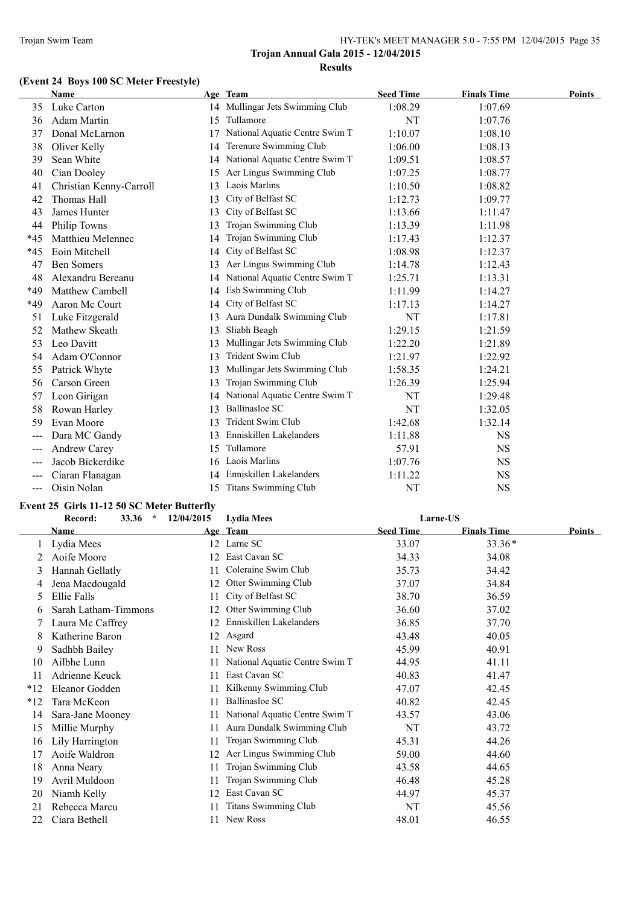# **(Event 24 Boys 100 SC Meter Freestyle)**

|                            | Name                    |    | Age Team                        | <b>Seed Time</b> | <b>Finals Time</b> | Points |
|----------------------------|-------------------------|----|---------------------------------|------------------|--------------------|--------|
| 35                         | Luke Carton             |    | 14 Mullingar Jets Swimming Club | 1:08.29          | 1:07.69            |        |
| 36                         | Adam Martin             | 15 | Tullamore                       | NT               | 1:07.76            |        |
| 37                         | Donal McLarnon          | 17 | National Aquatic Centre Swim T  | 1:10.07          | 1:08.10            |        |
| 38                         | Oliver Kelly            | 14 | Terenure Swimming Club          | 1:06.00          | 1:08.13            |        |
| 39                         | Sean White              | 14 | National Aquatic Centre Swim T  | 1:09.51          | 1:08.57            |        |
| 40                         | Cian Dooley             | 15 | Aer Lingus Swimming Club        | 1:07.25          | 1:08.77            |        |
| 41                         | Christian Kenny-Carroll | 13 | Laois Marlins                   | 1:10.50          | 1:08.82            |        |
| 42                         | Thomas Hall             | 13 | City of Belfast SC              | 1:12.73          | 1:09.77            |        |
| 43                         | James Hunter            | 13 | City of Belfast SC              | 1:13.66          | 1:11.47            |        |
| 44                         | Philip Towns            | 13 | Trojan Swimming Club            | 1:13.39          | 1:11.98            |        |
| $*45$                      | Matthieu Melennec       | 14 | Trojan Swimming Club            | 1:17.43          | 1:12.37            |        |
| $*45$                      | Eoin Mitchell           | 14 | City of Belfast SC              | 1:08.98          | 1:12.37            |        |
| 47                         | <b>Ben Somers</b>       | 13 | Aer Lingus Swimming Club        | 1:14.78          | 1:12.43            |        |
| 48                         | Alexandru Bereanu       | 14 | National Aquatic Centre Swim T  | 1:25.71          | 1:13.31            |        |
| *49                        | Matthew Cambell         | 14 | Esb Swimming Club               | 1:11.99          | 1:14.27            |        |
| *49                        | Aaron Mc Court          | 14 | City of Belfast SC              | 1:17.13          | 1:14.27            |        |
| 51                         | Luke Fitzgerald         | 13 | Aura Dundalk Swimming Club      | NT               | 1:17.81            |        |
| 52                         | Mathew Skeath           | 13 | Sliabh Beagh                    | 1:29.15          | 1:21.59            |        |
| 53                         | Leo Davitt              | 13 | Mullingar Jets Swimming Club    | 1:22.20          | 1:21.89            |        |
| 54                         | Adam O'Connor           | 13 | Trident Swim Club               | 1:21.97          | 1:22.92            |        |
| 55                         | Patrick Whyte           | 13 | Mullingar Jets Swimming Club    | 1:58.35          | 1:24.21            |        |
| 56                         | Carson Green            | 13 | Trojan Swimming Club            | 1:26.39          | 1:25.94            |        |
| 57                         | Leon Girigan            | 14 | National Aquatic Centre Swim T  | NT               | 1:29.48            |        |
| 58                         | Rowan Harley            | 13 | <b>Ballinasloe SC</b>           | NT               | 1:32.05            |        |
| 59                         | Evan Moore              | 13 | Trident Swim Club               | 1:42.68          | 1:32.14            |        |
| $---$                      | Dara MC Gandy           | 13 | Enniskillen Lakelanders         | 1:11.88          | <b>NS</b>          |        |
| $\qquad \qquad \text{---}$ | Andrew Carey            | 15 | Tullamore                       | 57.91            | <b>NS</b>          |        |
| $---$                      | Jacob Bickerdike        |    | 16 Laois Marlins                | 1:07.76          | <b>NS</b>          |        |
|                            | Ciaran Flanagan         |    | Enniskillen Lakelanders         | 1:11.22          | <b>NS</b>          |        |
| ---                        | Oisin Nolan             | 15 | Titans Swimming Club            | NT               | <b>NS</b>          |        |

# **Event 25 Girls 11-12 50 SC Meter Butterfly**

|       | 33.36<br>$\mathcal{A}$<br>Record: | 12/04/2015 | <b>Lydia Mees</b>              | Larne-US         |                    |        |
|-------|-----------------------------------|------------|--------------------------------|------------------|--------------------|--------|
|       | Name                              |            | Age Team                       | <b>Seed Time</b> | <b>Finals Time</b> | Points |
|       | Lydia Mees                        | 12         | Larne SC                       | 33.07            | $33.36*$           |        |
|       | Aoife Moore                       | 12         | East Cavan SC                  | 34.33            | 34.08              |        |
| 3     | Hannah Gellatly                   | 11         | Coleraine Swim Club            | 35.73            | 34.42              |        |
| 4     | Jena Macdougald                   | 12         | Otter Swimming Club            | 37.07            | 34.84              |        |
| 5.    | Ellie Falls                       | 11         | City of Belfast SC             | 38.70            | 36.59              |        |
| 6     | Sarah Latham-Timmons              | 12         | Otter Swimming Club            | 36.60            | 37.02              |        |
|       | Laura Mc Caffrey                  | 12         | Enniskillen Lakelanders        | 36.85            | 37.70              |        |
| 8     | Katherine Baron                   | 12         | Asgard                         | 43.48            | 40.05              |        |
| 9     | Sadhbh Bailey                     | 11         | New Ross                       | 45.99            | 40.91              |        |
| 10    | Ailbhe Lunn                       | 11         | National Aquatic Centre Swim T | 44.95            | 41.11              |        |
| 11    | Adrienne Keuck                    | 11         | East Cavan SC                  | 40.83            | 41.47              |        |
| $*12$ | Eleanor Godden                    | 11         | Kilkenny Swimming Club         | 47.07            | 42.45              |        |
| $*12$ | Tara McKeon                       | 11         | <b>Ballinasloe SC</b>          | 40.82            | 42.45              |        |
| 14    | Sara-Jane Mooney                  |            | National Aquatic Centre Swim T | 43.57            | 43.06              |        |
| 15    | Millie Murphy                     | 11         | Aura Dundalk Swimming Club     | NT               | 43.72              |        |
| 16    | Lily Harrington                   | 11         | Trojan Swimming Club           | 45.31            | 44.26              |        |
| 17    | Aoife Waldron                     | 12         | Aer Lingus Swimming Club       | 59.00            | 44.60              |        |
| 18    | Anna Neary                        |            | Trojan Swimming Club           | 43.58            | 44.65              |        |
| 19    | Avril Muldoon                     |            | Trojan Swimming Club           | 46.48            | 45.28              |        |
| 20    | Niamh Kelly                       | 12         | East Cavan SC                  | 44.97            | 45.37              |        |
| 21    | Rebecca Marcu                     |            | Titans Swimming Club           | NT               | 45.56              |        |
| 22    | Ciara Bethell                     | 11         | New Ross                       | 48.01            | 46.55              |        |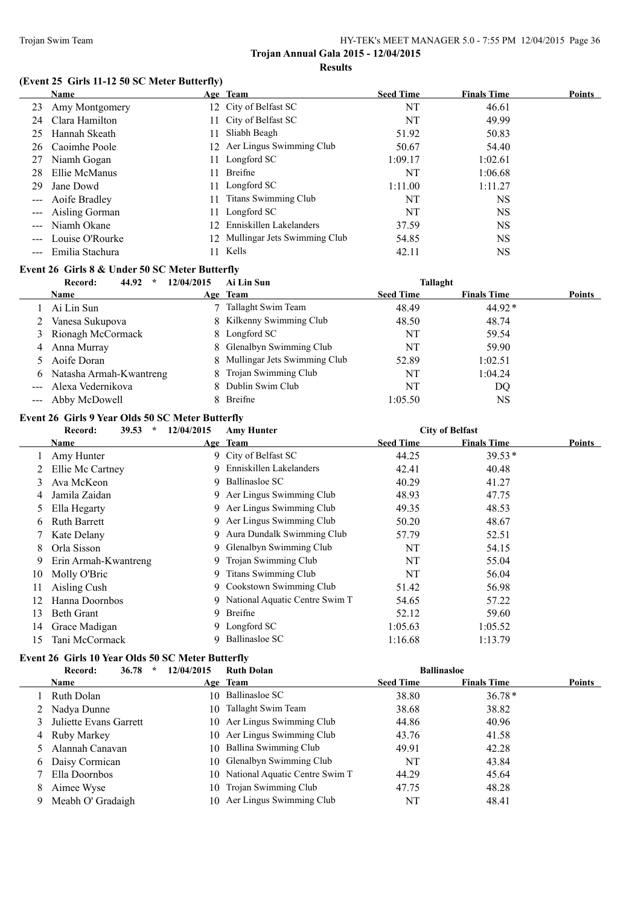# **(Event 25 Girls 11-12 50 SC Meter Butterfly)**

|                                                                                                                                                                                                                                                                                                                                                                                              | Name                |                 | Age Team                        | <b>Seed Time</b> | <b>Finals Time</b> | <b>Points</b> |
|----------------------------------------------------------------------------------------------------------------------------------------------------------------------------------------------------------------------------------------------------------------------------------------------------------------------------------------------------------------------------------------------|---------------------|-----------------|---------------------------------|------------------|--------------------|---------------|
| 23                                                                                                                                                                                                                                                                                                                                                                                           | Amy Montgomery      |                 | 12 City of Belfast SC           | NT               | 46.61              |               |
| 24                                                                                                                                                                                                                                                                                                                                                                                           | Clara Hamilton      |                 | 11 City of Belfast SC           | NT               | 49.99              |               |
| 25                                                                                                                                                                                                                                                                                                                                                                                           | Hannah Skeath       | 11.             | Sliabh Beagh                    | 51.92            | 50.83              |               |
| 26                                                                                                                                                                                                                                                                                                                                                                                           | Caoimhe Poole       |                 | 12 Aer Lingus Swimming Club     | 50.67            | 54.40              |               |
| 27                                                                                                                                                                                                                                                                                                                                                                                           | Niamh Gogan         |                 | 11 Longford SC                  | 1:09.17          | 1:02.61            |               |
| 28                                                                                                                                                                                                                                                                                                                                                                                           | Ellie McManus       |                 | 11 Breifne                      | NT               | 1:06.68            |               |
| 29                                                                                                                                                                                                                                                                                                                                                                                           | Jane Dowd           |                 | 11 Longford SC                  | 1:11.00          | 1:11.27            |               |
| $\scriptstyle \cdots$ $\scriptstyle \cdots$                                                                                                                                                                                                                                                                                                                                                  | Aoife Bradley       | 11              | <b>Titans Swimming Club</b>     | NT               | NS                 |               |
| $\qquad \qquad - -$                                                                                                                                                                                                                                                                                                                                                                          | Aisling Gorman      |                 | 11 Longford SC                  | NT               | NS                 |               |
| $\frac{1}{2} \frac{1}{2} \frac{1}{2} \frac{1}{2} \frac{1}{2} \frac{1}{2} \frac{1}{2} \frac{1}{2} \frac{1}{2} \frac{1}{2} \frac{1}{2} \frac{1}{2} \frac{1}{2} \frac{1}{2} \frac{1}{2} \frac{1}{2} \frac{1}{2} \frac{1}{2} \frac{1}{2} \frac{1}{2} \frac{1}{2} \frac{1}{2} \frac{1}{2} \frac{1}{2} \frac{1}{2} \frac{1}{2} \frac{1}{2} \frac{1}{2} \frac{1}{2} \frac{1}{2} \frac{1}{2} \frac{$ | Niamh Okane         | 12 <sup>1</sup> | Enniskillen Lakelanders         | 37.59            | NS                 |               |
|                                                                                                                                                                                                                                                                                                                                                                                              | Louise O'Rourke     |                 | 12 Mullingar Jets Swimming Club | 54.85            | NS                 |               |
|                                                                                                                                                                                                                                                                                                                                                                                              | --- Emilia Stachura |                 | 11 Kells                        | 42.11            | NS                 |               |

#### **Event 26 Girls 8 & Under 50 SC Meter Butterfly**

|   | 44.92<br>Record:<br>$\ast$ | 12/04/2015 | Ai Lin Sun                     | Tallaght         |                    |               |
|---|----------------------------|------------|--------------------------------|------------------|--------------------|---------------|
|   | <b>Name</b>                |            | Age Team                       | <b>Seed Time</b> | <b>Finals Time</b> | <b>Points</b> |
|   | Ai Lin Sun                 |            | Tallaght Swim Team             | 48.49            | $44.92*$           |               |
|   | Vanesa Sukupova            |            | 8 Kilkenny Swimming Club       | 48.50            | 48.74              |               |
|   | 3 Rionagh McCormack        |            | 8 Longford SC                  | NT               | 59.54              |               |
| 4 | Anna Murray                |            | 8 Glenalbyn Swimming Club      | NT               | 59.90              |               |
|   | 5 Aoife Doran              |            | 8 Mullingar Jets Swimming Club | 52.89            | 1:02.51            |               |
| 6 | Natasha Armah-Kwantreng    |            | 8 Trojan Swimming Club         | NT               | 1:04.24            |               |
|   | Alexa Vedernikova          |            | 8 Dublin Swim Club             | NT               | DO                 |               |
|   | --- Abby McDowell          |            | 8 Breifne                      | 1:05.50          | <b>NS</b>          |               |

# **Event 26 Girls 9 Year Olds 50 SC Meter Butterfly**

|    | 39.53<br>$\star$<br>Record: | 12/04/2015 | <b>Amy Hunter</b>                |                  | <b>City of Belfast</b> |        |
|----|-----------------------------|------------|----------------------------------|------------------|------------------------|--------|
|    | Name                        |            | Age Team                         | <b>Seed Time</b> | <b>Finals Time</b>     | Points |
|    | Amy Hunter                  |            | 9 City of Belfast SC             | 44.25            | $39.53*$               |        |
|    | Ellie Mc Cartney            | 9          | Enniskillen Lakelanders          | 42.41            | 40.48                  |        |
| 3  | Ava McKeon                  | 9          | Ballinasloe SC                   | 40.29            | 41.27                  |        |
| 4  | Jamila Zaidan               |            | 9 Aer Lingus Swimming Club       | 48.93            | 47.75                  |        |
| 5  | Ella Hegarty                | 9.         | Aer Lingus Swimming Club         | 49.35            | 48.53                  |        |
| 6  | <b>Ruth Barrett</b>         | 9          | Aer Lingus Swimming Club         | 50.20            | 48.67                  |        |
|    | Kate Delany                 | 9          | Aura Dundalk Swimming Club       | 57.79            | 52.51                  |        |
| 8  | Orla Sisson                 |            | 9 Glenalbyn Swimming Club        | NT               | 54.15                  |        |
| 9  | Erin Armah-Kwantreng        | 9          | Trojan Swimming Club             | NT               | 55.04                  |        |
| 10 | Molly O'Bric                | 9.         | Titans Swimming Club             | NT               | 56.04                  |        |
| 11 | Aisling Cush                |            | 9 Cookstown Swimming Club        | 51.42            | 56.98                  |        |
| 12 | Hanna Doornbos              |            | 9 National Aquatic Centre Swim T | 54.65            | 57.22                  |        |
| 13 | <b>Beth Grant</b>           | 9          | Breifne                          | 52.12            | 59.60                  |        |
| 14 | Grace Madigan               | 9.         | Longford SC                      | 1:05.63          | 1:05.52                |        |
| 15 | Tani McCormack              | 9          | Ballinasloe SC                   | 1:16.68          | 1:13.79                |        |

#### **Event 26 Girls 10 Year Olds 50 SC Meter Butterfly**

|   | 36.78<br>$\ast$<br>Record: | 12/04/2015 | <b>Ruth Dolan</b>                 |                  | <b>Ballinasloe</b> |        |
|---|----------------------------|------------|-----------------------------------|------------------|--------------------|--------|
|   | <b>Name</b>                |            | Age Team                          | <b>Seed Time</b> | <b>Finals Time</b> | Points |
|   | Ruth Dolan                 |            | 10 Ballinasloe SC                 | 38.80            | $36.78*$           |        |
|   | 2 Nadya Dunne              |            | 10 Tallaght Swim Team             | 38.68            | 38.82              |        |
|   | Juliette Evans Garrett     |            | 10 Aer Lingus Swimming Club       | 44.86            | 40.96              |        |
|   | 4 Ruby Markey              |            | 10 Aer Lingus Swimming Club       | 43.76            | 41.58              |        |
|   | Alannah Canavan            |            | 10 Ballina Swimming Club          | 49.91            | 42.28              |        |
|   | 6 Daisy Cormican           |            | 10 Glenalbyn Swimming Club        | NT               | 43.84              |        |
|   | Ella Doornbos              |            | 10 National Aquatic Centre Swim T | 44.29            | 45.64              |        |
| 8 | Aimee Wyse                 |            | 10 Trojan Swimming Club           | 47.75            | 48.28              |        |
|   | Meabh O' Gradaigh          |            | 10 Aer Lingus Swimming Club       | NT               | 48.41              |        |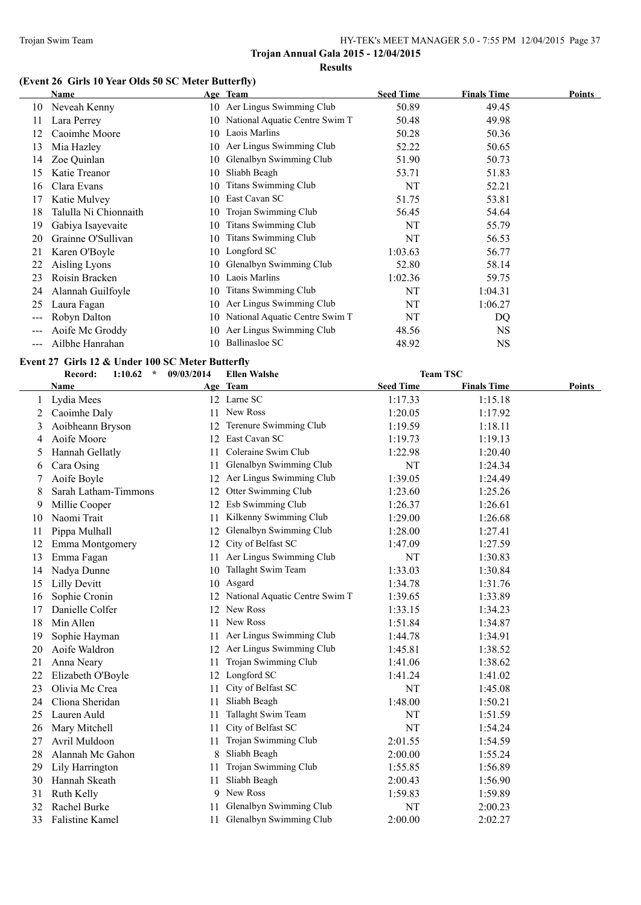# **(Event 26 Girls 10 Year Olds 50 SC Meter Butterfly)**

|     | Name                  |    | Age Team                       | <b>Seed Time</b> | <b>Finals Time</b> | <b>Points</b> |
|-----|-----------------------|----|--------------------------------|------------------|--------------------|---------------|
| 10  | Neveah Kenny          |    | 10 Aer Lingus Swimming Club    | 50.89            | 49.45              |               |
| 11  | Lara Perrey           | 10 | National Aquatic Centre Swim T | 50.48            | 49.98              |               |
| 12  | Caoimhe Moore         | 10 | Laois Marlins                  | 50.28            | 50.36              |               |
| 13  | Mia Hazley            | 10 | Aer Lingus Swimming Club       | 52.22            | 50.65              |               |
| 14  | Zoe Quinlan           | 10 | Glenalbyn Swimming Club        | 51.90            | 50.73              |               |
| 15  | Katie Treanor         | 10 | Sliabh Beagh                   | 53.71            | 51.83              |               |
| 16  | Clara Evans           | 10 | <b>Titans Swimming Club</b>    | NT               | 52.21              |               |
| 17  | Katie Mulvey          | 10 | East Cavan SC                  | 51.75            | 53.81              |               |
| 18  | Talulla Ni Chionnaith | 10 | Trojan Swimming Club           | 56.45            | 54.64              |               |
| 19  | Gabiya Isayevaite     | 10 | Titans Swimming Club           | NT               | 55.79              |               |
| 20  | Grainne O'Sullivan    | 10 | <b>Titans Swimming Club</b>    | NT               | 56.53              |               |
| 21  | Karen O'Boyle         | 10 | Longford SC                    | 1:03.63          | 56.77              |               |
| 22  | Aisling Lyons         | 10 | Glenalbyn Swimming Club        | 52.80            | 58.14              |               |
| 23  | Roisin Bracken        | 10 | Laois Marlins                  | 1:02.36          | 59.75              |               |
| 24  | Alannah Guilfoyle     | 10 | Titans Swimming Club           | NT               | 1:04.31            |               |
| 25  | Laura Fagan           | 10 | Aer Lingus Swimming Club       | NT               | 1:06.27            |               |
| --- | Robyn Dalton          | 10 | National Aquatic Centre Swim T | NT               | DQ                 |               |
| --- | Aoife Mc Groddy       | 10 | Aer Lingus Swimming Club       | 48.56            | <b>NS</b>          |               |
| --- | Ailbhe Hanrahan       | 10 | Ballinasloe SC                 | 48.92            | NS                 |               |

#### **Event 27 Girls 12 & Under 100 SC Meter Butterfly**

|    | Record:<br>$\star$<br>1:10.62 | 09/03/2014 | <b>Ellen Walshe</b>            |                  | <b>Team TSC</b>    |               |
|----|-------------------------------|------------|--------------------------------|------------------|--------------------|---------------|
|    | Name                          |            | Age Team                       | <b>Seed Time</b> | <b>Finals Time</b> | <b>Points</b> |
| 1  | Lydia Mees                    |            | 12 Larne SC                    | 1:17.33          | 1:15.18            |               |
| 2  | Caoimhe Daly                  |            | 11 New Ross                    | 1:20.05          | 1:17.92            |               |
| 3  | Aoibheann Bryson              | 12         | Terenure Swimming Club         | 1:19.59          | 1:18.11            |               |
| 4  | Aoife Moore                   |            | 12 East Cavan SC               | 1:19.73          | 1:19.13            |               |
| 5  | Hannah Gellatly               | 11         | Coleraine Swim Club            | 1:22.98          | 1:20.40            |               |
| 6  | Cara Osing                    | 11         | Glenalbyn Swimming Club        | NT               | 1:24.34            |               |
| 7  | Aoife Boyle                   |            | 12 Aer Lingus Swimming Club    | 1:39.05          | 1:24.49            |               |
| 8  | Sarah Latham-Timmons          | 12         | Otter Swimming Club            | 1:23.60          | 1:25.26            |               |
| 9  | Millie Cooper                 | 12         | Esb Swimming Club              | 1:26.37          | 1:26.61            |               |
| 10 | Naomi Trait                   | 11         | Kilkenny Swimming Club         | 1:29.00          | 1:26.68            |               |
| 11 | Pippa Mulhall                 | 12         | Glenalbyn Swimming Club        | 1:28.00          | 1:27.41            |               |
| 12 | Emma Montgomery               | 12         | City of Belfast SC             | 1:47.09          | 1:27.59            |               |
| 13 | Emma Fagan                    | 11         | Aer Lingus Swimming Club       | NT               | 1:30.83            |               |
| 14 | Nadya Dunne                   |            | 10 Tallaght Swim Team          | 1:33.03          | 1:30.84            |               |
| 15 | <b>Lilly Devitt</b>           | 10         | Asgard                         | 1:34.78          | 1:31.76            |               |
| 16 | Sophie Cronin                 | 12         | National Aquatic Centre Swim T | 1:39.65          | 1:33.89            |               |
| 17 | Danielle Colfer               | 12         | New Ross                       | 1:33.15          | 1:34.23            |               |
| 18 | Min Allen                     |            | 11 New Ross                    | 1:51.84          | 1:34.87            |               |
| 19 | Sophie Hayman                 | 11         | Aer Lingus Swimming Club       | 1:44.78          | 1:34.91            |               |
| 20 | Aoife Waldron                 | 12         | Aer Lingus Swimming Club       | 1:45.81          | 1:38.52            |               |
| 21 | Anna Neary                    | 11         | Trojan Swimming Club           | 1:41.06          | 1:38.62            |               |
| 22 | Elizabeth O'Boyle             |            | 12 Longford SC                 | 1:41.24          | 1:41.02            |               |
| 23 | Olivia Mc Crea                | 11         | City of Belfast SC             | NT               | 1:45.08            |               |
| 24 | Cliona Sheridan               | 11         | Sliabh Beagh                   | 1:48.00          | 1:50.21            |               |
| 25 | Lauren Auld                   | 11         | Tallaght Swim Team             | NT               | 1:51.59            |               |
| 26 | Mary Mitchell                 | 11         | City of Belfast SC             | NT               | 1:54.24            |               |
| 27 | Avril Muldoon                 | 11         | Trojan Swimming Club           | 2:01.55          | 1:54.59            |               |
| 28 | Alannah Mc Gahon              | 8          | Sliabh Beagh                   | 2:00.00          | 1:55.24            |               |
| 29 | Lily Harrington               | 11         | Trojan Swimming Club           | 1:55.85          | 1:56.89            |               |
| 30 | Hannah Skeath                 | 11         | Sliabh Beagh                   | 2:00.43          | 1:56.90            |               |
| 31 | Ruth Kelly                    | 9          | New Ross                       | 1:59.83          | 1:59.89            |               |
| 32 | Rachel Burke                  |            | Glenalbyn Swimming Club        | NT               | 2:00.23            |               |
| 33 | <b>Falistine Kamel</b>        | 11         | Glenalbyn Swimming Club        | 2:00.00          | 2:02.27            |               |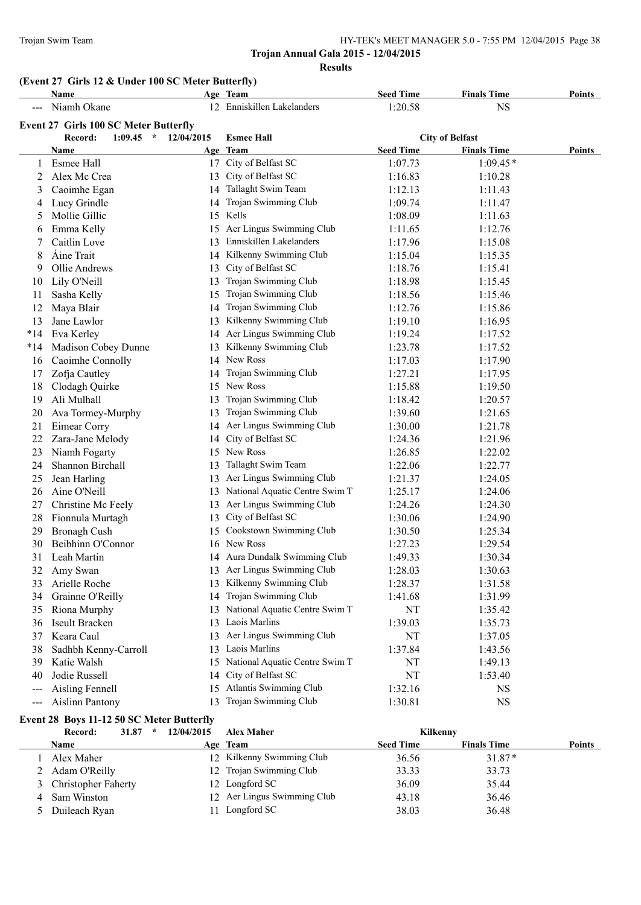# **(Event 27 Girls 12 & Under 100 SC Meter Butterfly)**

|       | Name                                         |            | Age Team                          | <b>Seed Time</b> | <b>Finals Time</b>     | <b>Points</b> |
|-------|----------------------------------------------|------------|-----------------------------------|------------------|------------------------|---------------|
|       | Niamh Okane                                  |            | 12 Enniskillen Lakelanders        | 1:20.58          | <b>NS</b>              |               |
|       | <b>Event 27 Girls 100 SC Meter Butterfly</b> |            |                                   |                  |                        |               |
|       | $1:09.45$ *<br>Record:                       | 12/04/2015 | <b>Esmee Hall</b>                 |                  | <b>City of Belfast</b> |               |
|       | Name                                         |            | Age Team                          | <b>Seed Time</b> | <b>Finals Time</b>     | Points        |
| 1     | Esmee Hall                                   |            | 17 City of Belfast SC             | 1:07.73          | $1:09.45*$             |               |
| 2     | Alex Mc Crea                                 |            | 13 City of Belfast SC             | 1:16.83          | 1:10.28                |               |
| 3     | Caoimhe Egan                                 |            | 14 Tallaght Swim Team             | 1:12.13          | 1:11.43                |               |
| 4     | Lucy Grindle                                 | 14         | Trojan Swimming Club              | 1:09.74          | 1:11.47                |               |
| 5     | Mollie Gillic                                |            | 15 Kells                          | 1:08.09          | 1:11.63                |               |
| 6     | Emma Kelly                                   |            | 15 Aer Lingus Swimming Club       | 1:11.65          | 1:12.76                |               |
| 7     | Caitlin Love                                 |            | 13 Enniskillen Lakelanders        | 1:17.96          | 1:15.08                |               |
| 8     | <b>Áine Trait</b>                            |            | 14 Kilkenny Swimming Club         | 1:15.04          | 1:15.35                |               |
| 9     | Ollie Andrews                                | 13         | City of Belfast SC                | 1:18.76          | 1:15.41                |               |
| 10    | Lily O'Neill                                 | 13         | Trojan Swimming Club              | 1:18.98          | 1:15.45                |               |
| 11    | Sasha Kelly                                  | 15         | Trojan Swimming Club              | 1:18.56          | 1:15.46                |               |
| 12    | Maya Blair                                   | 14         | Trojan Swimming Club              | 1:12.76          | 1:15.86                |               |
| 13    | Jane Lawlor                                  |            | 13 Kilkenny Swimming Club         | 1:19.10          | 1:16.95                |               |
| $*14$ | Eva Kerley                                   |            | 14 Aer Lingus Swimming Club       | 1:19.24          | 1:17.52                |               |
| $*14$ | Madison Cobey Dunne                          |            | 13 Kilkenny Swimming Club         | 1:23.78          | 1:17.52                |               |
| 16    | Caoimhe Connolly                             |            | 14 New Ross                       | 1:17.03          | 1:17.90                |               |
| 17    | Zofja Cautley                                |            | 14 Trojan Swimming Club           | 1:27.21          | 1:17.95                |               |
| 18    | Clodagh Quirke                               |            | 15 New Ross                       | 1:15.88          | 1:19.50                |               |
| 19    | Ali Mulhall                                  | 13         | Trojan Swimming Club              | 1:18.42          | 1:20.57                |               |
| 20    | Ava Tormey-Murphy                            | 13         | Trojan Swimming Club              | 1:39.60          | 1:21.65                |               |
| 21    | Eimear Corry                                 |            | 14 Aer Lingus Swimming Club       | 1:30.00          | 1:21.78                |               |
| 22    | Zara-Jane Melody                             |            | 14 City of Belfast SC             | 1:24.36          | 1:21.96                |               |
| 23    | Niamh Fogarty                                |            | 15 New Ross                       | 1:26.85          | 1:22.02                |               |
| 24    | Shannon Birchall                             |            | 13 Tallaght Swim Team             | 1:22.06          | 1:22.77                |               |
| 25    | Jean Harling                                 |            | 13 Aer Lingus Swimming Club       | 1:21.37          | 1:24.05                |               |
| 26    | Aine O'Neill                                 |            | 13 National Aquatic Centre Swim T | 1:25.17          | 1:24.06                |               |
| 27    | Christine Mc Feely                           |            | 13 Aer Lingus Swimming Club       | 1:24.26          | 1:24.30                |               |
| 28    | Fionnula Murtagh                             | 13         | City of Belfast SC                | 1:30.06          | 1:24.90                |               |
| 29    | <b>Bronagh Cush</b>                          |            | 15 Cookstown Swimming Club        | 1:30.50          | 1:25.34                |               |
| 30    | Beibhinn O'Connor                            |            | 16 New Ross                       | 1:27.23          | 1:29.54                |               |
| 31    | Leah Martin                                  |            | 14 Aura Dundalk Swimming Club     | 1:49.33          | 1:30.34                |               |
| 32    | Amy Swan                                     |            | 13 Aer Lingus Swimming Club       | 1:28.03          | 1:30.63                |               |
| 33    | Arielle Roche                                |            | 13 Kilkenny Swimming Club         | 1:28.37          | 1:31.58                |               |
| 34    | Grainne O'Reilly                             |            | 14 Trojan Swimming Club           | 1:41.68          | 1:31.99                |               |
| 35    | Riona Murphy                                 |            | 13 National Aquatic Centre Swim T | NT               | 1:35.42                |               |
| 36    | Iseult Bracken                               |            | 13 Laois Marlins                  | 1:39.03          | 1:35.73                |               |
| 37    | Keara Caul                                   |            | 13 Aer Lingus Swimming Club       | NT               | 1:37.05                |               |
| 38    | Sadhbh Kenny-Carroll                         |            | 13 Laois Marlins                  | 1:37.84          | 1:43.56                |               |
| 39    | Katie Walsh                                  | 15         | National Aquatic Centre Swim T    | NT               | 1:49.13                |               |
| 40    | Jodie Russell                                | 14         | City of Belfast SC                | NT               | 1:53.40                |               |
| ---   | Aisling Fennell                              | 15         | Atlantis Swimming Club            | 1:32.16          | <b>NS</b>              |               |
| $---$ | <b>Aislinn Pantony</b>                       | 13         | Trojan Swimming Club              | 1:30.81          | <b>NS</b>              |               |

# **Event 28 Boys 11-12 50 SC Meter Butterfly**

|   | 31.87<br>Record:<br>$\star$ | 12/04/2015 | <b>Alex Maher</b>           | Kilkenny         |                    |               |
|---|-----------------------------|------------|-----------------------------|------------------|--------------------|---------------|
|   | <b>Name</b>                 |            | Age Team                    | <b>Seed Time</b> | <b>Finals Time</b> | <b>Points</b> |
|   | Alex Maher                  |            | 12 Kilkenny Swimming Club   | 36.56            | $31.87*$           |               |
|   | 2 Adam O'Reilly             |            | 12 Trojan Swimming Club     | 33.33            | 33.73              |               |
|   | 3 Christopher Faherty       |            | 12 Longford SC              | 36.09            | 35.44              |               |
| 4 | Sam Winston                 |            | 12 Aer Lingus Swimming Club | 43.18            | 36.46              |               |
|   | 5 Duileach Ryan             |            | 11 Longford SC              | 38.03            | 36.48              |               |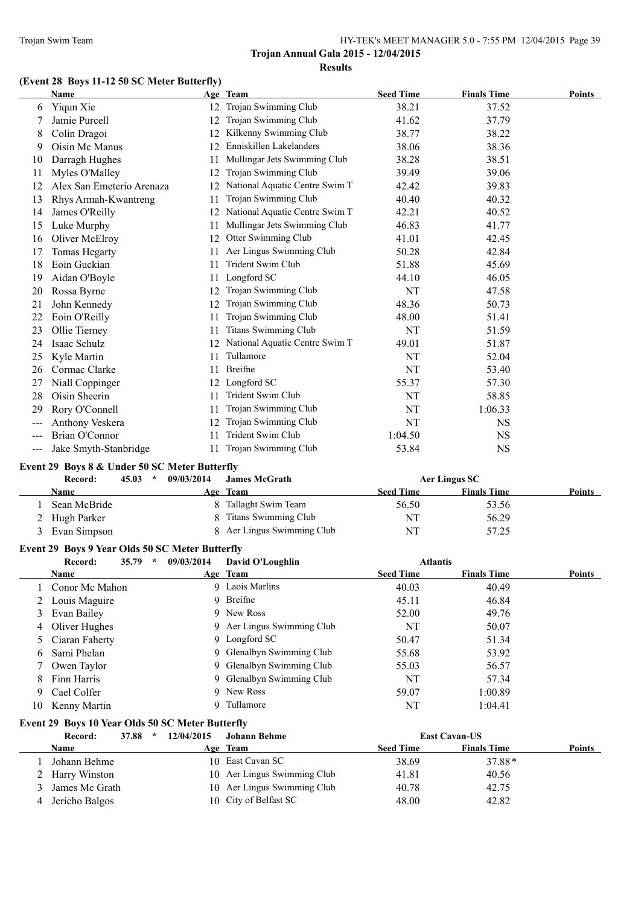# **(Event 28 Boys 11-12 50 SC Meter Butterfly)**

|                   | Name                                            |            | Age Team                          | <b>Seed Time</b> | <b>Finals Time</b>   | Points |
|-------------------|-------------------------------------------------|------------|-----------------------------------|------------------|----------------------|--------|
| 6                 | Yiqun Xie                                       |            | 12 Trojan Swimming Club           | 38.21            | 37.52                |        |
| 7                 | Jamie Purcell                                   |            | 12 Trojan Swimming Club           | 41.62            | 37.79                |        |
| 8                 | Colin Dragoi                                    |            | 12 Kilkenny Swimming Club         | 38.77            | 38.22                |        |
| 9                 | Oisin Mc Manus                                  |            | 12 Enniskillen Lakelanders        | 38.06            | 38.36                |        |
| 10                | Darragh Hughes                                  | 11         | Mullingar Jets Swimming Club      | 38.28            | 38.51                |        |
| 11                | Myles O'Malley                                  | 12         | Trojan Swimming Club              | 39.49            | 39.06                |        |
| 12                | Alex San Emeterio Arenaza                       |            | 12 National Aquatic Centre Swim T | 42.42            | 39.83                |        |
| 13                | Rhys Armah-Kwantreng                            | 11         | Trojan Swimming Club              | 40.40            | 40.32                |        |
| 14                | James O'Reilly                                  |            | 12 National Aquatic Centre Swim T | 42.21            | 40.52                |        |
| 15                | Luke Murphy                                     | 11         | Mullingar Jets Swimming Club      | 46.83            | 41.77                |        |
| 16                | Oliver McElroy                                  |            | 12 Otter Swimming Club            | 41.01            | 42.45                |        |
| 17                | <b>Tomas Hegarty</b>                            |            | 11 Aer Lingus Swimming Club       | 50.28            | 42.84                |        |
| 18                | Eoin Guckian                                    | 11         | Trident Swim Club                 | 51.88            | 45.69                |        |
| 19                | Aidan O'Boyle                                   | 11         | Longford SC                       | 44.10            | 46.05                |        |
| 20                | Rossa Byrne                                     | 12         | Trojan Swimming Club              | NT               | 47.58                |        |
| 21                | John Kennedy                                    | 12         | Trojan Swimming Club              | 48.36            | 50.73                |        |
| 22                | Eoin O'Reilly                                   | 11         | Trojan Swimming Club              | 48.00            | 51.41                |        |
| 23                | Ollie Tierney                                   | 11         | <b>Titans Swimming Club</b>       | NT               | 51.59                |        |
| 24                | Isaac Schulz                                    |            | 12 National Aquatic Centre Swim T | 49.01            | 51.87                |        |
| 25                | Kyle Martin                                     | 11         | Tullamore                         | NT               | 52.04                |        |
| 26                | Cormac Clarke                                   | 11         | Breifne                           | NT               | 53.40                |        |
| 27                | Niall Coppinger                                 |            | 12 Longford SC                    | 55.37            | 57.30                |        |
| 28                | Oisin Sheerin                                   | 11         | Trident Swim Club                 | NT               | 58.85                |        |
| 29                | Rory O'Connell                                  | 11         | Trojan Swimming Club              | NT               | 1:06.33              |        |
|                   | Anthony Veskera                                 | 12         | Trojan Swimming Club              | NT               | <b>NS</b>            |        |
| $\qquad \qquad -$ | Brian O'Connor                                  | 11         | Trident Swim Club                 | 1:04.50          | <b>NS</b>            |        |
| $---$             | Jake Smyth-Stanbridge                           | 11         | Trojan Swimming Club              | 53.84            | <b>NS</b>            |        |
|                   | Event 29 Boys 8 & Under 50 SC Meter Butterfly   |            |                                   |                  |                      |        |
|                   | Record:<br>$\star$<br>45.03                     | 09/03/2014 | <b>James McGrath</b>              |                  | <b>Aer Lingus SC</b> |        |
|                   | Name                                            |            | Age Team                          | <b>Seed Time</b> | <b>Finals Time</b>   | Points |
| 1                 | Sean McBride                                    |            | 8 Tallaght Swim Team              | 56.50            | 53.56                |        |
| 2                 | Hugh Parker                                     | 8          | <b>Titans Swimming Club</b>       | NT               | 56.29                |        |
| 3                 | Evan Simpson                                    |            | 8 Aer Lingus Swimming Club        | NT               | 57.25                |        |
|                   | Event 29 Boys 9 Year Olds 50 SC Meter Butterfly |            |                                   |                  |                      |        |
|                   | Record:<br>35.79<br>$\star$                     | 09/03/2014 | David O'Loughlin                  | <b>Atlantis</b>  |                      |        |
|                   | Name                                            |            | Age Team                          | <b>Seed Time</b> | <b>Finals Time</b>   | Points |
| $\mathbf{1}$      | Conor Mc Mahon                                  |            | 9 Laois Marlins                   | 40.03            | 40.49                |        |
| 2                 | Louis Maguire                                   |            | 9 Breifne                         | 45.11            | 46.84                |        |
|                   |                                                 |            |                                   |                  |                      |        |

|    | 35.79<br>Record: | $\star$ | 09/03/2014 | David O'Loughlin           | <b>Atlantis</b>  |                    |               |
|----|------------------|---------|------------|----------------------------|------------------|--------------------|---------------|
|    | <b>Name</b>      |         |            | Age Team                   | <b>Seed Time</b> | <b>Finals Time</b> | <b>Points</b> |
|    | Conor Mc Mahon   |         |            | 9 Laois Marlins            | 40.03            | 40.49              |               |
| 2  | Louis Maguire    |         |            | 9 Breifne                  | 45.11            | 46.84              |               |
| 3  | Evan Bailey      |         |            | 9 New Ross                 | 52.00            | 49.76              |               |
| 4  | Oliver Hughes    |         |            | 9 Aer Lingus Swimming Club | NT               | 50.07              |               |
|    | Ciaran Faherty   |         |            | 9 Longford SC              | 50.47            | 51.34              |               |
| 6. | Sami Phelan      |         |            | 9 Glenalbyn Swimming Club  | 55.68            | 53.92              |               |
|    | Owen Taylor      |         |            | 9 Glenalbyn Swimming Club  | 55.03            | 56.57              |               |
| 8  | Finn Harris      |         |            | 9 Glenalbyn Swimming Club  | NT               | 57.34              |               |
| 9. | Cael Colfer      |         |            | 9 New Ross                 | 59.07            | 1:00.89            |               |
| 10 | Kenny Martin     |         |            | Tullamore                  | NT               | 1:04.41            |               |

# **Event 29 Boys 10 Year Olds 50 SC Meter Butterfly**

| 37.88<br>Record: | 12/04/2015<br>$\star$ | Johann Behme                |                  | <b>East Cavan-US</b> |               |
|------------------|-----------------------|-----------------------------|------------------|----------------------|---------------|
| Name             |                       | Age Team                    | <b>Seed Time</b> | <b>Finals Time</b>   | <b>Points</b> |
| Johann Behme     |                       | 10 East Cavan SC            | 38.69            | $37.88*$             |               |
| 2 Harry Winston  |                       | 10 Aer Lingus Swimming Club | 41.81            | 40.56                |               |
| James Mc Grath   |                       | 10 Aer Lingus Swimming Club | 40.78            | 42.75                |               |
| Jericho Balgos   |                       | 10 City of Belfast SC       | 48.00            | 42.82                |               |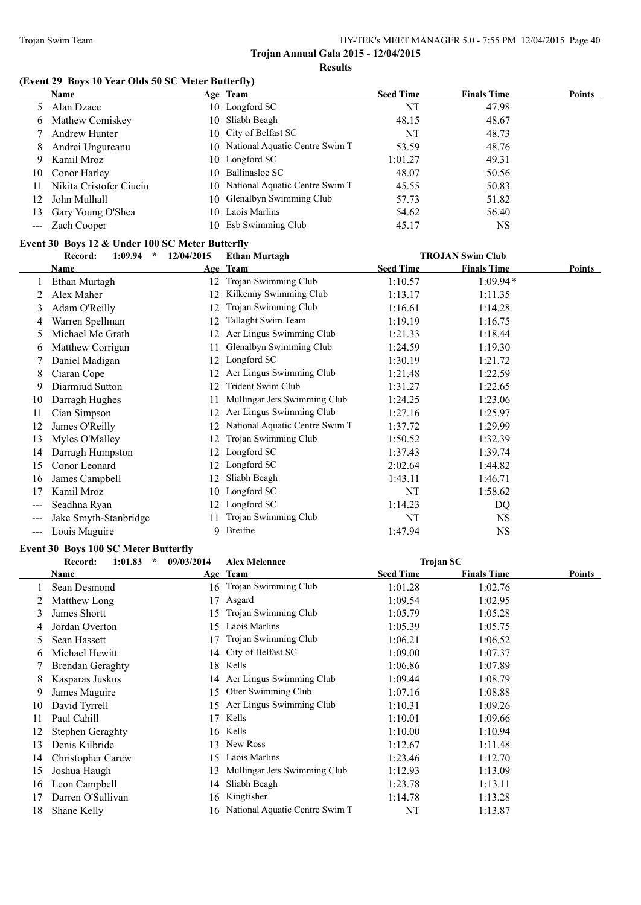# **(Event 29 Boys 10 Year Olds 50 SC Meter Butterfly)**

|    | Name                    | Age Team                          | <b>Seed Time</b> | <b>Finals Time</b> | Points |
|----|-------------------------|-----------------------------------|------------------|--------------------|--------|
|    | 5 Alan Dzaee            | 10 Longford SC                    | NT               | 47.98              |        |
|    | 6 Mathew Comiskey       | 10 Sliabh Beagh                   | 48.15            | 48.67              |        |
|    | <b>Andrew Hunter</b>    | 10 City of Belfast SC             | NT               | 48.73              |        |
| 8  | Andrei Ungureanu        | 10 National Aquatic Centre Swim T | 53.59            | 48.76              |        |
| 9  | Kamil Mroz              | 10 Longford SC                    | 1:01.27          | 49.31              |        |
| 10 | Conor Harley            | 10 Ballinasloe SC                 | 48.07            | 50.56              |        |
|    | Nikita Cristofer Ciuciu | 10 National Aquatic Centre Swim T | 45.55            | 50.83              |        |
| 12 | John Mulhall            | 10 Glenalbyn Swimming Club        | 57.73            | 51.82              |        |
| 13 | Gary Young O'Shea       | 10 Laois Marlins                  | 54.62            | 56.40              |        |
|    | --- Zach Cooper         | 10 Esb Swimming Club              | 45.17            | <b>NS</b>          |        |

# **Event 30 Boys 12 & Under 100 SC Meter Butterfly**

|     | $\star$<br>Record:<br>1:09.94 | 12/04/2015 | <b>Ethan Murtagh</b>           |                  | <b>TROJAN Swim Club</b> |        |
|-----|-------------------------------|------------|--------------------------------|------------------|-------------------------|--------|
|     | Name                          |            | Age Team                       | <b>Seed Time</b> | <b>Finals Time</b>      | Points |
|     | Ethan Murtagh                 | 12         | Trojan Swimming Club           | 1:10.57          | $1:09.94*$              |        |
|     | Alex Maher                    | 12         | Kilkenny Swimming Club         | 1:13.17          | 1:11.35                 |        |
| 3   | Adam O'Reilly                 | 12         | Trojan Swimming Club           | 1:16.61          | 1:14.28                 |        |
| 4   | Warren Spellman               | 12         | Tallaght Swim Team             | 1:19.19          | 1:16.75                 |        |
| 5.  | Michael Mc Grath              | 12         | Aer Lingus Swimming Club       | 1:21.33          | 1:18.44                 |        |
| 6   | Matthew Corrigan              | 11         | Glenalbyn Swimming Club        | 1:24.59          | 1:19.30                 |        |
|     | Daniel Madigan                | 12         | Longford SC                    | 1:30.19          | 1:21.72                 |        |
| 8   | Ciaran Cope                   | 12         | Aer Lingus Swimming Club       | 1:21.48          | 1:22.59                 |        |
| 9   | Diarmiud Sutton               | 12         | Trident Swim Club              | 1:31.27          | 1:22.65                 |        |
| 10  | Darragh Hughes                | 11         | Mullingar Jets Swimming Club   | 1:24.25          | 1:23.06                 |        |
| 11  | Cian Simpson                  | 12         | Aer Lingus Swimming Club       | 1:27.16          | 1:25.97                 |        |
| 12  | James O'Reilly                | 12         | National Aquatic Centre Swim T | 1:37.72          | 1:29.99                 |        |
| 13  | Myles O'Malley                | 12         | Trojan Swimming Club           | 1:50.52          | 1:32.39                 |        |
| 14  | Darragh Humpston              | 12         | Longford SC                    | 1:37.43          | 1:39.74                 |        |
| 15  | Conor Leonard                 | 12         | Longford SC                    | 2:02.64          | 1:44.82                 |        |
| 16  | James Campbell                | 12         | Sliabh Beagh                   | 1:43.11          | 1:46.71                 |        |
| 17  | Kamil Mroz                    | 10         | Longford SC                    | NT               | 1:58.62                 |        |
| --- | Seadhna Ryan                  | 12         | Longford SC                    | 1:14.23          | DQ                      |        |
|     | Jake Smyth-Stanbridge         |            | Trojan Swimming Club           | NT               | NS.                     |        |
| --- | Louis Maguire                 | 9          | Breifne                        | 1:47.94          | NS                      |        |

#### **Event 30 Boys 100 SC Meter Butterfly**

|    | 1:01.83<br>$\star$<br>Record: | 09/03/2014 | <b>Alex Melennec</b>              | Trojan SC        |                    |        |
|----|-------------------------------|------------|-----------------------------------|------------------|--------------------|--------|
|    | Name                          |            | Age Team                          | <b>Seed Time</b> | <b>Finals Time</b> | Points |
|    | Sean Desmond                  | 16         | Trojan Swimming Club              | 1:01.28          | 1:02.76            |        |
|    | Matthew Long                  |            | Asgard                            | 1:09.54          | 1:02.95            |        |
| 3  | James Shortt                  | 15         | Trojan Swimming Club              | 1:05.79          | 1:05.28            |        |
| 4  | Jordan Overton                | 15         | Laois Marlins                     | 1:05.39          | 1:05.75            |        |
| 5  | Sean Hassett                  |            | Trojan Swimming Club              | 1:06.21          | 1:06.52            |        |
| 6  | Michael Hewitt                | 14         | City of Belfast SC                | 1:09.00          | 1:07.37            |        |
|    | <b>Brendan Geraghty</b>       | 18         | Kells                             | 1:06.86          | 1:07.89            |        |
| 8  | Kasparas Juskus               | 14         | Aer Lingus Swimming Club          | 1:09.44          | 1:08.79            |        |
| 9  | James Maguire                 | 15         | Otter Swimming Club               | 1:07.16          | 1:08.88            |        |
| 10 | David Tyrrell                 | 15         | Aer Lingus Swimming Club          | 1:10.31          | 1:09.26            |        |
| 11 | Paul Cahill                   |            | Kells                             | 1:10.01          | 1:09.66            |        |
| 12 | Stephen Geraghty              |            | 16 Kells                          | 1:10.00          | 1:10.94            |        |
| 13 | Denis Kilbride                | 13         | New Ross                          | 1:12.67          | 1:11.48            |        |
| 14 | Christopher Carew             | 15         | Laois Marlins                     | 1:23.46          | 1:12.70            |        |
| 15 | Joshua Haugh                  | 13         | Mullingar Jets Swimming Club      | 1:12.93          | 1:13.09            |        |
| 16 | Leon Campbell                 | 14         | Sliabh Beagh                      | 1:23.78          | 1:13.11            |        |
| 17 | Darren O'Sullivan             | 16.        | Kingfisher                        | 1:14.78          | 1:13.28            |        |
| 18 | Shane Kelly                   |            | 16 National Aquatic Centre Swim T | NT               | 1:13.87            |        |